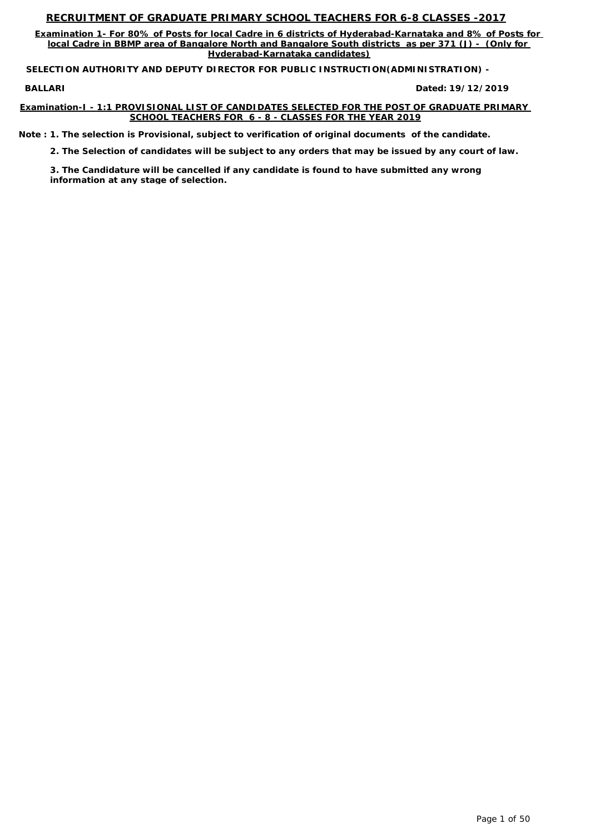**Examination 1- For 80% of Posts for local Cadre in 6 districts of Hyderabad-Karnataka and 8% of Posts for local Cadre in BBMP area of Bangalore North and Bangalore South districts as per 371 (J) - (Only for Hyderabad-Karnataka candidates)**

**BALLARI Dated:**

**SELECTION AUTHORITY AND DEPUTY DIRECTOR FOR PUBLIC INSTRUCTION(ADMINISTRATION) -** 

**Examination-I - 1:1 PROVISIONAL LIST OF CANDIDATES SELECTED FOR THE POST OF GRADUATE PRIMARY SCHOOL TEACHERS FOR 6 - 8 - CLASSES FOR THE YEAR 2019**

**19/12/2019**

*Note : 1. The selection is Provisional, subject to verification of original documents of the candidate.*

*2. The Selection of candidates will be subject to any orders that may be issued by any court of law.*

*3. The Candidature will be cancelled if any candidate is found to have submitted any wrong information at any stage of selection.*

Page 1 of 50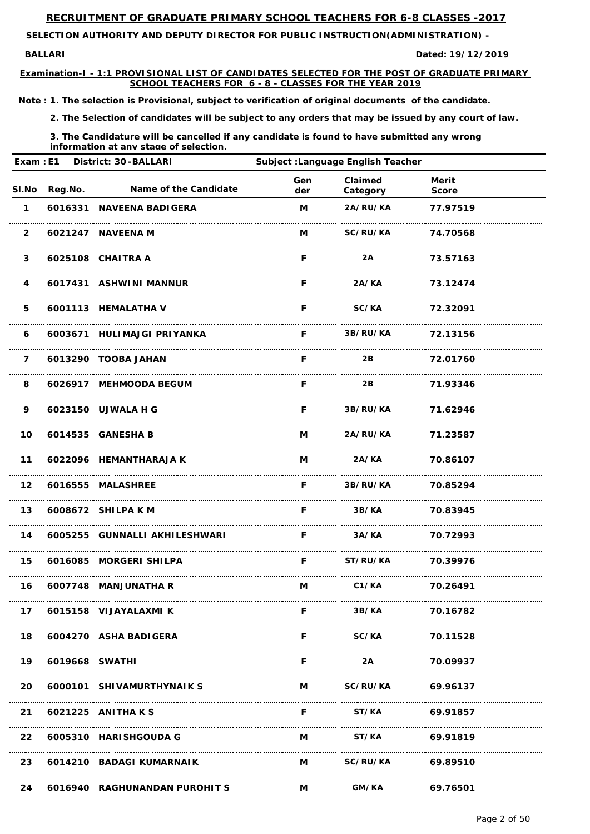**BALLARI Dated:**

**SELECTION AUTHORITY AND DEPUTY DIRECTOR FOR PUBLIC INSTRUCTION(ADMINISTRATION) -** 

**Examination-I - 1:1 PROVISIONAL LIST OF CANDIDATES SELECTED FOR THE POST OF GRADUATE PRIMARY SCHOOL TEACHERS FOR 6 - 8 - CLASSES FOR THE YEAR 2019**

**19/12/2019**

*Note : 1. The selection is Provisional, subject to verification of original documents of the candidate.*

*2. The Selection of candidates will be subject to any orders that may be issued by any court of law.*

*3. The Candidature will be cancelled if any candidate is found to have submitted any wrong information at any stage of selection.*

| Exam: E1<br>District: 30-BALLARI |         |                               | <b>Subject : Language English Teacher</b>       |                     |                              |  |
|----------------------------------|---------|-------------------------------|-------------------------------------------------|---------------------|------------------------------|--|
| SI.No                            | Reg.No. | Name of the Candidate         | Gen<br>der                                      | Claimed<br>Category | <b>Merit</b><br><b>Score</b> |  |
| $\mathbf 1$                      |         | 6016331 NAVEENA BADIGERA      | M                                               | 2A/RU/KA            | 77.97519                     |  |
| $\overline{2}$                   |         | 6021247 NAVEENA M             | M                                               | SC/RU/KA            | 74.70568                     |  |
| $\mathbf{3}$                     |         | 6025108 CHAITRA A             | F                                               | 2A                  | 73.57163                     |  |
| $\overline{\mathbf{4}}$          |         | 6017431 ASHWINI MANNUR        | F                                               | 2A/KA               | 73.12474                     |  |
| 5                                |         | 6001113 HEMALATHA V           | F                                               | <b>SC/KA</b>        | 72.32091                     |  |
| 6                                |         | 6003671 HULIMAJGI PRIYANKA    | F                                               | 3B/RU/KA            | 72.13156                     |  |
| $\overline{7}$                   |         | 6013290 TOOBA JAHAN           | F                                               | 2B                  | 72.01760                     |  |
| 8                                |         | 6026917 MEHMOODA BEGUM        | F                                               | 2B                  | 71.93346                     |  |
| 9                                |         | 6023150 UJWALA H G            | F                                               | 3B/RU/KA            | 71.62946                     |  |
| 10                               |         | 6014535 GANESHA B             | M                                               | 2A/RU/KA            | 71.23587                     |  |
| $11$                             |         | 6022096 HEMANTHARAJA K        | M                                               | 2A/KA               | 70.86107                     |  |
| 12 <sub>2</sub>                  |         | 6016555 MALASHREE             |                                                 | F 3B/RU/KA 70.85294 |                              |  |
| 13                               |         | 6008672 SHILPA K M            | <b>F</b> Provident Control                      |                     | 3B/KA 70.83945               |  |
| 14                               |         | 6005255 GUNNALLI AKHILESHWARI | <b>Example 19</b> For the state of the state of |                     | 3A/KA 70.72993               |  |
| 15                               |         | 6016085 MORGERI SHILPA        |                                                 | F ST/RU/KA 70.39976 |                              |  |
| 16                               |         | 6007748 MANJUNATHA R          |                                                 | M C1/KA 70.26491    |                              |  |
| 17                               |         | 6015158 VIJAYALAXMI K         | F.                                              | 3B/KA               | 70.16782                     |  |

| 18        |                | 6004270 ASHA BADIGERA         |   | SC/KA           | 70.11528 |  |
|-----------|----------------|-------------------------------|---|-----------------|----------|--|
| 19        | 6019668 SWATHI |                               |   | 2A              | 70.09937 |  |
| <b>20</b> |                | 6000101 SHIVAMURTHYNAIK S     | M | <b>SC/RU/KA</b> | 69.96137 |  |
| 21        |                | 6021225 ANITHA K S            | F | <b>ST/KA</b>    | 69.91857 |  |
|           |                | 22 6005310 HARISHGOUDA G      | М | <b>ST/KA</b>    | 69.91819 |  |
| 23        |                | 6014210 BADAGI KUMARNAIK      | M | <b>SC/RU/KA</b> | 69.89510 |  |
| 24        |                | 6016940 RAGHUNANDAN PUROHIT S | М | GM/KA           | 69.76501 |  |

Page 2 of 50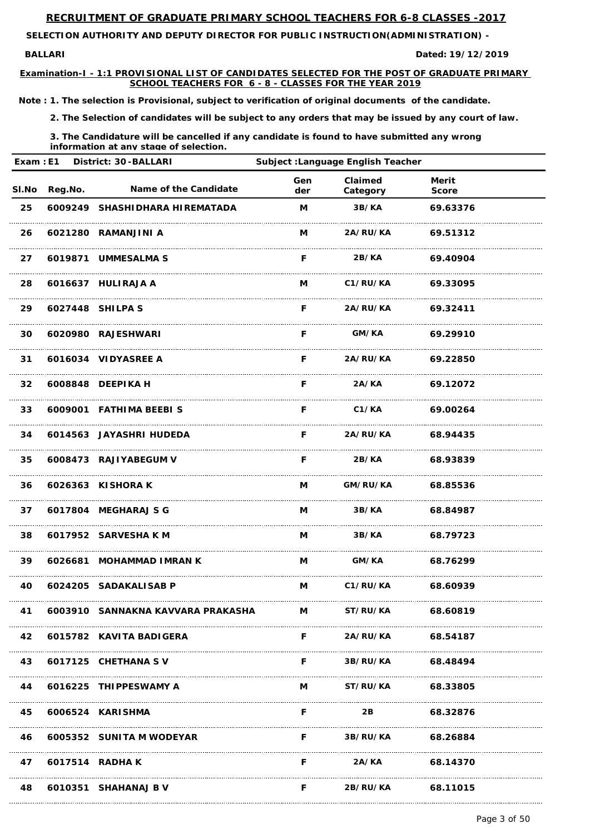**BALLARI Dated:**

**SELECTION AUTHORITY AND DEPUTY DIRECTOR FOR PUBLIC INSTRUCTION(ADMINISTRATION) -** 

**Examination-I - 1:1 PROVISIONAL LIST OF CANDIDATES SELECTED FOR THE POST OF GRADUATE PRIMARY SCHOOL TEACHERS FOR 6 - 8 - CLASSES FOR THE YEAR 2019**

**19/12/2019**

*Note : 1. The selection is Provisional, subject to verification of original documents of the candidate.*

*2. The Selection of candidates will be subject to any orders that may be issued by any court of law.*

| Exam : E1 District: 30-BALLARI |               |                                                                                                |            | Subject : Language English Teacher |                              |  |  |
|--------------------------------|---------------|------------------------------------------------------------------------------------------------|------------|------------------------------------|------------------------------|--|--|
|                                | SI.No Reg.No. | <b>Name of the Candidate</b>                                                                   | Gen<br>der | <b>Claimed</b><br>Category         | <b>Merit</b><br><b>Score</b> |  |  |
| 25                             |               | 6009249 SHASHIDHARA HIREMATADA                                                                 | M          | 3B/KA                              | 69.63376                     |  |  |
| 26                             |               | 6021280 RAMANJINI A                                                                            | M          | <b>2A/RU/KA</b>                    | 69.51312                     |  |  |
| 27                             |               | 6019871 UMMESALMA S                                                                            | F.         | 2B/KA                              | 69.40904                     |  |  |
| 28                             |               | 6016637 HULIRAJA A                                                                             | M          | C1/RU/KA                           | 69.33095                     |  |  |
| 29                             |               | 6027448 SHILPA S                                                                               | F.         | <b>2A/RU/KA</b>                    | 69.32411                     |  |  |
| 30                             |               | 6020980 RAJESHWARI                                                                             | F          | <b>GM/KA</b>                       | 69.29910                     |  |  |
| 31                             |               | 6016034 VIDYASREE A                                                                            | F.         | <b>2A/RU/KA</b>                    | 69.22850                     |  |  |
| 32 <sub>2</sub>                |               | 6008848 DEEPIKA H                                                                              | F          | 2A/KA                              | 69.12072                     |  |  |
| 33                             |               | 6009001 FATHIMA BEEBIS                                                                         | F          | C1/KA                              | 69.00264                     |  |  |
| 34                             |               | 6014563 JAYASHRI HUDEDA                                                                        | F.         | <b>2A/RU/KA</b>                    | 68.94435                     |  |  |
| 35                             |               | 6008473 RAJIYABEGUM V                                                                          | F.         | 2B/KA                              | 68.93839                     |  |  |
|                                |               | 36 6026363 KISHORA K                                                                           |            | M GM/RU/KA 68.85536                |                              |  |  |
| 37                             |               | 6017804 MEGHARAJ S G                                                                           |            | M 3B/KA 68.84987                   |                              |  |  |
| 38                             |               | 6017952 SARVESHA K M                                                                           |            | M 3B/KA 68.79723                   |                              |  |  |
| 39                             |               | 6026681 MOHAMMAD IMRAN K                                                                       |            | M GM/KA 68.76299                   |                              |  |  |
| 40                             |               | 6024205 SADAKALISAB P                                                                          |            | M C1/RU/KA 68.60939                |                              |  |  |
| 41                             |               | 6003910    SANNAKNA KAVVARA PRAKASHA               M             ST/RU/KA             68.60819 |            |                                    |                              |  |  |

| 42 |                 | 6015782 KAVITA BADIGERA  |   | <b>2A/RU/KA</b> | 68.54187 |
|----|-----------------|--------------------------|---|-----------------|----------|
| 43 |                 | 6017125 CHETHANA SV      | F | <b>3B/RU/KA</b> | 68.48494 |
| 44 |                 | 6016225 THIPPESWAMY A    | M | <b>ST/RU/KA</b> | 68.33805 |
| 45 |                 | 6006524 KARISHMA         |   | 2B              | 68.32876 |
| 46 |                 | 6005352 SUNITA M WODEYAR | E | <b>3B/RU/KA</b> | 68.26884 |
| 47 | 6017514 RADHA K |                          |   | 2A/KA           | 68.14370 |
| 48 |                 | 6010351 SHAHANAJ B V     |   | 2B/RU/KA        | 68.11015 |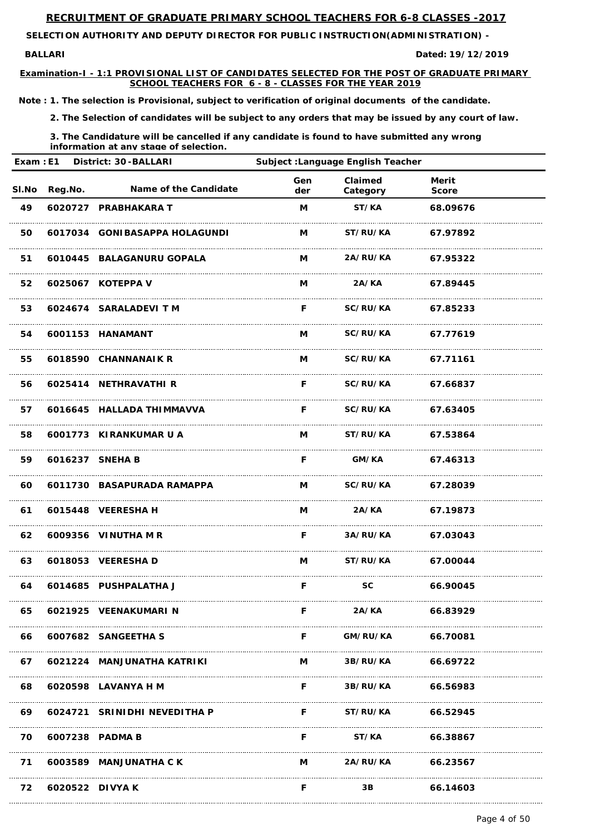**BALLARI Dated:**

**SELECTION AUTHORITY AND DEPUTY DIRECTOR FOR PUBLIC INSTRUCTION(ADMINISTRATION) -** 

**Examination-I - 1:1 PROVISIONAL LIST OF CANDIDATES SELECTED FOR THE POST OF GRADUATE PRIMARY SCHOOL TEACHERS FOR 6 - 8 - CLASSES FOR THE YEAR 2019**

**19/12/2019**

*Note : 1. The selection is Provisional, subject to verification of original documents of the candidate.*

*2. The Selection of candidates will be subject to any orders that may be issued by any court of law.*

*3. The Candidature will be cancelled if any candidate is found to have submitted any wrong information at any stage of selection.*

| Exam : E1 District: 30-BALLARI |               |                               | Subject : Language English Teacher |                     |                              |  |
|--------------------------------|---------------|-------------------------------|------------------------------------|---------------------|------------------------------|--|
|                                | SI.No Reg.No. | <b>Name of the Candidate</b>  | Gen<br>der                         | Claimed<br>Category | <b>Merit</b><br><b>Score</b> |  |
| 49                             |               | 6020727 PRABHAKARA T          | M                                  | ST/KA               | 68.09676                     |  |
| 50                             |               | 6017034 GONIBASAPPA HOLAGUNDI | M                                  | ST/RU/KA            | 67.97892                     |  |
| 51                             |               | 6010445 BALAGANURU GOPALA     | M                                  | <b>2A/RU/KA</b>     | 67.95322                     |  |
| 52                             |               | 6025067 KOTEPPA V             | M                                  | 2A/KA               | 67.89445                     |  |
| 53                             |               | 6024674 SARALADEVI T M        | F                                  | <b>SC/RU/KA</b>     | 67.85233                     |  |
| 54                             |               | 6001153 HANAMANT              | M                                  | <b>SC/RU/KA</b>     | 67.77619                     |  |
| 55                             |               | 6018590 CHANNANAIK R          | M                                  | <b>SC/RU/KA</b>     | 67.71161                     |  |
| 56                             |               | 6025414 NETHRAVATHI R         | F                                  | <b>SC/RU/KA</b>     | 67.66837                     |  |
| 57                             |               | 6016645 HALLADA THIMMAVVA     | F                                  | <b>SC/RU/KA</b>     | 67.63405                     |  |
| 58                             |               | 6001773 KIRANKUMAR U A        | M                                  | <b>ST/RU/KA</b>     | 67.53864                     |  |
| 59                             |               | 6016237 SNEHA B               | F                                  | GM/KA               | 67.46313                     |  |
| 60                             |               | 6011730 BASAPURADA RAMAPPA    |                                    | M SC/RU/KA 67.28039 |                              |  |
| 61                             |               | 6015448 VEERESHA H            |                                    | M 2A/KA 67.19873    |                              |  |
| 62                             |               | 6009356 VINUTHA M R           |                                    | F 3A/RU/KA 67.03043 |                              |  |
| 63                             |               | 6018053 VEERESHA D            |                                    | M ST/RU/KA 67.00044 |                              |  |
| 64                             |               | 6014685 PUSHPALATHA J         | F.                                 | SC 66.90045         |                              |  |
| 65                             |               | 6021925 VEENAKUMARI N         | F.                                 | <b>2A/KA</b>        | 66.83929                     |  |

| 66 |                 | 6007682 SANGEETHA S          |   | GM/RU/KA        | 66.70081 |
|----|-----------------|------------------------------|---|-----------------|----------|
| 67 |                 | 6021224 MANJUNATHA KATRIKI   | M | 3B/RU/KA        | 66.69722 |
| 68 |                 | 6020598 LAVANYA H M          | F | <b>3B/RU/KA</b> | 66.56983 |
| 69 |                 | 6024721 SRINIDHI NEVEDITHA P | F | <b>ST/RU/KA</b> | 66.52945 |
| 70 |                 | 6007238 PADMA B              | F | ST/KA           | 66.38867 |
| 71 |                 | 6003589 MANJUNATHA C K       | M | 2A/RU/KA        | 66.23567 |
| 72 | 6020522 DIVYA K |                              |   | 3В              | 66.14603 |

Page 4 of 50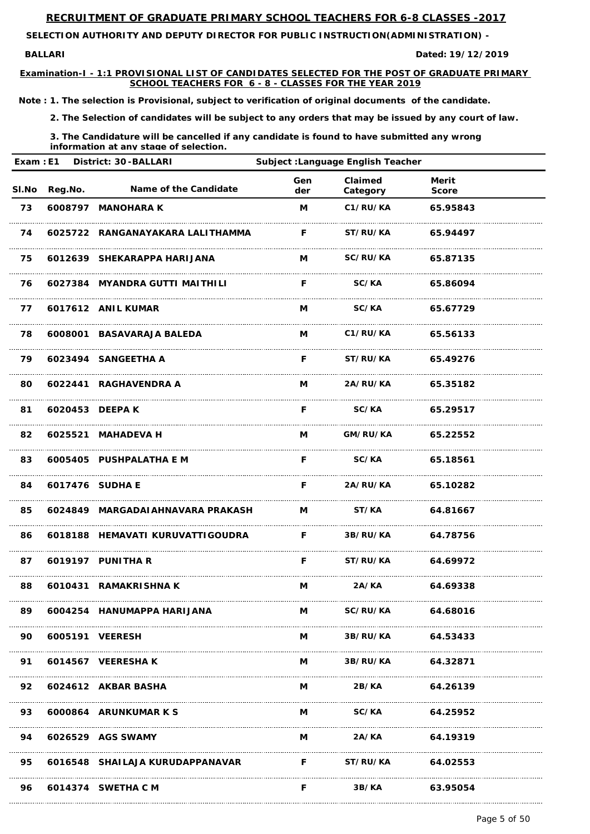**BALLARI Dated:**

**SELECTION AUTHORITY AND DEPUTY DIRECTOR FOR PUBLIC INSTRUCTION(ADMINISTRATION) -** 

**Examination-I - 1:1 PROVISIONAL LIST OF CANDIDATES SELECTED FOR THE POST OF GRADUATE PRIMARY SCHOOL TEACHERS FOR 6 - 8 - CLASSES FOR THE YEAR 2019**

**19/12/2019**

*Note : 1. The selection is Provisional, subject to verification of original documents of the candidate.*

*2. The Selection of candidates will be subject to any orders that may be issued by any court of law.*

|      |                    | Exam : E1 District: 30-BALLARI                        | Subject : Language English Teacher |                     |                              |  |
|------|--------------------|-------------------------------------------------------|------------------------------------|---------------------|------------------------------|--|
|      | SI.No Reg.No.      | <b>Name of the Candidate</b>                          | Gen<br>der                         | Claimed<br>Category | <b>Merit</b><br><b>Score</b> |  |
| 73   |                    | 6008797 MANOHARA K                                    | M                                  | C1/RU/KA            | 65.95843                     |  |
| 74   |                    | 6025722 RANGANAYAKARA LALITHAMMA                      | F.                                 | <b>ST/RU/KA</b>     | 65.94497                     |  |
| 75   |                    | 6012639 SHEKARAPPA HARIJANA                           | M                                  | <b>SC/RU/KA</b>     | 65.87135                     |  |
| 76   |                    | 6027384 MYANDRA GUTTI MAITHILI                        | F                                  | <b>SC/KA</b>        | 65.86094                     |  |
| 77   |                    | 6017612 ANIL KUMAR                                    | M                                  | <b>SC/KA</b>        | 65.67729                     |  |
| 78   |                    | 6008001 BASAVARAJA BALEDA                             | M                                  | C1/RU/KA            | 65.56133                     |  |
| 79   |                    | 6023494 SANGEETHA A                                   | F.                                 | <b>ST/RU/KA</b>     | 65.49276                     |  |
| 80   |                    | 6022441 RAGHAVENDRA A                                 | M                                  | <b>2A/RU/KA</b>     | 65.35182                     |  |
| 81   |                    | 6020453 DEEPA K                                       | F                                  | <b>SC/KA</b>        | 65.29517                     |  |
| 82   |                    | 6025521 MAHADEVA H                                    | M                                  | GM/RU/KA 65.22552   |                              |  |
| 83   |                    | 6005405 PUSHPALATHA E M                               | F                                  | <b>SC/KA</b>        | 65.18561                     |  |
|      | 84 6017476 SUDHA E |                                                       |                                    | F 2A/RU/KA 65.10282 |                              |  |
|      |                    |                                                       |                                    |                     |                              |  |
| 86 — |                    | 6018188 HEMAVATI KURUVATTI GOUDRA F 3B/RU/KA 64.78756 |                                    |                     |                              |  |
|      |                    | 87 6019197 PUNITHA R                                  |                                    | F ST/RU/KA 64.69972 |                              |  |
| 88   |                    | 6010431 RAMAKRISHNA K                                 |                                    | M 2A/KA 64.69338    |                              |  |
|      |                    | 89 6004254 HANUMAPPA HARIJANA                         |                                    | M SC/RU/KA 64.68016 |                              |  |

| 90 | 6005191 VEERESH                 | М | 3B/RU/KA        | 64.53433 |  |
|----|---------------------------------|---|-----------------|----------|--|
| 91 | 6014567 VEERESHAK               | M | 3B/RU/KA        | 64.32871 |  |
| 92 | 6024612 AKBAR BASHA             | M | 2B/KA           | 64.26139 |  |
| 93 | 6000864 ARUNKUMAR K S           | M | SC/KA           | 64.25952 |  |
| 94 | 6026529 AGS SWAMY               | M | 2A/KA           | 64.19319 |  |
| 95 | 6016548 SHAILAJA KURUDAPPANAVAR | E | <b>ST/RU/KA</b> | 64.02553 |  |
| 96 | 6014374 SWETHA C M              |   | 3B/KA           | 63.95054 |  |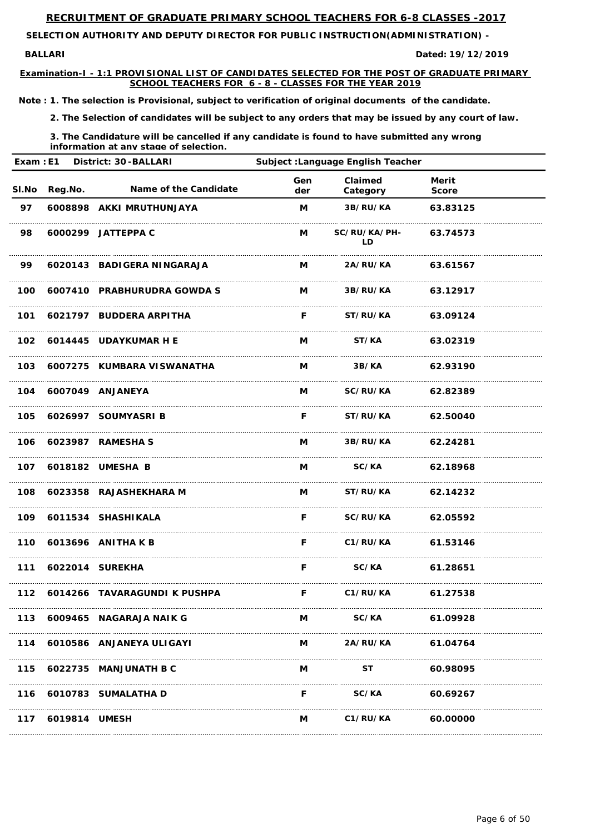**BALLARI Dated:**

**SELECTION AUTHORITY AND DEPUTY DIRECTOR FOR PUBLIC INSTRUCTION(ADMINISTRATION) -** 

**Examination-I - 1:1 PROVISIONAL LIST OF CANDIDATES SELECTED FOR THE POST OF GRADUATE PRIMARY SCHOOL TEACHERS FOR 6 - 8 - CLASSES FOR THE YEAR 2019**

**19/12/2019**

*Note : 1. The selection is Provisional, subject to verification of original documents of the candidate.*

*2. The Selection of candidates will be subject to any orders that may be issued by any court of law.*

|       |                | Exam : E1 District: 30-BALLARI | Subject : Language English Teacher                              |                          |                              |  |
|-------|----------------|--------------------------------|-----------------------------------------------------------------|--------------------------|------------------------------|--|
| SI.No | <b>Reg.No.</b> | Name of the Candidate          | Gen<br>der                                                      | Claimed<br>Category      | <b>Merit</b><br><b>Score</b> |  |
| 97    |                | 6008898 AKKI MRUTHUNJAYA       | M                                                               | 3B/RU/KA                 | 63.83125                     |  |
| 98    |                | 6000299 JATTEPPA C             | M                                                               | SC/RU/KA/PH-<br>LD       | 63.74573                     |  |
| 99    |                | 6020143 BADIGERA NINGARAJA     | M                                                               | <b>2A/RU/KA</b>          | 63.61567                     |  |
| 100   |                | 6007410 PRABHURUDRA GOWDA S    | M                                                               | <b>3B/RU/KA</b>          | 63.12917                     |  |
| 101   |                | 6021797 BUDDERA ARPITHA        | F.                                                              | <b>ST/RU/KA</b>          | 63.09124                     |  |
|       |                | 102 6014445 UDAYKUMAR H E      | M                                                               | ST/KA                    | 63.02319                     |  |
|       |                | 103 6007275 KUMBARA VISWANATHA | M                                                               | 3B/KA                    | 62.93190                     |  |
|       |                | 104 6007049 ANJANEYA           | M                                                               | <b>SC/RU/KA</b>          | 62.82389                     |  |
|       |                | 105 6026997 SOUMYASRI B        | F.                                                              | <b>ST/RU/KA</b>          | 62.50040                     |  |
|       |                | 106 6023987 RAMESHA S          | M                                                               | <b>3B/RU/KA</b>          | 62.24281                     |  |
|       |                | 107 6018182 UMESHA B           | M                                                               | SC/KA                    | 62.18968                     |  |
| 108   |                | 6023358 RAJASHEKHARA M         | M                                                               | <b>ST/RU/KA</b> 62.14232 |                              |  |
|       |                | 109 6011534 SHASHIKALA         | F.                                                              | SC/RU/KA 62.05592        |                              |  |
| 110   |                | 6013696 ANITHA K B             | F.                                                              | C1/RU/KA 61.53146        |                              |  |
| 111   |                | 6022014 SUREKHA                | F                                                               | SC/KA 61.28651           |                              |  |
| 112   |                | 6014266 TAVARAGUNDI K PUSHPA   | $\mathbf{F}$ and $\mathbf{F}$ and $\mathbf{F}$ and $\mathbf{F}$ | C1/RU/KA 61.27538        |                              |  |
| 113   |                | 6009465 NAGARAJA NAIK G        | M                                                               | SC/KA 61.09928           |                              |  |

| 114 |               | 6010586 ANJANEYA ULIGAYI | M | 2A/RU/KA | 61.04764 |
|-----|---------------|--------------------------|---|----------|----------|
| 115 |               | 6022735 MANJUNATH B C    | M |          | 60.98095 |
|     |               | 116 6010783 SUMALATHA D  |   | SC/KA    | 60.69267 |
| 117 | 6019814 UMESH |                          | M | C1/RU/KA | 60.00000 |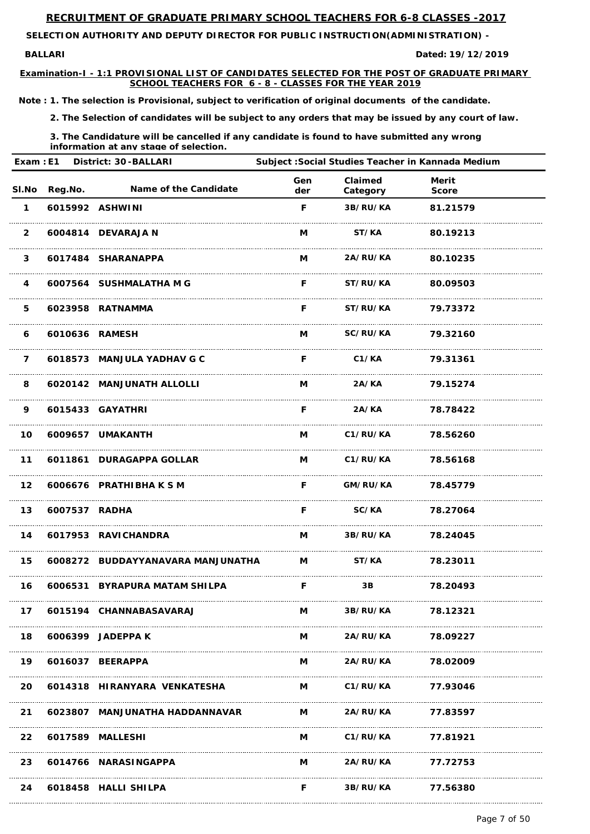**BALLARI Dated:**

**SELECTION AUTHORITY AND DEPUTY DIRECTOR FOR PUBLIC INSTRUCTION(ADMINISTRATION) -** 

**Examination-I - 1:1 PROVISIONAL LIST OF CANDIDATES SELECTED FOR THE POST OF GRADUATE PRIMARY SCHOOL TEACHERS FOR 6 - 8 - CLASSES FOR THE YEAR 2019**

**19/12/2019**

*Note : 1. The selection is Provisional, subject to verification of original documents of the candidate.*

*2. The Selection of candidates will be subject to any orders that may be issued by any court of law.*

| Exam: E1<br><b>District: 30-BALLARI</b> |               |                                                      | Subject : Social Studies Teacher in Kannada Medium |                          |                       |  |
|-----------------------------------------|---------------|------------------------------------------------------|----------------------------------------------------|--------------------------|-----------------------|--|
| SI.No                                   | Reg.No.       | <b>Name of the Candidate</b>                         | Gen<br>der                                         | Claimed<br>Category      | Merit<br><b>Score</b> |  |
| $\mathbf 1$                             |               | 6015992 ASHWINI                                      | F                                                  | 3B/RU/KA                 | 81.21579              |  |
| $\overline{2}$                          |               | 6004814 DEVARAJA N                                   | M                                                  | ST/KA                    | 80.19213              |  |
| $\mathbf{3}$                            |               | 6017484 SHARANAPPA                                   | M                                                  | <b>2A/RU/KA</b>          | 80.10235              |  |
| 4                                       |               | 6007564 SUSHMALATHA M G                              | F.                                                 | <b>ST/RU/KA</b>          | 80.09503              |  |
| 5                                       |               | 6023958 RATNAMMA                                     | F.                                                 | <b>ST/RU/KA</b>          | 79.73372              |  |
| 6                                       |               | 6010636 RAMESH                                       | M                                                  | <b>SC/RU/KA</b>          | 79.32160              |  |
| $\overline{7}$                          |               | 6018573 MANJULA YADHAV G C                           | F.                                                 | C1/KA                    | 79.31361              |  |
| 8                                       |               | 6020142 MANJUNATH ALLOLLI                            | M                                                  | 2A/KA                    | 79.15274              |  |
| 9                                       |               | 6015433 GAYATHRI                                     | F.                                                 | 2A/KA                    | 78.78422              |  |
| 10                                      |               | 6009657 UMAKANTH                                     | M                                                  | C1/RU/KA                 | 78.56260              |  |
| 11                                      |               | 6011861 DURAGAPPA GOLLAR                             | M                                                  | C1/RU/KA                 | 78.56168              |  |
| 12 <sub>2</sub>                         |               | 6006676 PRATHIBHAKSM                                 | F.                                                 | <b>GM/RU/KA</b> 78.45779 |                       |  |
| 13                                      | 6007537 RADHA |                                                      | F.                                                 | <b>SC/KA</b> 78.27064    |                       |  |
|                                         |               | 14 6017953 RAVICHANDRA                               |                                                    | M 3B/RU/KA 78.24045      |                       |  |
| 15                                      |               | 6008272 BUDDAYYANAVARA MANJUNATHA M M ST/KA 78.23011 |                                                    |                          |                       |  |
| 16                                      |               | 6006531 BYRAPURA MATAM SHILPA                        | $\mathsf{F}$                                       | $\overline{3B}$          | 78.20493              |  |
| 17                                      |               | 6015194 CHANNABASAVARAJ                              |                                                    | M 3B/RU/KA               | 78.12321              |  |

| 18 | 6006399 JADEPPA K               | м | <b>2A/RU/KA</b> | 78.09227 |
|----|---------------------------------|---|-----------------|----------|
| 19 | 6016037 BEERAPPA                | M | <b>2A/RU/KA</b> | 78.02009 |
|    | 20 6014318 HIRANYARA VENKATESHA | M | C1/RU/KA        | 77.93046 |
| 21 | 6023807 MANJUNATHA HADDANNAVAR  | M | <b>2A/RU/KA</b> | 77.83597 |
| 22 | 6017589 MALLESHI                | M | C1/RU/KA        | 77.81921 |
| 23 | 6014766 NARASINGAPPA            | M | <b>2A/RU/KA</b> | 77.72753 |
| 24 | 6018458 HALLI SHILPA            | F | 3B/RU/KA        | 77.56380 |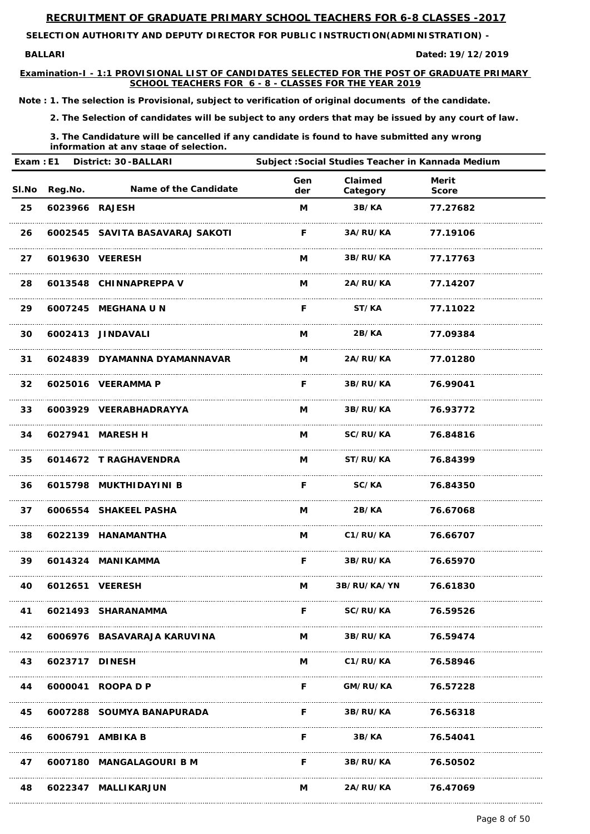**BALLARI Dated:**

**SELECTION AUTHORITY AND DEPUTY DIRECTOR FOR PUBLIC INSTRUCTION(ADMINISTRATION) -** 

**Examination-I - 1:1 PROVISIONAL LIST OF CANDIDATES SELECTED FOR THE POST OF GRADUATE PRIMARY SCHOOL TEACHERS FOR 6 - 8 - CLASSES FOR THE YEAR 2019**

**19/12/2019**

*Note : 1. The selection is Provisional, subject to verification of original documents of the candidate.*

*2. The Selection of candidates will be subject to any orders that may be issued by any court of law.*

| Exam: E1        |                | District: 30-BALLARI            | Subject : Social Studies Teacher in Kannada Medium |                          |                              |  |
|-----------------|----------------|---------------------------------|----------------------------------------------------|--------------------------|------------------------------|--|
| <b>SI.No</b>    | <b>Reg.No.</b> | <b>Name of the Candidate</b>    | Gen<br>der                                         | Claimed<br>Category      | <b>Merit</b><br><b>Score</b> |  |
| 25              | 6023966 RAJESH |                                 | M                                                  | 3B/KA                    | 77.27682                     |  |
| 26              |                | 6002545 SAVITA BASAVARAJ SAKOTI | F.                                                 | 3A/RU/KA                 | 77.19106                     |  |
| 27              |                | 6019630 VEERESH                 | M                                                  | <b>3B/RU/KA</b>          | 77.17763                     |  |
| 28              |                | 6013548 CHINNAPREPPA V          | M                                                  | <b>2A/RU/KA</b>          | 77.14207                     |  |
| 29              |                | 6007245 MEGHANA U N             | F.                                                 | <b>ST/KA</b>             | 77.11022                     |  |
| 30              |                | 6002413 JINDAVALI               | M                                                  | 2B/KA                    | 77.09384                     |  |
| 31              |                | 6024839 DYAMANNA DYAMANNAVAR    | M                                                  | <b>2A/RU/KA</b>          | 77.01280                     |  |
| 32 <sub>2</sub> |                | 6025016 VEERAMMA P              | F.                                                 | 3B/RU/KA                 | 76.99041                     |  |
| 33              |                | 6003929 VEERABHADRAYYA          | M                                                  | <b>3B/RU/KA</b>          | 76.93772                     |  |
| 34              | 6027941        | <b>MARESH H</b>                 | M                                                  | <b>SC/RU/KA</b>          | 76.84816                     |  |
| 35              |                | 6014672 T RAGHAVENDRA           | М                                                  | <b>ST/RU/KA</b>          | 76.84399                     |  |
| 36              |                | 6015798 MUKTHIDAYINI B          | F.                                                 | SC/KA                    | 76.84350                     |  |
| 37              |                | 6006554 SHAKEEL PASHA           | M                                                  | 2B/KA                    | 76.67068                     |  |
| 38              |                | 6022139 HANAMANTHA              |                                                    | M C1/RU/KA 76.66707      |                              |  |
| 39              |                | 6014324 MANIKAMMA               | F.                                                 | <b>3B/RU/KA</b> 76.65970 |                              |  |
| 40              |                | 6012651 VEERESH                 | $M \sim$                                           | 3B/RU/KA/YN 76.61830     |                              |  |
| 41              |                | 6021493 SHARANAMMA              | F.                                                 | <b>SC/RU/KA</b>          | 76.59526                     |  |

| 42 |                | 6006976 BASAVARAJA KARUVINA | М | 3B/RU/KA        | 76.59474 |
|----|----------------|-----------------------------|---|-----------------|----------|
| 43 | 6023717 DINESH |                             | M | C1/RU/KA        | 76.58946 |
| 44 |                | 6000041 ROOPA D P           | F | GM/RU/KA        | 76.57228 |
| 45 |                | 6007288 SOUMYA BANAPURADA   | F | <b>3B/RU/KA</b> | 76.56318 |
| 46 |                | 6006791 AMBIKA B            | F | 3B/KA           | 76.54041 |
| 47 |                | 6007180 MANGALAGOURI B M    | F | 3B/RU/KA        | 76.50502 |
| 48 |                | 6022347 MALLIKARJUN         | M | 2A/RU/KA        | 76.47069 |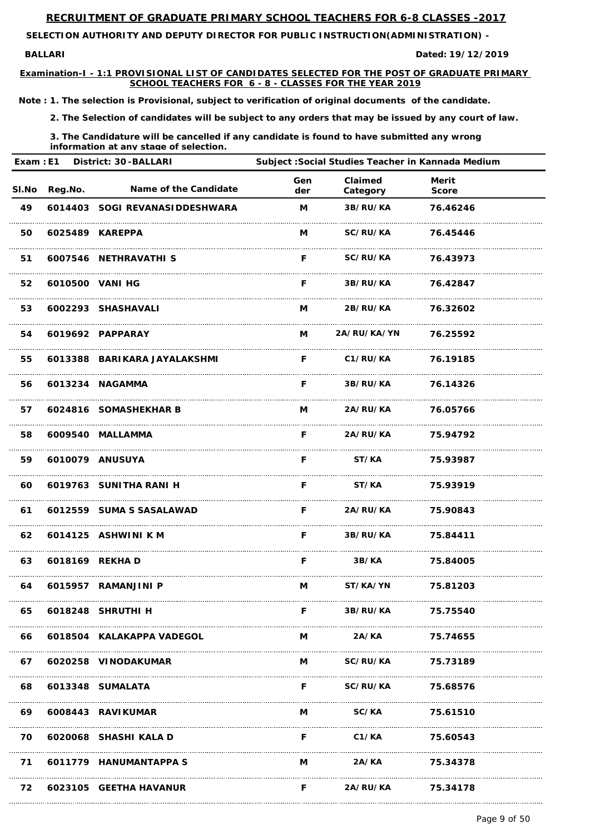**BALLARI Dated:**

**SELECTION AUTHORITY AND DEPUTY DIRECTOR FOR PUBLIC INSTRUCTION(ADMINISTRATION) -** 

**Examination-I - 1:1 PROVISIONAL LIST OF CANDIDATES SELECTED FOR THE POST OF GRADUATE PRIMARY SCHOOL TEACHERS FOR 6 - 8 - CLASSES FOR THE YEAR 2019**

**19/12/2019**

*Note : 1. The selection is Provisional, subject to verification of original documents of the candidate.*

*2. The Selection of candidates will be subject to any orders that may be issued by any court of law.*

| Exam: E1 |         | <b>District: 30-BALLARI</b>    |            | Subject : Social Studies Teacher in Kannada Medium |                              |  |
|----------|---------|--------------------------------|------------|----------------------------------------------------|------------------------------|--|
| SI.No    | Reg.No. | Name of the Candidate          | Gen<br>der | Claimed<br>Category                                | <b>Merit</b><br><b>Score</b> |  |
| 49       |         | 6014403 SOGI REVANASIDDESHWARA | M          | 3B/RU/KA                                           | 76.46246                     |  |
| 50       |         | 6025489 KAREPPA                | M          | <b>SC/RU/KA</b>                                    | 76.45446                     |  |
| 51       |         | 6007546 NETHRAVATHI S          | F.         | <b>SC/RU/KA</b>                                    | 76.43973                     |  |
| 52       |         | 6010500 VANI HG                | F.         | <b>3B/RU/KA</b>                                    | 76.42847                     |  |
| 53       |         | 6002293 SHASHAVALI             | M          | <b>2B/RU/KA</b>                                    | 76.32602                     |  |
| 54       |         | 6019692 PAPPARAY               | M          | 2A/RU/KA/YN                                        | 76.25592                     |  |
| 55       |         | 6013388 BARIKARA JAYALAKSHMI   | F.         | C1/RU/KA                                           | 76.19185                     |  |
| 56       |         | 6013234 NAGAMMA                | F.         | 3B/RU/KA                                           | 76.14326                     |  |
| 57       |         | 6024816 SOMASHEKHAR B          | M          | <b>2A/RU/KA</b>                                    | 76.05766                     |  |
| 58       |         | 6009540 MALLAMMA               | F.         | <b>2A/RU/KA</b>                                    | 75.94792                     |  |
| 59       |         | 6010079 ANUSUYA                | F.         | ST/KA                                              | 75.93987                     |  |
| 60       |         | 6019763 SUNITHA RANI H         | F.         | ST/KA 75.93919                                     |                              |  |
| 61       |         | 6012559 SUMA S SASALAWAD       |            | F 2A/RU/KA 75.90843                                |                              |  |
| 62       |         | 6014125 ASHWINI K M            |            | F 3B/RU/KA 75.84411                                |                              |  |
| 63       |         | 6018169 REKHA D                | F.         |                                                    | 3B/KA 75.84005               |  |
| 64       |         | 6015957 RAMANJINI P            | M          | <b>ST/KA/YN</b>                                    | 75.81203                     |  |
| 65       |         | 6018248 SHRUTHI H              |            | F 3B/RU/KA 75.75540                                |                              |  |

| 66 | 6018504 KALAKAPPA VADEGOL |   | 2A/KA           | 75.74655 |  |
|----|---------------------------|---|-----------------|----------|--|
| 67 | 6020258 VINODAKUMAR       | M | <b>SC/RU/KA</b> | 75.73189 |  |
| 68 | 6013348 SUMALATA          | F | <b>SC/RU/KA</b> | 75.68576 |  |
| 69 | 6008443 RAVIKUMAR         | M | <b>SC/KA</b>    | 75.61510 |  |
| 70 | 6020068 SHASHI KALA D     | F | C1/KA           | 75.60543 |  |
| 71 | 6011779 HANUMANTAPPA S    | M | 2A/KA           | 75.34378 |  |
| 72 | 6023105 GEETHA HAVANUR    | F | 2A/RU/KA        | 75.34178 |  |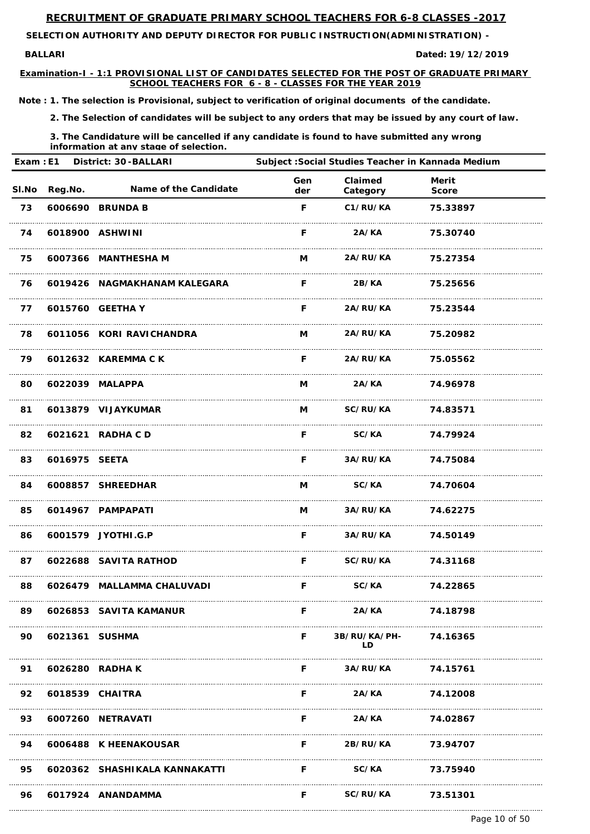**BALLARI Dated:**

**SELECTION AUTHORITY AND DEPUTY DIRECTOR FOR PUBLIC INSTRUCTION(ADMINISTRATION) -** 

**Examination-I - 1:1 PROVISIONAL LIST OF CANDIDATES SELECTED FOR THE POST OF GRADUATE PRIMARY SCHOOL TEACHERS FOR 6 - 8 - CLASSES FOR THE YEAR 2019**

**19/12/2019**

*Note : 1. The selection is Provisional, subject to verification of original documents of the candidate.*

*2. The Selection of candidates will be subject to any orders that may be issued by any court of law.*

*3. The Candidature will be cancelled if any candidate is found to have submitted any wrong information at any stage of selection.*

| Exam: E1 |               | <b>District: 30-BALLARI</b>  |            |                       | Subject: Social Studies Teacher in Kannada Medium |  |
|----------|---------------|------------------------------|------------|-----------------------|---------------------------------------------------|--|
|          | SI.No Reg.No. | <b>Name of the Candidate</b> | Gen<br>der | Claimed<br>Category   | <b>Merit</b><br><b>Score</b>                      |  |
| 73       |               | 6006690 BRUNDA B             | F          | C1/RU/KA              | 75.33897                                          |  |
| 74       |               | 6018900 ASHWINI              | F.         | 2A/KA                 | 75.30740                                          |  |
| 75       |               | 6007366 MANTHESHA M          | M          | 2A/RU/KA              | 75.27354                                          |  |
| 76       |               | 6019426 NAGMAKHANAM KALEGARA | F.         | 2B/KA                 | 75.25656                                          |  |
| 77       |               | 6015760 GEETHA Y             | F.         | <b>2A/RU/KA</b>       | 75.23544                                          |  |
| 78       |               | 6011056 KORI RAVICHANDRA     | M          | <b>2A/RU/KA</b>       | 75.20982                                          |  |
| 79       |               | 6012632 KAREMMA C K          | F.         | <b>2A/RU/KA</b>       | 75.05562                                          |  |
| 80       |               | 6022039 MALAPPA              | M          | 2A/KA                 | 74.96978                                          |  |
| 81       |               | 6013879 VIJAYKUMAR           | M          | <b>SC/RU/KA</b>       | 74.83571                                          |  |
| 82       |               | 6021621 RADHA C D            | F          | <b>SC/KA</b>          | 74.79924                                          |  |
| 83       | 6016975 SEETA |                              | F          | <b>3A/RU/KA</b>       | 74.75084                                          |  |
| 84       |               | 6008857 SHREEDHAR            | M          | <b>SC/KA</b> 74.70604 |                                                   |  |
| 85       |               | 6014967 PAMPAPATI            |            | M 3A/RU/KA 74.62275   |                                                   |  |
| 86       |               | 6001579 JYOTHI.G.P           |            | F 3A/RU/KA 74.50149   |                                                   |  |
| 87       |               | 6022688 SAVITA RATHOD        |            | F SC/RU/KA 74.31168   |                                                   |  |
| 88       |               | 6026479 MALLAMMA CHALUVADI   | F.         | <b>SC/KA</b>          | 74.22865                                          |  |
| 89       |               | 6026853 SAVITA KAMANUR       | F.         | 2A/KA                 | 74.18798                                          |  |

| 90 | 6021361 SUSHMA  |                               |   | 3B/RU/KA/PH-<br>I D | 74.16365 |
|----|-----------------|-------------------------------|---|---------------------|----------|
| 91 |                 | 6026280 RADHA K               | E | 3A/RU/KA 74.15761   |          |
| 92 | 6018539 CHAITRA |                               | F | 2A/KA               | 74.12008 |
| 93 |                 | 6007260 NETRAVATI             | F | 2A/KA               | 74.02867 |
| 94 |                 | 6006488 K HEENAKOUSAR         | F | <b>2B/RU/KA</b>     | 73.94707 |
| 95 |                 | 6020362 SHASHIKALA KANNAKATTI | F | SC/KA               | 73.75940 |
| 96 |                 | 6017924 ANANDAMMA             | F | SC/RU/KA 73.51301   |          |

Page 10 of 50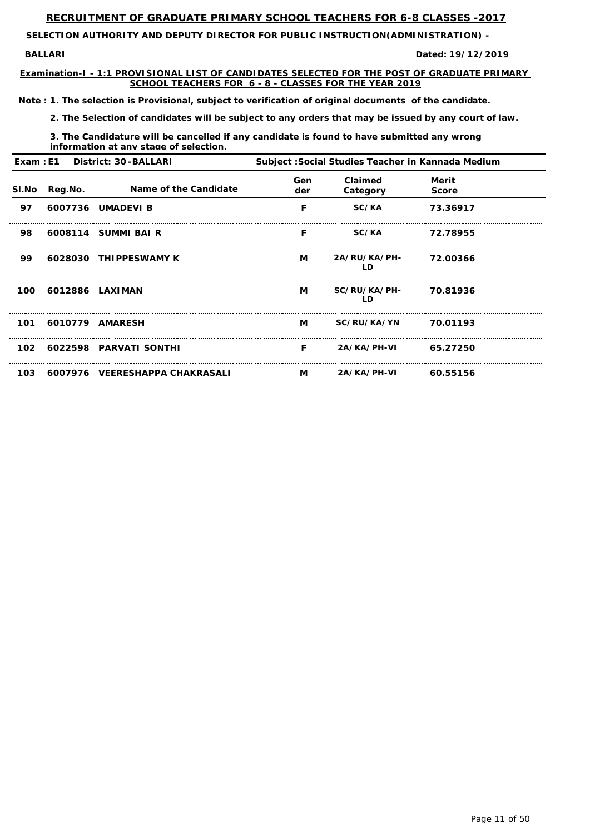**BALLARI Dated:**

**SELECTION AUTHORITY AND DEPUTY DIRECTOR FOR PUBLIC INSTRUCTION(ADMINISTRATION) -** 

**Examination-I - 1:1 PROVISIONAL LIST OF CANDIDATES SELECTED FOR THE POST OF GRADUATE PRIMARY SCHOOL TEACHERS FOR 6 - 8 - CLASSES FOR THE YEAR 2019**

**19/12/2019**

*Note : 1. The selection is Provisional, subject to verification of original documents of the candidate.*

*2. The Selection of candidates will be subject to any orders that may be issued by any court of law.*

*3. The Candidature will be cancelled if any candidate is found to have submitted any wrong information at any stage of selection.*

|       |         | Exam: E1 District: 30-BALLARI  | Subject: Social Studies Teacher in Kannada Medium |                           |                       |  |
|-------|---------|--------------------------------|---------------------------------------------------|---------------------------|-----------------------|--|
| SI.No | Reg.No. | Name of the Candidate          | Gen<br>der                                        | Claimed<br>Category       | Merit<br><b>Score</b> |  |
| 97    |         | 6007736 UMADEVI B              | F                                                 | SC/KA                     | 73.36917              |  |
| 98    |         | 6008114 SUMMI BAI R            | F                                                 | <b>SC/KA</b>              | 72.78955              |  |
| 99    |         | 6028030 THIPPESWAMY K          | M                                                 | <b>2A/RU/KA/PH-</b><br>LD | 72.00366              |  |
| 100   |         | 6012886 LAXIMAN                | M                                                 | <b>SC/RU/KA/PH-</b><br>LD | 70.81936              |  |
| 101   |         | 6010779 AMARESH                | M                                                 | <b>SC/RU/KA/YN</b>        | 70.01193              |  |
|       |         | 102 6022598 PARVATI SONTHI     | F.                                                | 2A/KA/PH-VI 65.27250      |                       |  |
| 103   |         | 6007976 VEERESHAPPA CHAKRASALI | $M$ and $M$                                       | 2A/KA/PH-VI               | 60.55156              |  |

Page 11 of 50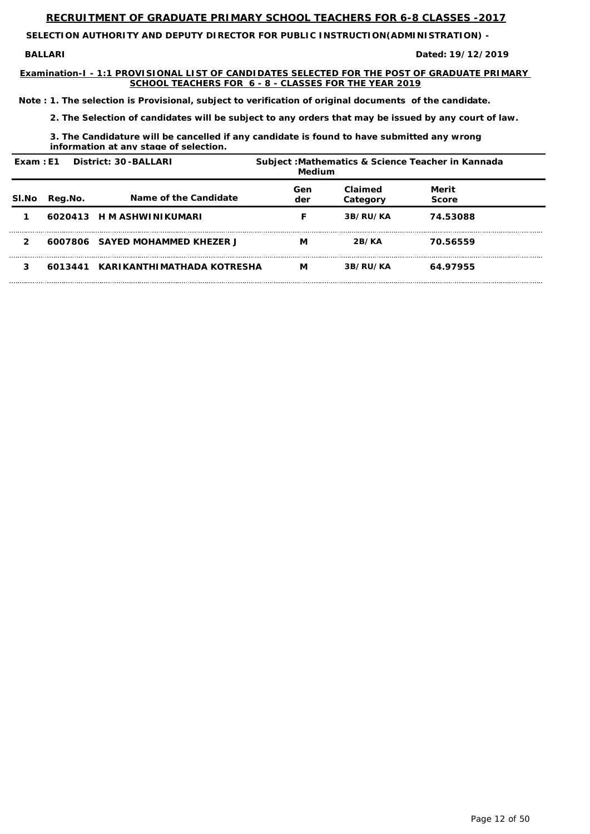**BALLARI Dated:**

**SELECTION AUTHORITY AND DEPUTY DIRECTOR FOR PUBLIC INSTRUCTION(ADMINISTRATION) -** 

**Examination-I - 1:1 PROVISIONAL LIST OF CANDIDATES SELECTED FOR THE POST OF GRADUATE PRIMARY SCHOOL TEACHERS FOR 6 - 8 - CLASSES FOR THE YEAR 2019**

**19/12/2019**

*Note : 1. The selection is Provisional, subject to verification of original documents of the candidate.*

*2. The Selection of candidates will be subject to any orders that may be issued by any court of law.*

*3. The Candidature will be cancelled if any candidate is found to have submitted any wrong information at any stage of selection.*

| Exam: E1<br><b>District: 30-BALLARI</b> |         | Subject: Mathematics & Science Teacher in Kannada<br>Medium |            |                     |                              |  |
|-----------------------------------------|---------|-------------------------------------------------------------|------------|---------------------|------------------------------|--|
| SI.No                                   | Reg.No. | Name of the Candidate                                       | Gen<br>der | Claimed<br>Category | <b>Merit</b><br><b>Score</b> |  |
|                                         |         | 6020413 H M ASHWINIKUMARI                                   |            | 3B/RU/KA            | 74.53088                     |  |
|                                         |         | 6007806 SAYED MOHAMMED KHEZER J                             | М          | 2B/KA               | 70.56559                     |  |
|                                         |         | 6013441 KARIKANTHIMATHADA KOTRESHA                          | М          | 3B/RU/KA            | 64.97955                     |  |

Page 12 of 50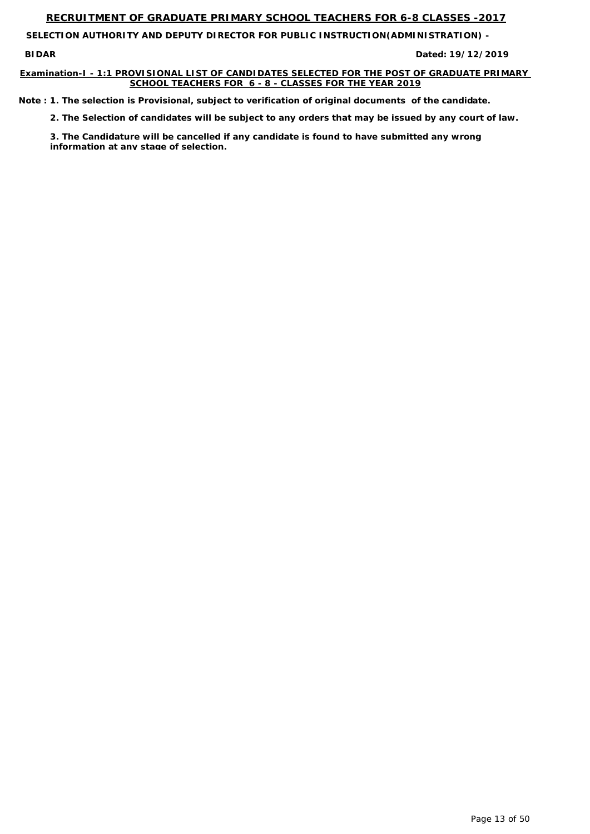**BIDAR Dated:**

**SELECTION AUTHORITY AND DEPUTY DIRECTOR FOR PUBLIC INSTRUCTION(ADMINISTRATION) -** 

### **Examination-I - 1:1 PROVISIONAL LIST OF CANDIDATES SELECTED FOR THE POST OF GRADUATE PRIMARY SCHOOL TEACHERS FOR 6 - 8 - CLASSES FOR THE YEAR 2019**

**19/12/2019**

*Note : 1. The selection is Provisional, subject to verification of original documents of the candidate.*

*2. The Selection of candidates will be subject to any orders that may be issued by any court of law.*

*3. The Candidature will be cancelled if any candidate is found to have submitted any wrong information at any stage of selection.*

Page 13 of 50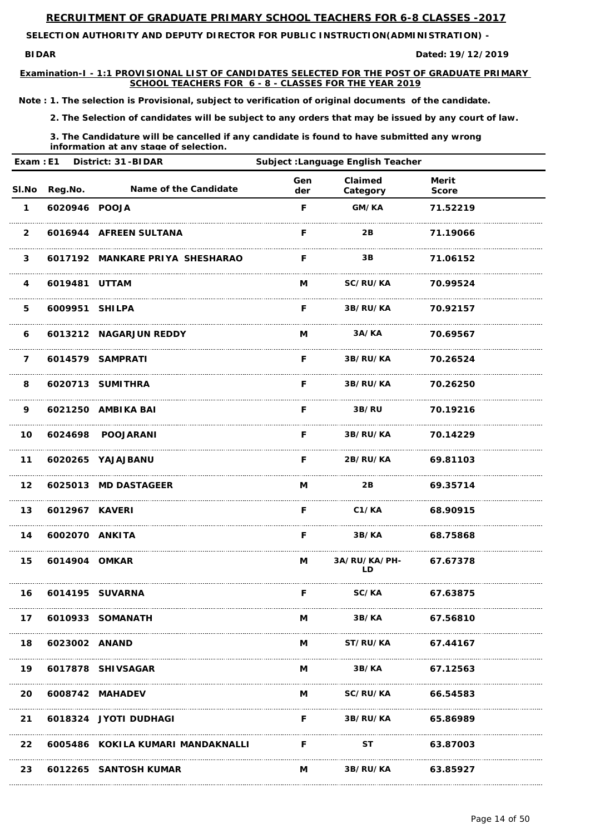**SELECTION AUTHORITY AND DEPUTY DIRECTOR FOR PUBLIC INSTRUCTION(ADMINISTRATION) -** 

**BIDAR Dated: 19/12/2019**

**Examination-I - 1:1 PROVISIONAL LIST OF CANDIDATES SELECTED FOR THE POST OF GRADUATE PRIMARY SCHOOL TEACHERS FOR 6 - 8 - CLASSES FOR THE YEAR 2019**

*Note : 1. The selection is Provisional, subject to verification of original documents of the candidate.*

*2. The Selection of candidates will be subject to any orders that may be issued by any court of law.*

*3. The Candidature will be cancelled if any candidate is found to have submitted any wrong information at any stage of selection.*

| Exam: E1                |                | <b>District: 31-BIDAR</b>       | Subject : Language English Teacher |                             |                              |  |
|-------------------------|----------------|---------------------------------|------------------------------------|-----------------------------|------------------------------|--|
| SI.No                   | Reg.No.        | Name of the Candidate           | Gen<br>der                         | Claimed<br>Category         | <b>Merit</b><br><b>Score</b> |  |
| $\mathbf 1$             | 6020946 POOJA  |                                 | F                                  | GM/KA                       | 71.52219                     |  |
| $\overline{2}$          |                | 6016944 AFREEN SULTANA          | F                                  | 2B                          | 71.19066                     |  |
| $\mathbf{3}$            |                | 6017192 MANKARE PRIYA SHESHARAO | F                                  | 3B                          | 71.06152                     |  |
| $\overline{\mathbf{4}}$ | 6019481 UTTAM  |                                 | M                                  | <b>SC/RU/KA</b>             | 70.99524                     |  |
| 5                       | 6009951 SHILPA |                                 | F                                  | 3B/RU/KA                    | 70.92157                     |  |
| 6                       |                | 6013212 NAGARJUN REDDY          | M                                  | 3A/KA                       | 70.69567                     |  |
| $\overline{7}$          |                | 6014579 SAMPRATI                | F                                  | 3B/RU/KA                    | 70.26524                     |  |
| 8                       |                | 6020713 SUMITHRA                | F                                  | 3B/RU/KA                    | 70.26250                     |  |
| 9                       |                | 6021250 AMBIKA BAI              | F                                  | 3B/RU                       | 70.19216                     |  |
| 10                      |                | 6024698 POOJARANI               | F                                  | 3B/RU/KA                    | 70.14229                     |  |
| $11$                    |                | 6020265 YAJAJBANU               | F                                  | 2B/RU/KA                    | 69.81103                     |  |
| 12 <sub>2</sub>         |                | 6025013 MD DASTAGEER            | M                                  | 2B 69.35714                 |                              |  |
| 13                      | 6012967 KAVERI |                                 | $\mathsf{F}$                       | C1/KA                       | 68.90915                     |  |
| 14                      | 6002070 ANKITA |                                 | F.                                 | <b>3B/KA</b>                | 68.75868                     |  |
| 15                      | 6014904 OMKAR  |                                 | M <sub>a</sub>                     | 3A/RU/KA/PH- 67.67378<br>LD |                              |  |
| 16                      |                | 6014195 SUVARNA                 | F.                                 | <b>SC/KA</b>                | 67.63875                     |  |
| 17                      |                | 6010933 SOMANATH                | M                                  | 3B/KA 67.56810              |                              |  |

| 18        | 6023002 ANAND |                                   | М | <b>ST/RU/KA</b> | 67.44167 |
|-----------|---------------|-----------------------------------|---|-----------------|----------|
| 19        |               | 6017878 SHIVSAGAR                 | M | 3B/KA           | 67.12563 |
| <b>20</b> |               | 6008742 MAHADEV                   | M | SC/RU/KA        | 66.54583 |
| 21        |               | 6018324 JYOTI DUDHAGI             |   | 3B/RU/KA        | 65.86989 |
| 22        |               | 6005486 KOKILA KUMARI MANDAKNALLI |   | SТ              | 63.87003 |
| 23        |               | 6012265 SANTOSH KUMAR             | М | 3B/RU/KA        | 63.85927 |

Page 14 of 50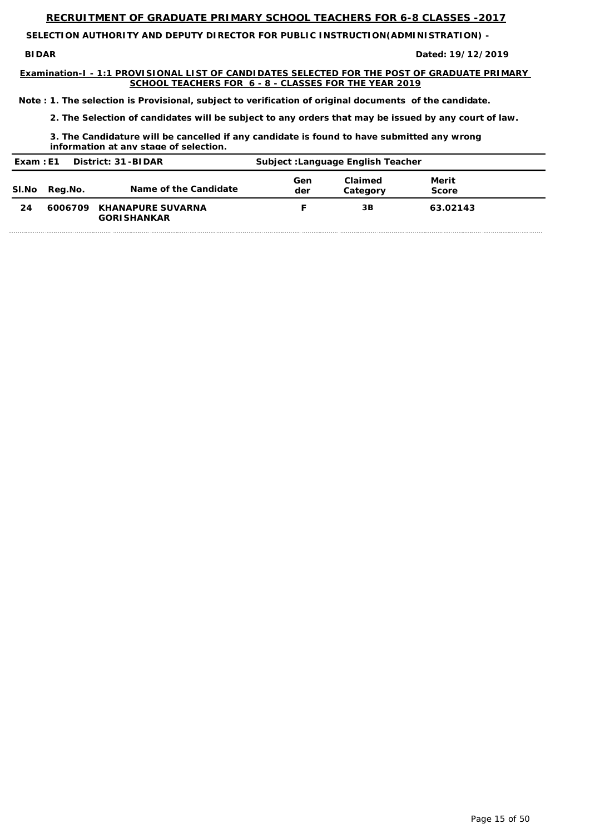**BIDAR Dated:**

**SELECTION AUTHORITY AND DEPUTY DIRECTOR FOR PUBLIC INSTRUCTION(ADMINISTRATION) -** 

**Examination-I - 1:1 PROVISIONAL LIST OF CANDIDATES SELECTED FOR THE POST OF GRADUATE PRIMARY SCHOOL TEACHERS FOR 6 - 8 - CLASSES FOR THE YEAR 2019**

**19/12/2019**

*Note : 1. The selection is Provisional, subject to verification of original documents of the candidate.*

*2. The Selection of candidates will be subject to any orders that may be issued by any court of law.*

*3. The Candidature will be cancelled if any candidate is found to have submitted any wrong information at any stage of selection.*

| District: 31-BIDAR<br>Exam : E1 |         | <b>Subject : Language English Teacher</b>       |            |                     |                       |  |
|---------------------------------|---------|-------------------------------------------------|------------|---------------------|-----------------------|--|
| <b>SI.No</b>                    | Reg.No. | Name of the Candidate                           | Gen<br>der | Claimed<br>Category | Merit<br><b>Score</b> |  |
| 24                              |         | 6006709 KHANAPURE SUVARNA<br><b>GORISHANKAR</b> |            | 3B                  | 63.02143              |  |

Page 15 of 50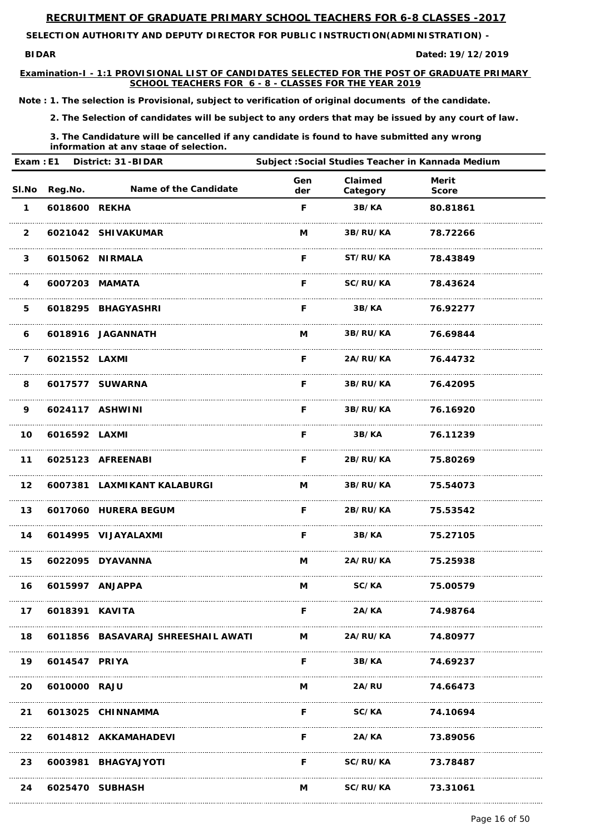**SELECTION AUTHORITY AND DEPUTY DIRECTOR FOR PUBLIC INSTRUCTION(ADMINISTRATION) -** 

**BIDAR Dated: 19/12/2019**

**Examination-I - 1:1 PROVISIONAL LIST OF CANDIDATES SELECTED FOR THE POST OF GRADUATE PRIMARY SCHOOL TEACHERS FOR 6 - 8 - CLASSES FOR THE YEAR 2019**

*Note : 1. The selection is Provisional, subject to verification of original documents of the candidate.*

*2. The Selection of candidates will be subject to any orders that may be issued by any court of law.*

| Exam: E1                |                | <b>District: 31-BIDAR</b>   | Subject : Social Studies Teacher in Kannada Medium |                          |                              |  |
|-------------------------|----------------|-----------------------------|----------------------------------------------------|--------------------------|------------------------------|--|
| SI.No                   | Reg.No.        | Name of the Candidate       | Gen<br>der                                         | Claimed<br>Category      | <b>Merit</b><br><b>Score</b> |  |
| $\mathbf 1$             | 6018600 REKHA  |                             | F                                                  | 3B/KA                    | 80.81861                     |  |
| $\overline{2}$          |                | 6021042 SHIVAKUMAR          | M                                                  | 3B/RU/KA                 | 78.72266                     |  |
| $\mathbf{3}$            |                | 6015062 NIRMALA             | F                                                  | ST/RU/KA                 | 78.43849                     |  |
| $\overline{\mathbf{4}}$ |                | 6007203 MAMATA              | F.                                                 | <b>SC/RU/KA</b>          | 78.43624                     |  |
| 5                       |                | 6018295 BHAGYASHRI          | F                                                  | 3B/KA                    | 76.92277                     |  |
| 6                       |                | 6018916 JAGANNATH           | M                                                  | <b>3B/RU/KA</b>          | 76.69844                     |  |
| $\overline{7}$          | 6021552 LAXMI  |                             | F                                                  | <b>2A/RU/KA</b>          | 76.44732                     |  |
| 8                       |                | 6017577 SUWARNA             | F.                                                 | 3B/RU/KA                 | 76.42095                     |  |
| 9                       |                | 6024117 ASHWINI             | F.                                                 | 3B/RU/KA                 | 76.16920                     |  |
| 10                      | 6016592 LAXMI  |                             | F.                                                 | 3B/KA                    | 76.11239                     |  |
| 11                      |                | 6025123 AFREENABI           | F.                                                 | 2B/RU/KA                 | 75.80269                     |  |
| 12 <sub>2</sub>         |                | 6007381 LAXMIKANT KALABURGI |                                                    | M 3B/RU/KA 75.54073      |                              |  |
| 13                      |                | 6017060 HURERA BEGUM        |                                                    | F 2B/RU/KA 75.53542      |                              |  |
| 14                      |                | 6014995 VIJAYALAXMI         | F.                                                 |                          | 3B/KA 75.27105               |  |
| 15                      |                | 6022095 DYAVANNA            | M                                                  | <b>2A/RU/KA</b> 75.25938 |                              |  |
| 16                      |                | 6015997 ANJAPPA             | $M \sim 1$                                         |                          | SC/KA 75.00579               |  |
| 17                      | 6018391 KAVITA |                             | F.                                                 | <b>2A/KA</b>             | 74.98764                     |  |

| 18        |               | 6011856 BASAVARAJ SHREESHAIL AWATI | M | 2A/RU/KA     | 74.80977 |  |
|-----------|---------------|------------------------------------|---|--------------|----------|--|
| 19        | 6014547 PRIYA |                                    | F | 3B/KA        | 74.69237 |  |
| <b>20</b> | 6010000 RAJU  |                                    | М | <b>2A/RU</b> | 74.66473 |  |
| 21        |               | 6013025 CHINNAMMA                  | F | SC/KA        | 74.10694 |  |
| 22        |               | 6014812 AKKAMAHADEVI               | F | 2A/KA        | 73.89056 |  |
| 23        |               | 6003981 BHAGYAJYOTI                | F | SC/RU/KA     | 73.78487 |  |
| 24        |               | 6025470 SUBHASH                    | M | SC/RU/KA     | 73.31061 |  |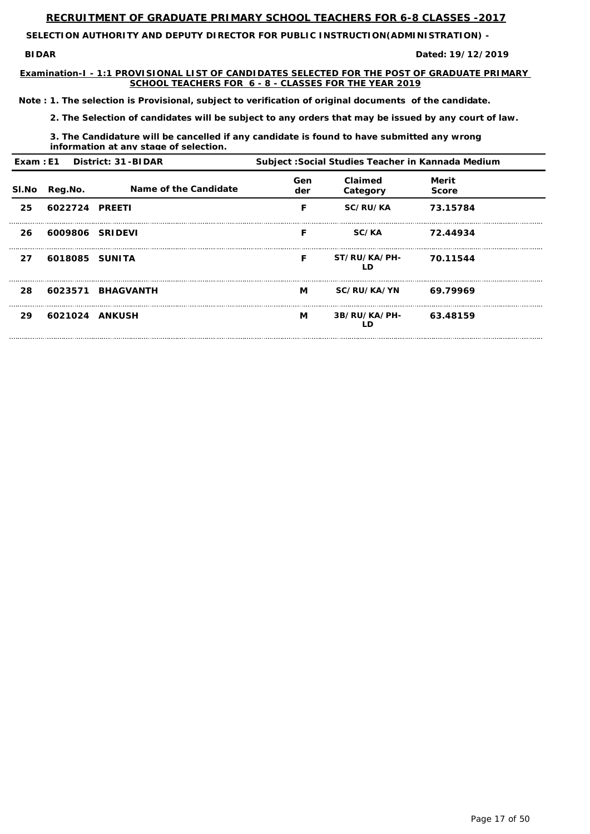**SELECTION AUTHORITY AND DEPUTY DIRECTOR FOR PUBLIC INSTRUCTION(ADMINISTRATION) -** 

**BIDAR Dated: 19/12/2019**

**Examination-I - 1:1 PROVISIONAL LIST OF CANDIDATES SELECTED FOR THE POST OF GRADUATE PRIMARY SCHOOL TEACHERS FOR 6 - 8 - CLASSES FOR THE YEAR 2019**

*Note : 1. The selection is Provisional, subject to verification of original documents of the candidate.*

*2. The Selection of candidates will be subject to any orders that may be issued by any court of law.*

*3. The Candidature will be cancelled if any candidate is found to have submitted any wrong information at any stage of selection.*

|       |                 | Exam : E1 District: 31-BIDAR | Subject : Social Studies Teacher in Kannada Medium |                     |                       |  |
|-------|-----------------|------------------------------|----------------------------------------------------|---------------------|-----------------------|--|
| SI.No | Reg.No.         | Name of the Candidate        | Gen<br>der                                         | Claimed<br>Category | Merit<br><b>Score</b> |  |
| 25    | 6022724 PREETI  |                              | F                                                  | <b>SC/RU/KA</b>     | 73.15784              |  |
| 26    | 6009806 SRIDEVI |                              | F                                                  | SC/KA               | 72.44934              |  |
| 27    | 6018085 SUNITA  |                              | F                                                  | ST/RU/KA/PH-<br>LD  | 70.11544              |  |
| 28    |                 | 6023571 BHAGVANTH            | M <sub>a</sub>                                     | <b>SC/RU/KA/YN</b>  | 69.79969              |  |
| 29    | 6021024 ANKUSH  |                              | M                                                  | 3B/RU/KA/PH-<br>LD  | 63.48159              |  |

Page 17 of 50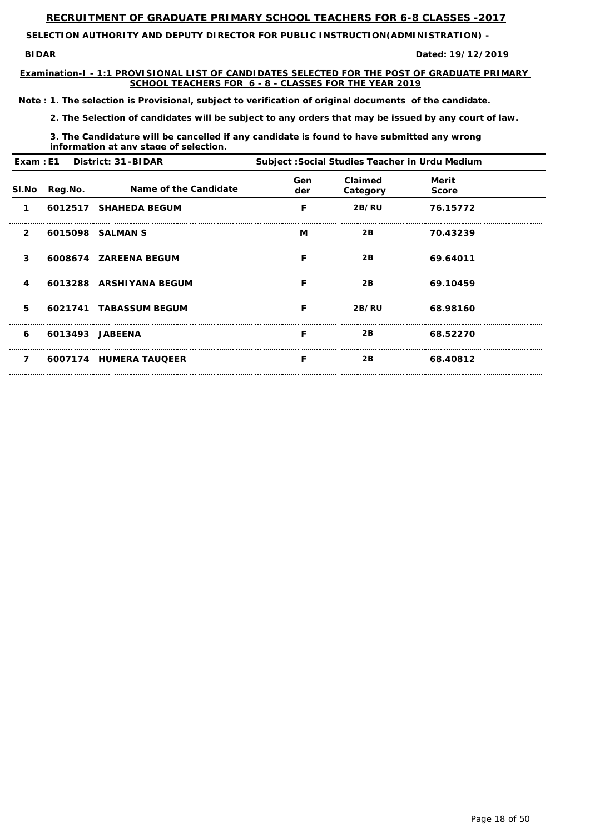**BIDAR Dated:**

**SELECTION AUTHORITY AND DEPUTY DIRECTOR FOR PUBLIC INSTRUCTION(ADMINISTRATION) -** 

**Examination-I - 1:1 PROVISIONAL LIST OF CANDIDATES SELECTED FOR THE POST OF GRADUATE PRIMARY SCHOOL TEACHERS FOR 6 - 8 - CLASSES FOR THE YEAR 2019**

**19/12/2019**

*Note : 1. The selection is Provisional, subject to verification of original documents of the candidate.*

*2. The Selection of candidates will be subject to any orders that may be issued by any court of law.*

*3. The Candidature will be cancelled if any candidate is found to have submitted any wrong information at any stage of selection.*

| Exam: E1 District: 31-BIDAR |         | Subject : Social Studies Teacher in Urdu Medium |            |                     |                              |  |
|-----------------------------|---------|-------------------------------------------------|------------|---------------------|------------------------------|--|
| <b>SI.No</b>                | Reg.No. | Name of the Candidate                           | Gen<br>der | Claimed<br>Category | <b>Merit</b><br><b>Score</b> |  |
| 1                           |         | 6012517 SHAHEDA BEGUM                           | F          | 2B/RU               | 76.15772                     |  |
| $\overline{2}$              |         | 6015098 SALMAN S                                | M          | 2B                  | 70.43239                     |  |
| $\mathbf{3}$                |         | 6008674 ZAREENA BEGUM                           | F          | 2B                  | 69.64011                     |  |
| $\overline{4}$              |         | 6013288 ARSHIYANA BEGUM                         | F          | 2B                  | 69.10459                     |  |
| 5                           |         | 6021741 TABASSUM BEGUM                          | F          | 2B/RU               | 68.98160                     |  |
| 6                           |         | 6013493 JABEENA                                 | F          | 2B                  | 68.52270                     |  |
| 7                           |         | 6007174 HUMERA TAUQEER                          | F          | 2B                  | 68.40812                     |  |

Page 18 of 50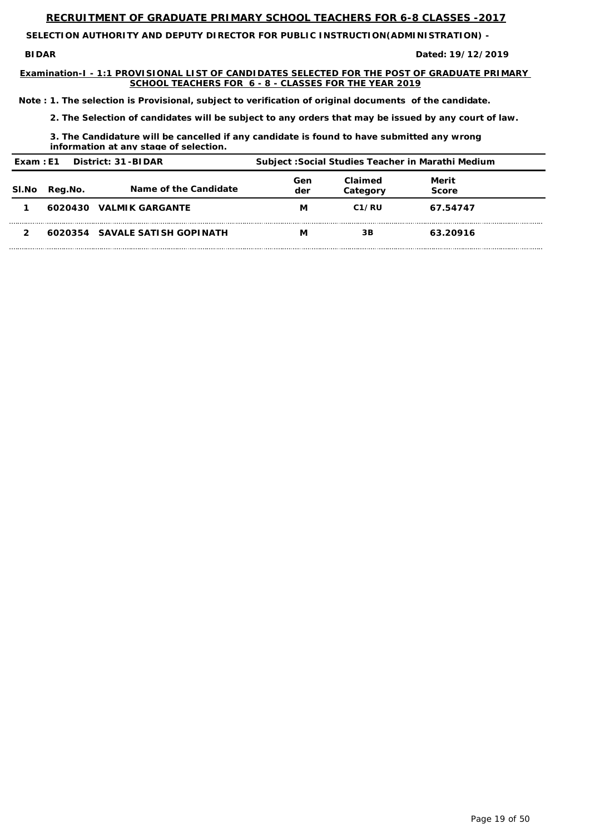**SELECTION AUTHORITY AND DEPUTY DIRECTOR FOR PUBLIC INSTRUCTION(ADMINISTRATION) -** 

**BIDAR Dated: 19/12/2019**

**Examination-I - 1:1 PROVISIONAL LIST OF CANDIDATES SELECTED FOR THE POST OF GRADUATE PRIMARY SCHOOL TEACHERS FOR 6 - 8 - CLASSES FOR THE YEAR 2019**

*Note : 1. The selection is Provisional, subject to verification of original documents of the candidate.*

*2. The Selection of candidates will be subject to any orders that may be issued by any court of law.*

*3. The Candidature will be cancelled if any candidate is found to have submitted any wrong information at any stage of selection.*

| District: 31-BIDAR<br>Exam: E1 |         | Subject : Social Studies Teacher in Marathi Medium |            |                     |                       |
|--------------------------------|---------|----------------------------------------------------|------------|---------------------|-----------------------|
| <b>SI.No</b>                   | Reg.No. | Name of the Candidate                              | Gen<br>der | Claimed<br>Category | Merit<br><b>Score</b> |
|                                | 6020430 | <b>VALMIK GARGANTE</b>                             | M          | C <sub>1</sub> /RU  | 67.54747              |
|                                |         | 6020354 SAVALE SATISH GOPINATH                     | M          | 3B                  | 63.20916              |

Page 19 of 50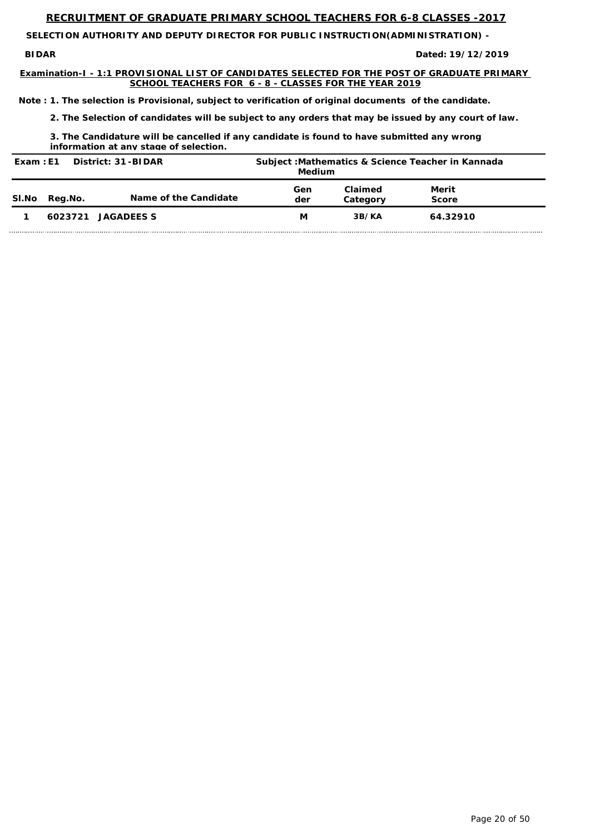**SELECTION AUTHORITY AND DEPUTY DIRECTOR FOR PUBLIC INSTRUCTION(ADMINISTRATION) -** 

**BIDAR Dated: 19/12/2019**

**Examination-I - 1:1 PROVISIONAL LIST OF CANDIDATES SELECTED FOR THE POST OF GRADUATE PRIMARY SCHOOL TEACHERS FOR 6 - 8 - CLASSES FOR THE YEAR 2019**

*Note : 1. The selection is Provisional, subject to verification of original documents of the candidate.*

*2. The Selection of candidates will be subject to any orders that may be issued by any court of law.*

*3. The Candidature will be cancelled if any candidate is found to have submitted any wrong information at any stage of selection.*

| District: 31-BIDAR<br>Exam : E1 |         | Subject: Mathematics & Science Teacher in Kannada<br><b>Medium</b> |            |                     |                       |
|---------------------------------|---------|--------------------------------------------------------------------|------------|---------------------|-----------------------|
| SI.No                           | Reg.No. | Name of the Candidate                                              | Gen<br>der | Claimed<br>Category | Merit<br><b>Score</b> |
|                                 | 6023721 | <b>JAGADEES S</b>                                                  | М          | 3B/KA               | 64.32910              |

Page 20 of 50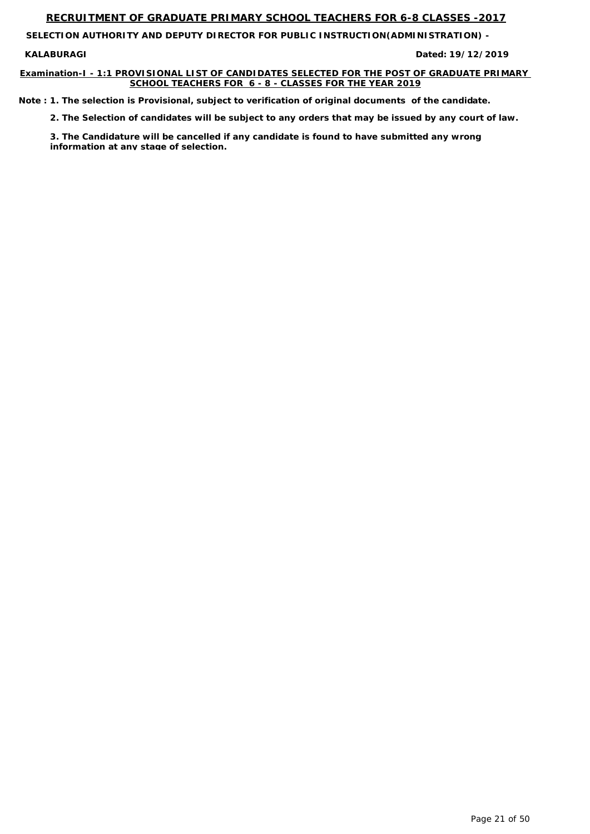**SELECTION AUTHORITY AND DEPUTY DIRECTOR FOR PUBLIC INSTRUCTION(ADMINISTRATION) -** 

**KALABURAGI** 

#### **Examination-I - 1:1 PROVISIONAL LIST OF CANDIDATES SELECTED FOR THE POST OF GRADUATE PRIMARY SCHOOL TEACHERS FOR 6 - 8 - CLASSES FOR THE YEAR 2019**

**19/12/2019**

*Note : 1. The selection is Provisional, subject to verification of original documents of the candidate.*

*2. The Selection of candidates will be subject to any orders that may be issued by any court of law.*

*3. The Candidature will be cancelled if any candidate is found to have submitted any wrong information at any stage of selection.*

Page 21 of 50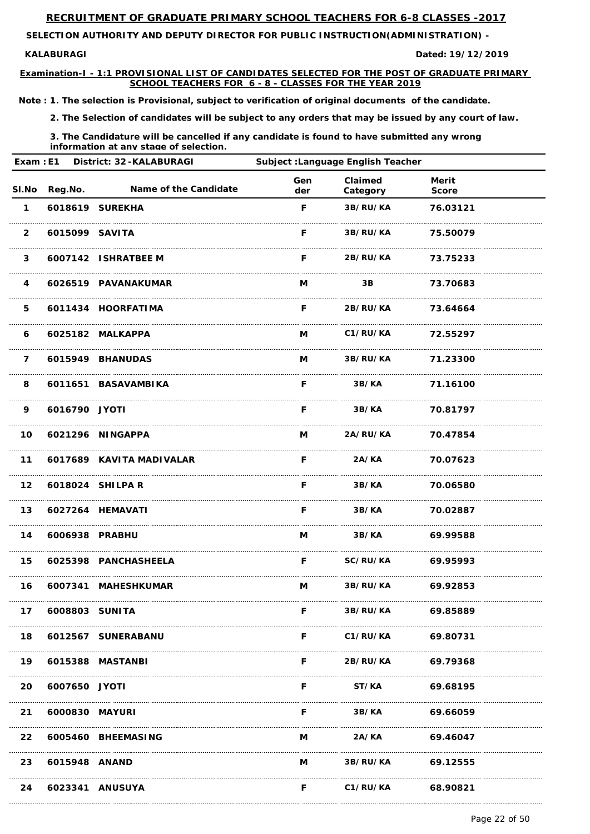**SELECTION AUTHORITY AND DEPUTY DIRECTOR FOR PUBLIC INSTRUCTION(ADMINISTRATION) -** 

#### **KALABURAGI**

**Examination-I - 1:1 PROVISIONAL LIST OF CANDIDATES SELECTED FOR THE POST OF GRADUATE PRIMARY SCHOOL TEACHERS FOR 6 - 8 - CLASSES FOR THE YEAR 2019**

**19/12/2019**

*Note : 1. The selection is Provisional, subject to verification of original documents of the candidate.*

*2. The Selection of candidates will be subject to any orders that may be issued by any court of law.*

*3. The Candidature will be cancelled if any candidate is found to have submitted any wrong information at any stage of selection.*

| Exam: E1<br><b>District: 32-KALABURAGI</b> |                   |                              | Subject : Language English Teacher |                     |                              |  |
|--------------------------------------------|-------------------|------------------------------|------------------------------------|---------------------|------------------------------|--|
|                                            | SI.No Reg.No.     | <b>Name of the Candidate</b> | Gen<br>der                         | Claimed<br>Category | <b>Merit</b><br><b>Score</b> |  |
| $\mathbf 1$                                |                   | 6018619 SUREKHA              | F                                  | 3B/RU/KA            | 76.03121                     |  |
| $\overline{2}$                             | 6015099 SAVITA    |                              | F.                                 | <b>3B/RU/KA</b>     | 75.50079                     |  |
| $\mathbf{3}$                               |                   | 6007142 ISHRATBEE M          | F.                                 | <b>2B/RU/KA</b>     | 73.75233                     |  |
| 4                                          |                   | 6026519 PAVANAKUMAR          | M                                  | 3B                  | 73.70683                     |  |
| 5                                          |                   | 6011434 HOORFATIMA           | F.                                 | 2B/RU/KA            | 73.64664                     |  |
| 6                                          |                   | 6025182 MALKAPPA             | M                                  | C1/RU/KA            | 72.55297                     |  |
| $\overline{7}$                             |                   | 6015949 BHANUDAS             | M                                  | <b>3B/RU/KA</b>     | 71.23300                     |  |
| 8                                          |                   | 6011651 BASAVAMBIKA          | F.                                 | 3B/KA               | 71.16100                     |  |
| 9                                          | 6016790 JYOTI     |                              | F.                                 | 3B/KA               | 70.81797                     |  |
| 10                                         |                   | 6021296 NINGAPPA             | M                                  | <b>2A/RU/KA</b>     | 70.47854                     |  |
| 11                                         |                   | 6017689 KAVITA MADIVALAR     | F                                  | 2A/KA               | 70.07623                     |  |
| 12                                         |                   | 6018024 SHILPA R             | F.                                 | 3B/KA               | 70.06580                     |  |
|                                            |                   | 13 6027264 HEMAVATI          | F.                                 | 3B/KA               | 70.02887                     |  |
|                                            | 14 6006938 PRABHU |                              | M.                                 |                     | 3B/KA 69.99588               |  |
|                                            |                   | 15 6025398 PANCHASHEELA      |                                    | <b>F</b> SC/RU/KA   | 69.95993                     |  |
| 16                                         |                   | 6007341 MAHESHKUMAR          |                                    | M 3B/RU/KA 69.92853 |                              |  |
| 17                                         | 6008803 SUNITA    |                              |                                    | F 3B/RU/KA          | 69.85889                     |  |

| 18 |                | 6012567 SUNERABANU |   | C1/RU/KA        | 69.80731 |
|----|----------------|--------------------|---|-----------------|----------|
| 19 |                | 6015388 MASTANBI   | F | <b>2B/RU/KA</b> | 69.79368 |
| 20 | 6007650 JYOTI  |                    | F | <b>ST/KA</b>    | 69.68195 |
| 21 | 6000830 MAYURI |                    | F | 3B/KA           | 69.66059 |
| 22 |                | 6005460 BHEEMASING | M | 2A/KA           | 69.46047 |
| 23 | 6015948 ANAND  |                    | M | <b>3B/RU/KA</b> | 69.12555 |
| 24 |                | 6023341 ANUSUYA    | F | C1/RU/KA        | 68.90821 |

Page 22 of 50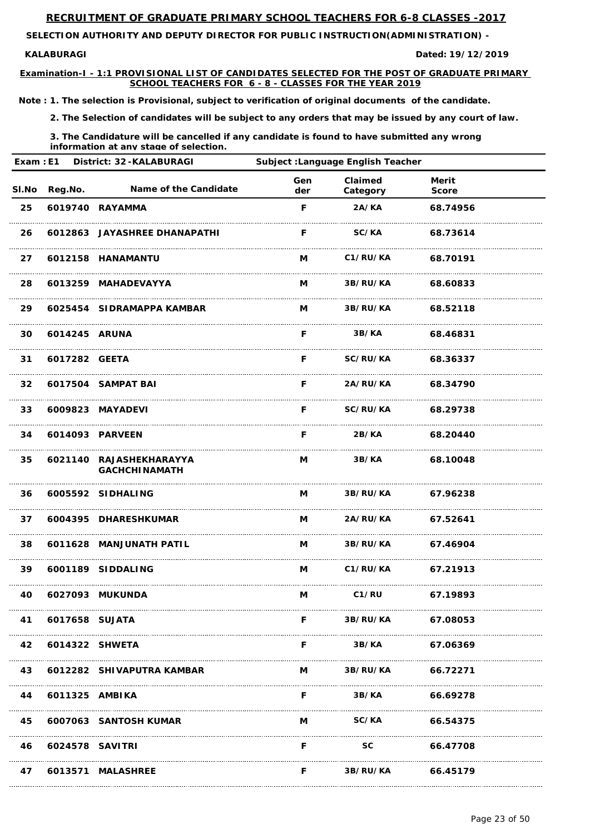**SELECTION AUTHORITY AND DEPUTY DIRECTOR FOR PUBLIC INSTRUCTION(ADMINISTRATION) -** 

#### **KALABURAGI**

**Examination-I - 1:1 PROVISIONAL LIST OF CANDIDATES SELECTED FOR THE POST OF GRADUATE PRIMARY SCHOOL TEACHERS FOR 6 - 8 - CLASSES FOR THE YEAR 2019**

**19/12/2019**

*Note : 1. The selection is Provisional, subject to verification of original documents of the candidate.*

*2. The Selection of candidates will be subject to any orders that may be issued by any court of law.*

*3. The Candidature will be cancelled if any candidate is found to have submitted any wrong information at any stage of selection.*

|       | Exam: E1<br>District: 32-KALABURAGI |                                                 | <b>Subject : Language English Teacher</b> |                     |                              |  |
|-------|-------------------------------------|-------------------------------------------------|-------------------------------------------|---------------------|------------------------------|--|
| SI.No | Reg.No.                             | Name of the Candidate                           | Gen<br>der                                | Claimed<br>Category | <b>Merit</b><br><b>Score</b> |  |
| 25    |                                     | 6019740 RAYAMMA                                 | F                                         | 2A/KA               | 68.74956                     |  |
| 26    |                                     | 6012863 JAYASHREE DHANAPATHI                    | F                                         | SC/KA               | 68.73614                     |  |
| 27    |                                     | 6012158 HANAMANTU                               | M                                         | C1/RU/KA            | 68.70191                     |  |
| 28    |                                     | 6013259 MAHADEVAYYA                             | M                                         | 3B/RU/KA            | 68.60833                     |  |
| 29    |                                     | 6025454 SIDRAMAPPA KAMBAR                       | M                                         | 3B/RU/KA            | 68.52118                     |  |
| 30    | 6014245 ARUNA                       |                                                 | F                                         | 3B/KA               | 68.46831                     |  |
| 31    | 6017282 GEETA                       |                                                 | F                                         | SC/RU/KA            | 68.36337                     |  |
| 32    |                                     | 6017504 SAMPAT BAI                              | F                                         | 2A/RU/KA            | 68.34790                     |  |
| 33    |                                     | 6009823 MAYADEVI                                | F                                         | SC/RU/KA            | 68.29738                     |  |
| 34    |                                     | 6014093 PARVEEN                                 | F                                         | 2B/KA               | 68.20440                     |  |
| 35    |                                     | 6021140 RAJASHEKHARAYYA<br><b>GACHCHINAMATH</b> | M                                         | 3B/KA               | 68.10048                     |  |
| 36    |                                     | 6005592 SIDHALING                               | $M \sim 1$                                |                     | 3B/RU/KA 67.96238            |  |
| 37    |                                     | 6004395 DHARESHKUMAR                            |                                           | M 2A/RU/KA          | 67.52641                     |  |
| 38    |                                     | 6011628 MANJUNATH PATIL                         |                                           | M 3B/RU/KA 67.46904 |                              |  |
| 39    |                                     | 6001189 SIDDALING                               |                                           | M C1/RU/KA 67.21913 |                              |  |
| 40    |                                     | 6027093 MUKUNDA                                 | M                                         | <b>C1/RU</b>        | 67.19893                     |  |
| 41    | 6017658 SUJATA                      |                                                 | F                                         | <b>3B/RU/KA</b>     | 67.08053                     |  |

| 42 | 6014322 SHWETA  |                           |   | 3B/KA    | 67.06369 |
|----|-----------------|---------------------------|---|----------|----------|
| 43 |                 | 6012282 SHIVAPUTRA KAMBAR | M | 3B/RU/KA | 66.72271 |
|    | 6011325 AMBIKA  |                           |   | 3B/KA    | 66.69278 |
| 45 |                 | 6007063 SANTOSH KUMAR     | M | SC/KA    | 66.54375 |
| 46 | 6024578 SAVITRI |                           |   | SC.      | 66.47708 |
| 47 |                 | 6013571 MALASHREE         |   | 3B/RU/KA | 66.45179 |

Page 23 of 50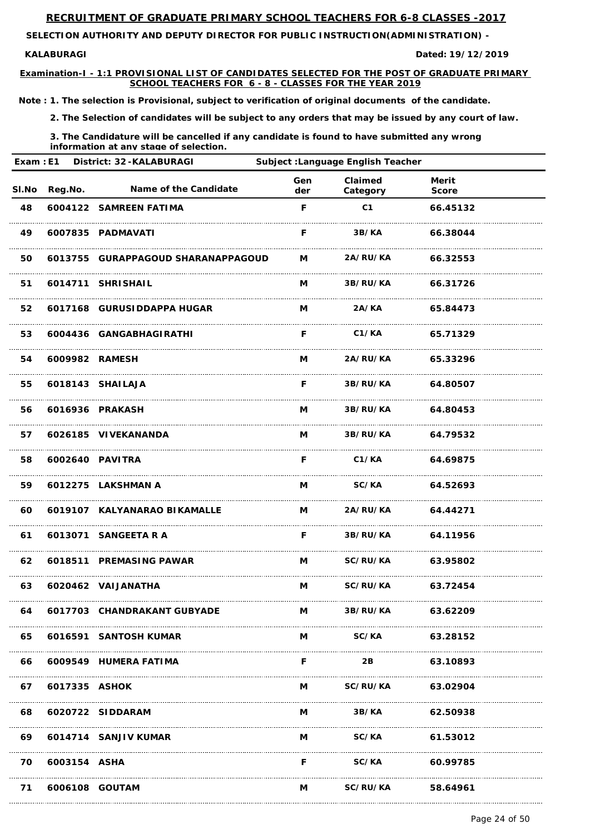**SELECTION AUTHORITY AND DEPUTY DIRECTOR FOR PUBLIC INSTRUCTION(ADMINISTRATION) -** 

#### **KALABURAGI**

**Examination-I - 1:1 PROVISIONAL LIST OF CANDIDATES SELECTED FOR THE POST OF GRADUATE PRIMARY SCHOOL TEACHERS FOR 6 - 8 - CLASSES FOR THE YEAR 2019**

**19/12/2019**

*Note : 1. The selection is Provisional, subject to verification of original documents of the candidate.*

*2. The Selection of candidates will be subject to any orders that may be issued by any court of law.*

| Exam: E1<br>District: 32-KALABURAGI<br><b>Subject : Language English Teacher</b> |                |                                    |            |                            |                              |  |
|----------------------------------------------------------------------------------|----------------|------------------------------------|------------|----------------------------|------------------------------|--|
| <b>SI.No</b>                                                                     | Reg.No.        | Name of the Candidate              | Gen<br>der | Claimed<br>Category        | <b>Merit</b><br><b>Score</b> |  |
| 48                                                                               |                | 6004122 SAMREEN FATIMA             | F          | C <sub>1</sub>             | 66.45132                     |  |
| 49                                                                               |                | 6007835 PADMAVATI                  | F.         | 3B/KA                      | 66.38044                     |  |
| 50                                                                               |                | 6013755 GURAPPAGOUD SHARANAPPAGOUD | M          | 2A/RU/KA                   | 66.32553                     |  |
| 51                                                                               |                | 6014711 SHRISHAIL                  | M          | 3B/RU/KA                   | 66.31726                     |  |
| 52                                                                               |                | 6017168 GURUSIDDAPPA HUGAR         | M          | 2A/KA                      | 65.84473                     |  |
| 53                                                                               |                | 6004436 GANGABHAGIRATHI            | F.         | C1/KA                      | 65.71329                     |  |
| 54                                                                               | 6009982 RAMESH |                                    | M          | 2A/RU/KA                   | 65.33296                     |  |
| 55                                                                               |                | 6018143 SHAILAJA                   | F          | <b>3B/RU/KA</b>            | 64.80507                     |  |
| 56                                                                               |                | 6016936 PRAKASH                    | M          | 3B/RU/KA                   | 64.80453                     |  |
| 57                                                                               |                | 6026185 VIVEKANANDA                | M          | 3B/RU/KA                   | 64.79532                     |  |
| 58                                                                               |                | 6002640 PAVITRA                    | F          | C1/KA                      | 64.69875                     |  |
| 59                                                                               |                | 6012275 LAKSHMAN A                 |            | M SC/KA 64.52693           |                              |  |
| 60                                                                               |                | 6019107 KALYANARAO BIKAMALLE       |            | <b>M</b> 2A/RU/KA 64.44271 |                              |  |
| 61                                                                               |                | 6013071 SANGEETA R A               |            | F 3B/RU/KA 64.11956        |                              |  |
| 62                                                                               |                | 6018511 PREMASING PAWAR            |            | M SC/RU/KA 63.95802        |                              |  |
| 63                                                                               |                | 6020462 VAIJANATHA                 |            | M SC/RU/KA 63.72454        |                              |  |
| 64                                                                               |                | 6017703 CHANDRAKANT GUBYADE        |            | M 3B/RU/KA 63.62209        |                              |  |

| 65 |                | 6016591 SANTOSH KUMAR |   | SC/KA           | 63.28152 |
|----|----------------|-----------------------|---|-----------------|----------|
| 66 |                | 6009549 HUMERA FATIMA |   | 2B              | 63.10893 |
| 67 | 6017335 ASHOK  |                       | M | <b>SC/RU/KA</b> | 63.02904 |
| 68 |                | 6020722 SIDDARAM      | M | 3B/KA           | 62.50938 |
| 69 |                | 6014714 SANJIV KUMAR  | М | SC/KA           | 61.53012 |
| 70 | 6003154 ASHA   |                       | F | <b>SC/KA</b>    | 60.99785 |
| 71 | 6006108 GOUTAM |                       | М | SC/RU/KA        | 58.64961 |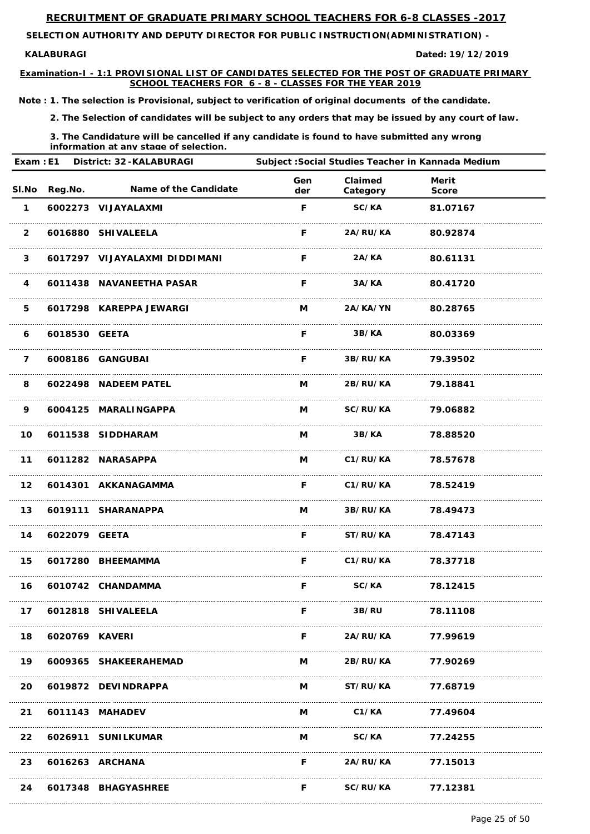**SELECTION AUTHORITY AND DEPUTY DIRECTOR FOR PUBLIC INSTRUCTION(ADMINISTRATION) -** 

#### **KALABURAGI**

**Examination-I - 1:1 PROVISIONAL LIST OF CANDIDATES SELECTED FOR THE POST OF GRADUATE PRIMARY SCHOOL TEACHERS FOR 6 - 8 - CLASSES FOR THE YEAR 2019**

**19/12/2019**

*Note : 1. The selection is Provisional, subject to verification of original documents of the candidate.*

*2. The Selection of candidates will be subject to any orders that may be issued by any court of law.*

|                | Exam: E1<br>District: 32-KALABURAGI |                               | Subject : Social Studies Teacher in Kannada Medium |                          |                              |  |
|----------------|-------------------------------------|-------------------------------|----------------------------------------------------|--------------------------|------------------------------|--|
| SI.No          | Reg.No.                             | Name of the Candidate         | Gen<br>der                                         | Claimed<br>Category      | <b>Merit</b><br><b>Score</b> |  |
| $\mathbf 1$    |                                     | 6002273 VIJAYALAXMI           | F                                                  | SC/KA                    | 81.07167                     |  |
| $\overline{2}$ |                                     | 6016880 SHIVALEELA            | F.                                                 | 2A/RU/KA                 | 80.92874                     |  |
| $\mathbf{3}$   |                                     | 6017297 VIJAYALAXMI DIDDIMANI | F.                                                 | 2A/KA                    | 80.61131                     |  |
| 4              |                                     | 6011438 NAVANEETHA PASAR      | F.                                                 | 3A/KA                    | 80.41720                     |  |
| 5              |                                     | 6017298 KAREPPA JEWARGI       | M                                                  | 2A/KA/YN                 | 80.28765                     |  |
| 6              | 6018530 GEETA                       |                               | E                                                  | 3B/KA                    | 80.03369                     |  |
| $\overline{7}$ |                                     | 6008186 GANGUBAI              | F.                                                 | <b>3B/RU/KA</b>          | 79.39502                     |  |
| 8              |                                     | 6022498 NADEEM PATEL          | M                                                  | <b>2B/RU/KA</b>          | 79.18841                     |  |
| 9              |                                     | 6004125 MARALINGAPPA          | M                                                  | <b>SC/RU/KA</b>          | 79.06882                     |  |
| 10             |                                     | 6011538 SIDDHARAM             | M                                                  | 3B/KA                    | 78.88520                     |  |
| 11             |                                     | 6011282 NARASAPPA             | M                                                  | C1/RU/KA                 | 78.57678                     |  |
|                |                                     | 12 6014301 AKKANAGAMMA        | F.                                                 | <b>C1/RU/KA</b> 78.52419 |                              |  |
|                |                                     | 13 6019111 SHARANAPPA         |                                                    | M 3B/RU/KA 78.49473      |                              |  |
|                | 14 6022079 GEETA                    |                               |                                                    | F ST/RU/KA 78.47143      |                              |  |
|                |                                     | 15 6017280 BHEEMAMMA          |                                                    | F C1/RU/KA 78.37718      |                              |  |
|                |                                     | 16 6010742 CHANDAMMA          | F.                                                 | <b>SC/KA</b> 78.12415    |                              |  |
|                |                                     | 17 6012818 SHIVALEELA         | F.                                                 | 3B/RU 78.11108           |                              |  |
|                | 18 6020769 KAVERI                   |                               |                                                    | F 2A/RU/KA 77.99619      |                              |  |
|                |                                     | 19 6009365 SHAKEERAHEMAD      |                                                    | M 2B/RU/KA 77.90269      |                              |  |
|                |                                     | 20 6019872 DEVINDRAPPA        |                                                    | M ST/RU/KA 77.68719      |                              |  |
|                |                                     | 21 6011143 MAHADEV            |                                                    | M C1/KA 77.49604         |                              |  |
|                |                                     | 22 6026911 SUNILKUMAR         |                                                    | M SC/KA 77.24255         |                              |  |
|                |                                     | 23 6016263 ARCHANA            |                                                    | F 2A/RU/KA 77.15013      |                              |  |
| 24             |                                     | 6017348 BHAGYASHREE           | F                                                  | SC/RU/KA                 | 77.12381                     |  |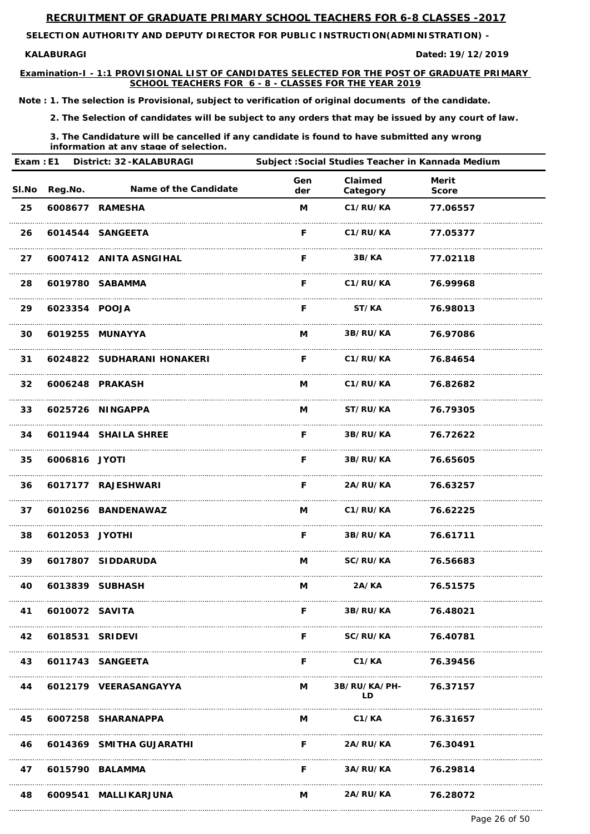**SELECTION AUTHORITY AND DEPUTY DIRECTOR FOR PUBLIC INSTRUCTION(ADMINISTRATION) -** 

#### **KALABURAGI**

**Examination-I - 1:1 PROVISIONAL LIST OF CANDIDATES SELECTED FOR THE POST OF GRADUATE PRIMARY SCHOOL TEACHERS FOR 6 - 8 - CLASSES FOR THE YEAR 2019**

**19/12/2019**

*Note : 1. The selection is Provisional, subject to verification of original documents of the candidate.*

*2. The Selection of candidates will be subject to any orders that may be issued by any court of law.*

*3. The Candidature will be cancelled if any candidate is found to have submitted any wrong information at any stage of selection.*

| Exam: E1        |                | <b>District: 32-KALABURAGI</b> |            |                     | Subject : Social Studies Teacher in Kannada Medium |  |
|-----------------|----------------|--------------------------------|------------|---------------------|----------------------------------------------------|--|
|                 | SI.No Reg.No.  | <b>Name of the Candidate</b>   | Gen<br>der | Claimed<br>Category | <b>Merit</b><br><b>Score</b>                       |  |
| 25              |                | 6008677 RAMESHA                | M          | C1/RU/KA            | 77.06557                                           |  |
| 26              |                | 6014544 SANGEETA               | F.         | C1/RU/KA            | 77.05377                                           |  |
| 27              |                | 6007412 ANITA ASNGIHAL         | F.         | <b>3B/KA</b>        | 77.02118                                           |  |
| 28              |                | 6019780 SABAMMA                | F.         | C1/RU/KA            | 76.99968                                           |  |
| 29              | 6023354 POOJA  |                                | F          | ST/KA               | 76.98013                                           |  |
| 30              |                | 6019255 MUNAYYA                | M          | <b>3B/RU/KA</b>     | 76.97086                                           |  |
| 31              |                | 6024822 SUDHARANI HONAKERI     | F.         | C1/RU/KA            | 76.84654                                           |  |
| 32 <sub>2</sub> |                | 6006248 PRAKASH                | M          | C1/RU/KA            | 76.82682                                           |  |
| 33              |                | 6025726 NINGAPPA               | M          | <b>ST/RU/KA</b>     | 76.79305                                           |  |
| 34              |                | 6011944 SHAILA SHREE           | F          | 3B/RU/KA            | 76.72622                                           |  |
| 35              | 6006816 JYOTI  |                                | F          | 3B/RU/KA            | 76.65605                                           |  |
| 36              |                | 6017177 RAJESHWARI             | F.         | <b>2A/RU/KA</b>     | 76.63257                                           |  |
| 37              |                | 6010256 BANDENAWAZ             |            | M C1/RU/KA 76.62225 |                                                    |  |
| 38              | 6012053 JYOTHI |                                |            | F 3B/RU/KA 76.61711 |                                                    |  |
| 39              |                | 6017807 SIDDARUDA              |            | M SC/RU/KA 76.56683 |                                                    |  |
| 40              |                | 6013839 SUBHASH                | M          |                     | 2A/KA 76.51575                                     |  |
| 41              | 6010072 SAVITA |                                | F.         | <b>3B/RU/KA</b>     | 76.48021                                           |  |

|    | 42 6018531 SRIDEVI |                          |          | <b>SC/RU/KA</b>            | 76.40781 |
|----|--------------------|--------------------------|----------|----------------------------|----------|
|    |                    | 43 6011743 SANGEETA      | F        | C1/KA                      | 76.39456 |
| 44 |                    | 6012179 VEERASANGAYYA    | <b>M</b> | <b>3B/RU/KA/PH-</b><br>I D | 76.37157 |
| 45 |                    | 6007258 SHARANAPPA       | M        | C1/KA                      | 76.31657 |
| 46 |                    | 6014369 SMITHA GUJARATHI | F        | <b>2A/RU/KA</b>            | 76.30491 |
| 47 |                    | 6015790 BALAMMA          | F        | <b>3A/RU/KA</b>            | 76.29814 |
| 48 |                    | 6009541 MALLIKARJUNA     | M        | <b>2A/RU/KA</b>            | 76.28072 |

Page 26 of 50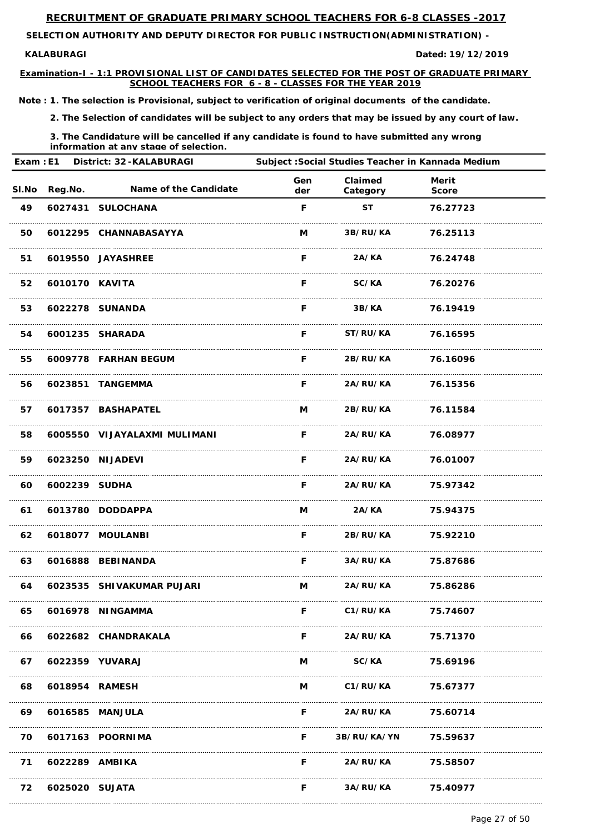**SELECTION AUTHORITY AND DEPUTY DIRECTOR FOR PUBLIC INSTRUCTION(ADMINISTRATION) -** 

#### **KALABURAGI**

**Examination-I - 1:1 PROVISIONAL LIST OF CANDIDATES SELECTED FOR THE POST OF GRADUATE PRIMARY SCHOOL TEACHERS FOR 6 - 8 - CLASSES FOR THE YEAR 2019**

**19/12/2019**

*Note : 1. The selection is Provisional, subject to verification of original documents of the candidate.*

*2. The Selection of candidates will be subject to any orders that may be issued by any court of law.*

*3. The Candidature will be cancelled if any candidate is found to have submitted any wrong information at any stage of selection.*

| Exam: E1 |                | <b>District: 32-KALABURAGI</b> |            |                          | Subject : Social Studies Teacher in Kannada Medium |  |
|----------|----------------|--------------------------------|------------|--------------------------|----------------------------------------------------|--|
|          | SI.No Reg.No.  | <b>Name of the Candidate</b>   | Gen<br>der | Claimed<br>Category      | <b>Merit</b><br><b>Score</b>                       |  |
| 49       |                | 6027431 SULOCHANA              | F          | <b>ST</b>                | 76.27723                                           |  |
| 50       |                | 6012295 CHANNABASAYYA          | M          | 3B/RU/KA                 | 76.25113                                           |  |
| 51       |                | 6019550 JAYASHREE              | F.         | 2A/KA                    | 76.24748                                           |  |
| 52       | 6010170 KAVITA |                                | F.         | SC/KA                    | 76.20276                                           |  |
| 53       |                | 6022278 SUNANDA                | F.         | 3B/KA                    | 76.19419                                           |  |
| 54       |                | 6001235 SHARADA                | F.         | <b>ST/RU/KA</b>          | 76.16595                                           |  |
| 55       |                | 6009778 FARHAN BEGUM           | F          | <b>2B/RU/KA</b>          | 76.16096                                           |  |
| 56       |                | 6023851 TANGEMMA               | F.         | <b>2A/RU/KA</b>          | 76.15356                                           |  |
| 57       |                | 6017357 BASHAPATEL             | M          | <b>2B/RU/KA</b>          | 76.11584                                           |  |
| 58       |                | 6005550 VIJAYALAXMI MULIMANI   | F          | <b>2A/RU/KA</b>          | 76.08977                                           |  |
| 59       |                | 6023250 NIJADEVI               | F          | 2A/RU/KA                 | 76.01007                                           |  |
| 60       | 6002239 SUDHA  |                                | F.         | <b>2A/RU/KA</b> 75.97342 |                                                    |  |
| 61       |                | 6013780 DODDAPPA               |            | M 2A/KA 75.94375         |                                                    |  |
|          |                | 62  6018077  MOULANBI          |            | F 2B/RU/KA 75.92210      |                                                    |  |
| 63       |                | 6016888 BEBINANDA              |            | F 3A/RU/KA 75.87686      |                                                    |  |
| 64       |                | 6023535 SHIVAKUMAR PUJARI      |            | M 2A/RU/KA 75.86286      |                                                    |  |
| 65       |                | 6016978 NINGAMMA               |            | F C1/RU/KA               | 75.74607                                           |  |

| 66 |                 | 6022682 CHANDRAKALA |    | <b>2A/RU/KA</b>      | 75.71370 |
|----|-----------------|---------------------|----|----------------------|----------|
| 67 | 6022359 YUVARAJ |                     | M  | <b>SC/KA</b>         | 75.69196 |
| 68 | 6018954 RAMESH  |                     | M  | C1/RU/KA             | 75.67377 |
| 69 | 6016585 MANJULA |                     | F  | <b>2A/RU/KA</b>      | 75.60714 |
| 70 |                 | 6017163 POORNIMA    | F. | 3B/RU/KA/YN 75.59637 |          |
| 71 | 6022289 AMBIKA  |                     | F  | <b>2A/RU/KA</b>      | 75.58507 |
| 72 | 6025020 SUJATA  |                     | F  | 3A/RU/KA             | 75.40977 |

Page 27 of 50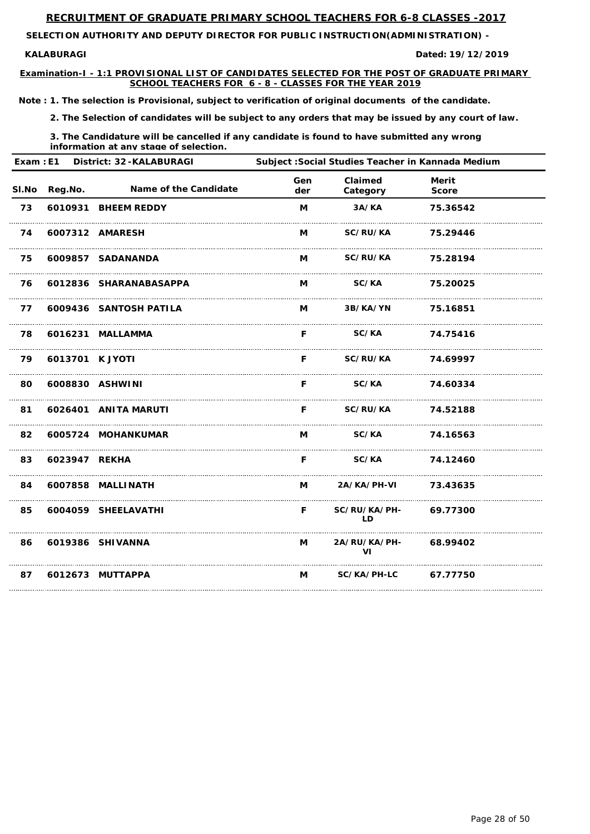**SELECTION AUTHORITY AND DEPUTY DIRECTOR FOR PUBLIC INSTRUCTION(ADMINISTRATION) -** 

#### **KALABURAGI**

**Examination-I - 1:1 PROVISIONAL LIST OF CANDIDATES SELECTED FOR THE POST OF GRADUATE PRIMARY SCHOOL TEACHERS FOR 6 - 8 - CLASSES FOR THE YEAR 2019**

**19/12/2019**

*Note : 1. The selection is Provisional, subject to verification of original documents of the candidate.*

*2. The Selection of candidates will be subject to any orders that may be issued by any court of law.*

*3. The Candidature will be cancelled if any candidate is found to have submitted any wrong information at any stage of selection.*

|       | Exam: E1<br><b>District: 32-KALABURAGI</b> |                        | Subject : Social Studies Teacher in Kannada Medium |                                  |                              |  |  |
|-------|--------------------------------------------|------------------------|----------------------------------------------------|----------------------------------|------------------------------|--|--|
| SI.No | Reg.No.                                    | Name of the Candidate  | Gen<br>der                                         | Claimed<br>Category              | <b>Merit</b><br><b>Score</b> |  |  |
| 73    |                                            | 6010931 BHEEM REDDY    | M                                                  | 3A/KA                            | 75.36542                     |  |  |
| 74    |                                            | 6007312 AMARESH        | M                                                  | <b>SC/RU/KA</b>                  | 75.29446                     |  |  |
| 75    |                                            | 6009857 SADANANDA      | M                                                  | <b>SC/RU/KA</b>                  | 75.28194                     |  |  |
| 76    |                                            | 6012836 SHARANABASAPPA | M                                                  | <b>SC/KA</b>                     | 75.20025                     |  |  |
| 77    |                                            | 6009436 SANTOSH PATILA | M                                                  | 3B/KA/YN                         | 75.16851                     |  |  |
| 78    |                                            | 6016231 MALLAMMA       | F.                                                 | <b>SC/KA</b>                     | 74.75416                     |  |  |
| 79    | 6013701 K JYOTI                            |                        | F.                                                 | <b>SC/RU/KA</b>                  | 74.69997                     |  |  |
| 80    |                                            | 6008830 ASHWINI        | F.                                                 | <b>SC/KA</b>                     | 74.60334                     |  |  |
| 81    |                                            | 6026401 ANITA MARUTI   | F.                                                 | <b>SC/RU/KA</b>                  | 74.52188                     |  |  |
| 82    |                                            | 6005724 MOHANKUMAR     | M                                                  | <b>SC/KA</b>                     | 74.16563                     |  |  |
| 83    | 6023947 REKHA                              |                        | F                                                  | SC/KA                            | 74.12460                     |  |  |
| 84    |                                            | 6007858 MALLINATH      | M                                                  | 2A/KA/PH-VI 73.43635             |                              |  |  |
| 85    |                                            | 6004059 SHEELAVATHI    | F.                                                 | SC/RU/KA/PH- 69.77300<br>LD      |                              |  |  |
| 86    |                                            | 6019386 SHIVANNA       | M                                                  | <b>2A/RU/KA/PH-</b><br><b>VI</b> | 68.99402                     |  |  |
| 87    |                                            | 6012673 MUTTAPPA       | M                                                  | SC/KA/PH-LC                      | 67.77750                     |  |  |

Page 28 of 50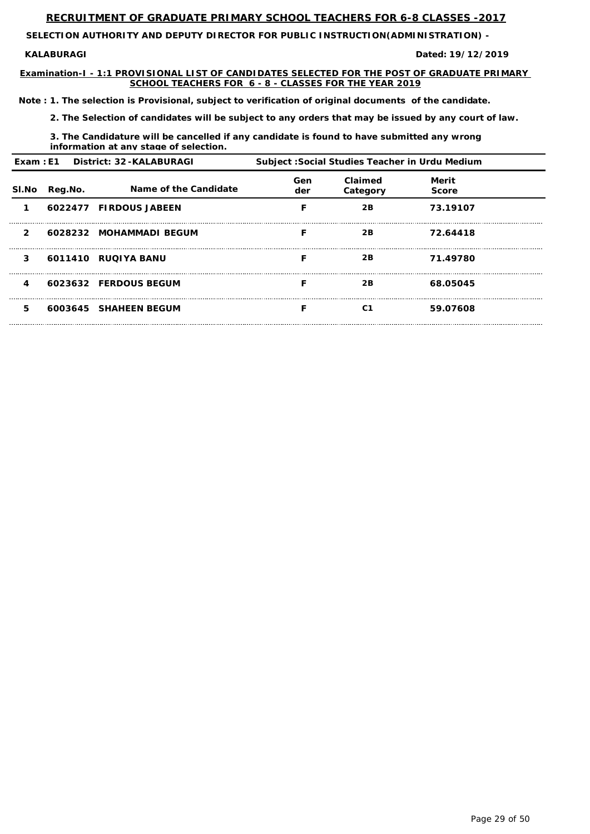**SELECTION AUTHORITY AND DEPUTY DIRECTOR FOR PUBLIC INSTRUCTION(ADMINISTRATION) -** 

#### **KALABURAGI**

**Examination-I - 1:1 PROVISIONAL LIST OF CANDIDATES SELECTED FOR THE POST OF GRADUATE PRIMARY SCHOOL TEACHERS FOR 6 - 8 - CLASSES FOR THE YEAR 2019**

**19/12/2019**

*Note : 1. The selection is Provisional, subject to verification of original documents of the candidate.*

*2. The Selection of candidates will be subject to any orders that may be issued by any court of law.*

*3. The Candidature will be cancelled if any candidate is found to have submitted any wrong information at any stage of selection.*

|              |         | Exam: E1 District: 32-KALABURAGI |            | Subject: Social Studies Teacher in Urdu Medium |                              |  |
|--------------|---------|----------------------------------|------------|------------------------------------------------|------------------------------|--|
| SI.No        | Reg.No. | Name of the Candidate            | Gen<br>der | Claimed<br>Category                            | <b>Merit</b><br><b>Score</b> |  |
|              |         | 6022477 FIRDOUS JABEEN           |            | 2B                                             | 73.19107                     |  |
| $\mathbf{2}$ |         | 6028232 MOHAMMADI BEGUM          |            | 2B                                             | 72.64418                     |  |
| 3            |         | 6011410 RUQIYA BANU              |            | 2B                                             | 71.49780                     |  |
| 4            |         | 6023632 FERDOUS BEGUM            |            | 2B                                             | 68.05045                     |  |
| 5            |         | 6003645 SHAHEEN BEGUM            |            | C <sub>1</sub>                                 | 59.07608                     |  |

Page 29 of 50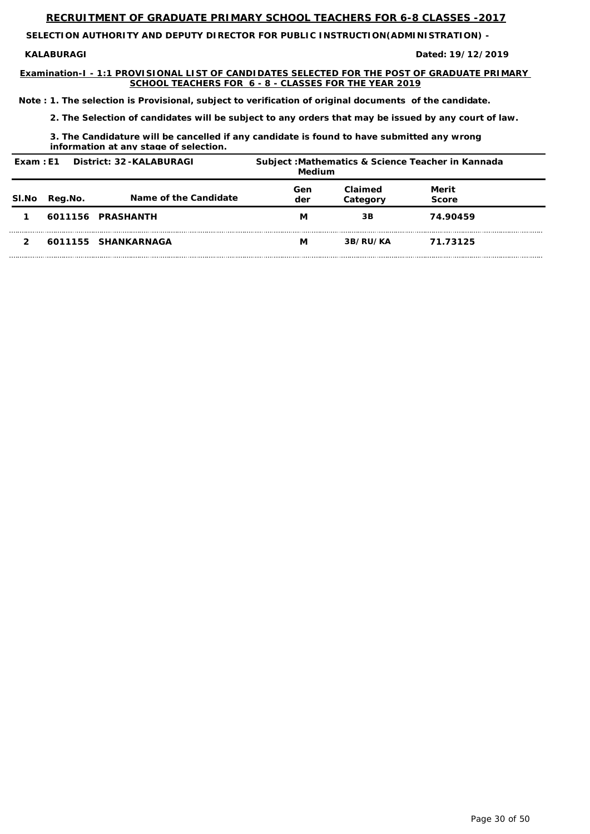**SELECTION AUTHORITY AND DEPUTY DIRECTOR FOR PUBLIC INSTRUCTION(ADMINISTRATION) -** 

**KALABURAGI** 

**Examination-I - 1:1 PROVISIONAL LIST OF CANDIDATES SELECTED FOR THE POST OF GRADUATE PRIMARY SCHOOL TEACHERS FOR 6 - 8 - CLASSES FOR THE YEAR 2019**

**19/12/2019**

*Note : 1. The selection is Provisional, subject to verification of original documents of the candidate.*

*2. The Selection of candidates will be subject to any orders that may be issued by any court of law.*

*3. The Candidature will be cancelled if any candidate is found to have submitted any wrong information at any stage of selection.*

| Exam: E1 |         | District: 32-KALABURAGI | Medium     |                     | Subject: Mathematics & Science Teacher in Kannada |  |
|----------|---------|-------------------------|------------|---------------------|---------------------------------------------------|--|
| SI.No    | Reg.No. | Name of the Candidate   | Gen<br>der | Claimed<br>Category | Merit<br><b>Score</b>                             |  |
|          |         | 6011156 PRASHANTH       | М          | 3B                  | 74.90459                                          |  |
|          |         | 6011155 SHANKARNAGA     | М          | 3B/RU/KA            | 71.73125                                          |  |

Page 30 of 50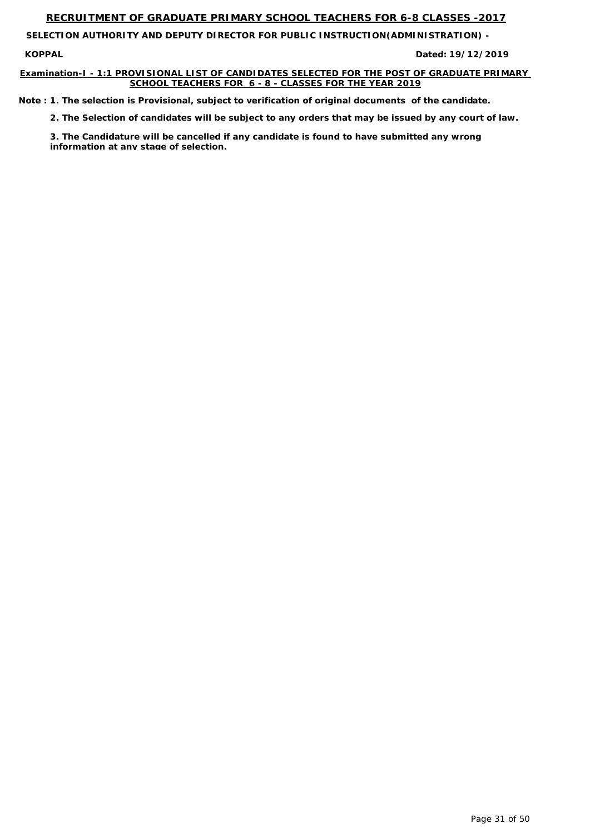**KOPPAL Dated:**

**SELECTION AUTHORITY AND DEPUTY DIRECTOR FOR PUBLIC INSTRUCTION(ADMINISTRATION) -** 

# **Examination-I - 1:1 PROVISIONAL LIST OF CANDIDATES SELECTED FOR THE POST OF GRADUATE PRIMARY SCHOOL TEACHERS FOR 6 - 8 - CLASSES FOR THE YEAR 2019**

**19/12/2019**

*Note : 1. The selection is Provisional, subject to verification of original documents of the candidate.*

*2. The Selection of candidates will be subject to any orders that may be issued by any court of law.*

*3. The Candidature will be cancelled if any candidate is found to have submitted any wrong information at any stage of selection.*

Page 31 of 50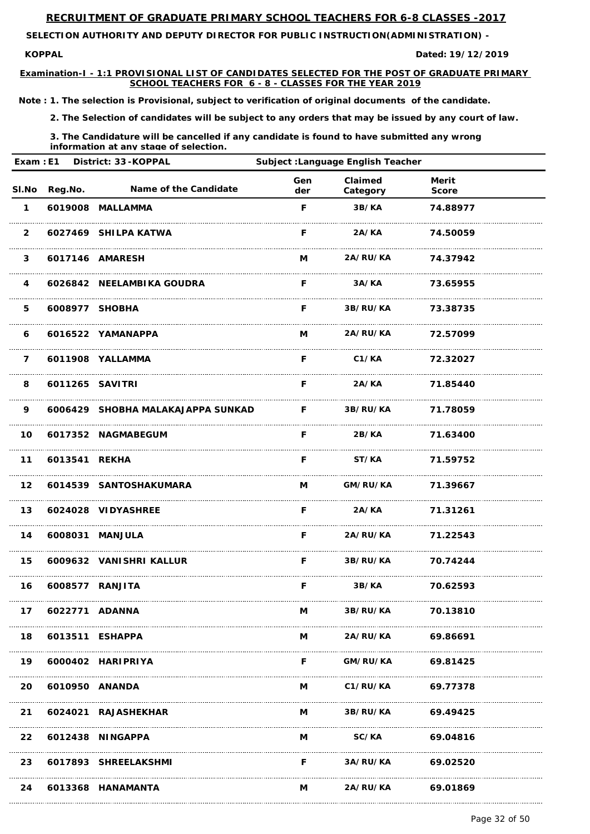**KOPPAL Dated:**

**SELECTION AUTHORITY AND DEPUTY DIRECTOR FOR PUBLIC INSTRUCTION(ADMINISTRATION) -** 

**Examination-I - 1:1 PROVISIONAL LIST OF CANDIDATES SELECTED FOR THE POST OF GRADUATE PRIMARY SCHOOL TEACHERS FOR 6 - 8 - CLASSES FOR THE YEAR 2019**

**19/12/2019**

*Note : 1. The selection is Provisional, subject to verification of original documents of the candidate.*

*2. The Selection of candidates will be subject to any orders that may be issued by any court of law.*

| Exam: E1                |               | District: 33-KOPPAL               |            | <b>Subject : Language English Teacher</b> |                              |  |
|-------------------------|---------------|-----------------------------------|------------|-------------------------------------------|------------------------------|--|
| SI.No                   | Reg.No.       | <b>Name of the Candidate</b>      | Gen<br>der | Claimed<br>Category                       | <b>Merit</b><br><b>Score</b> |  |
| $\mathbf 1$             |               | 6019008 MALLAMMA                  | F          | 3B/KA                                     | 74.88977                     |  |
| $\overline{2}$          |               | 6027469 SHILPA KATWA              | F.         | 2A/KA                                     | 74.50059                     |  |
| $\mathbf{3}$            |               | 6017146 AMARESH                   | M          | 2A/RU/KA                                  | 74.37942                     |  |
| $\overline{\mathbf{4}}$ |               | 6026842 NEELAMBIKA GOUDRA         | F          | 3A/KA                                     | 73.65955                     |  |
| 5                       |               | 6008977 SHOBHA                    | F          | <b>3B/RU/KA</b>                           | 73.38735                     |  |
| 6                       |               | 6016522 YAMANAPPA                 | M          | 2A/RU/KA                                  | 72.57099                     |  |
| $\overline{7}$          |               | 6011908 YALLAMMA                  | F          | C1/KA                                     | 72.32027                     |  |
| 8                       |               | 6011265 SAVITRI                   | F          | 2A/KA                                     | 71.85440                     |  |
| 9                       |               | 6006429 SHOBHA MALAKAJAPPA SUNKAD | F.         | 3B/RU/KA                                  | 71.78059                     |  |
| 10                      |               | 6017352 NAGMABEGUM                | F          | 2B/KA                                     | 71.63400                     |  |
| 11                      | 6013541 REKHA |                                   | F          | ST/KA                                     | 71.59752                     |  |
|                         |               | 12 6014539 SANTOSHAKUMARA         |            | M GM/RU/KA 71.39667                       |                              |  |
| 13                      |               | 6024028 VIDYASHREE                |            | F 2A/KA 71.31261                          |                              |  |
| 14                      |               | 6008031 MANJULA                   |            | F 2A/RU/KA 71.22543                       |                              |  |
| 15                      |               | 6009632 VANISHRI KALLUR           |            | <b>F</b> 3B/RU/KA 70.74244                |                              |  |
| 16                      |               | 6008577 RANJITA                   |            | F 3B/KA 70.62593                          |                              |  |
| 17                      |               | 6022771 ADANNA                    |            | M 3B/RU/KA 70.13810                       |                              |  |

| 18        | 6013511 ESHAPPA |                      |   | <b>2A/RU/KA</b> | 69.86691 |
|-----------|-----------------|----------------------|---|-----------------|----------|
| 19        |                 | 6000402 HARIPRIYA    | F | GM/RU/KA        | 69.81425 |
| <b>20</b> | 6010950 ANANDA  |                      | M | C1/RU/KA        | 69.77378 |
| 21        |                 | 6024021 RAJASHEKHAR  | M | <b>3B/RU/KA</b> | 69.49425 |
|           |                 | 22 6012438 NINGAPPA  | М | <b>SC/KA</b>    | 69.04816 |
| 23        |                 | 6017893 SHREELAKSHMI | F | <b>3A/RU/KA</b> | 69.02520 |
| 24        |                 | 6013368 HANAMANTA    | M | 2A/RU/KA        | 69.01869 |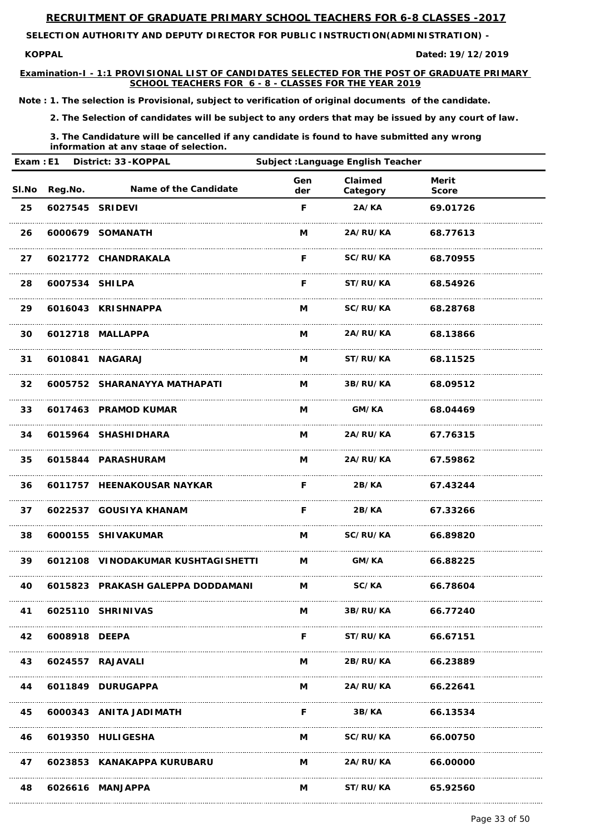**KOPPAL Dated:**

**SELECTION AUTHORITY AND DEPUTY DIRECTOR FOR PUBLIC INSTRUCTION(ADMINISTRATION) -** 

**Examination-I - 1:1 PROVISIONAL LIST OF CANDIDATES SELECTED FOR THE POST OF GRADUATE PRIMARY SCHOOL TEACHERS FOR 6 - 8 - CLASSES FOR THE YEAR 2019**

**19/12/2019**

*Note : 1. The selection is Provisional, subject to verification of original documents of the candidate.*

*2. The Selection of candidates will be subject to any orders that may be issued by any court of law.*

| District: 33-KOPPAL<br>Exam: E1 |                 | Subject: Language English Teacher                   |                     |                     |                              |  |
|---------------------------------|-----------------|-----------------------------------------------------|---------------------|---------------------|------------------------------|--|
| SI.No                           | Reg.No.         | Name of the Candidate                               | Gen<br>der          | Claimed<br>Category | <b>Merit</b><br><b>Score</b> |  |
| 25                              | 6027545 SRIDEVI |                                                     | F                   | 2A/KA               | 69.01726                     |  |
| 26                              |                 | 6000679 SOMANATH                                    | M                   | 2A/RU/KA            | 68.77613                     |  |
| 27                              |                 | 6021772 CHANDRAKALA                                 | F                   | SC/RU/KA            | 68.70955                     |  |
| 28                              | 6007534 SHILPA  |                                                     | F                   | ST/RU/KA            | 68.54926                     |  |
| 29                              |                 | 6016043 KRISHNAPPA                                  | Μ                   | SC/RU/KA            | 68.28768                     |  |
| 30                              |                 | 6012718 MALLAPPA                                    | Μ                   | 2A/RU/KA            | 68.13866                     |  |
| 31                              |                 | 6010841 NAGARAJ                                     | M                   | ST/RU/KA            | 68.11525                     |  |
| 32                              |                 | 6005752 SHARANAYYA MATHAPATI                        | M                   | 3B/RU/KA            | 68.09512                     |  |
| 33                              |                 | 6017463 PRAMOD KUMAR                                | M                   | GM/KA               | 68.04469                     |  |
| 34                              |                 | 6015964 SHASHIDHARA                                 | M                   | 2A/RU/KA            | 67.76315                     |  |
| 35                              |                 | 6015844 PARASHURAM                                  | M                   | 2A/RU/KA            | 67.59862                     |  |
| 36                              |                 | 6011757 HEENAKOUSAR NAYKAR                          | <b>F</b> Providence |                     | 2B/KA 67.43244               |  |
| 37                              |                 | 6022537 GOUSIYA KHANAM                              | $\mathsf{F}$        |                     | 2B/KA 67.33266               |  |
| 38                              |                 | 6000155 SHIVAKUMAR                                  |                     | M SC/RU/KA 66.89820 |                              |  |
| 39                              |                 | 6012108 VINODAKUMAR KUSHTAGISHETTI M GM/KA 66.88225 |                     |                     |                              |  |
| 40                              |                 | 6015823 PRAKASH GALEPPA DODDAMANI M SC/KA 66.78604  |                     |                     |                              |  |
| 41                              |                 | 6025110 SHRINIVAS                                   | M                   | 3B/RU/KA 66.77240   |                              |  |

| 42 | 6008918 DEEPA |                            |   | ST/RU/KA        | 66.67151 |
|----|---------------|----------------------------|---|-----------------|----------|
| 43 |               | 6024557 RAJAVALI           | M | <b>2B/RU/KA</b> | 66.23889 |
| 44 |               | 6011849 DURUGAPPA          | M | <b>2A/RU/KA</b> | 66.22641 |
| 45 |               | 6000343 ANITA JADIMATH     |   | 3B/KA           | 66.13534 |
| 46 |               | 6019350 HULIGESHA          | M | SC/RU/KA        | 66.00750 |
| 47 |               | 6023853 KANAKAPPA KURUBARU | M | 2A/RU/KA        | 66.00000 |
| 48 |               | 6026616 MANJAPPA           | M | ST/RU/KA        | 65.92560 |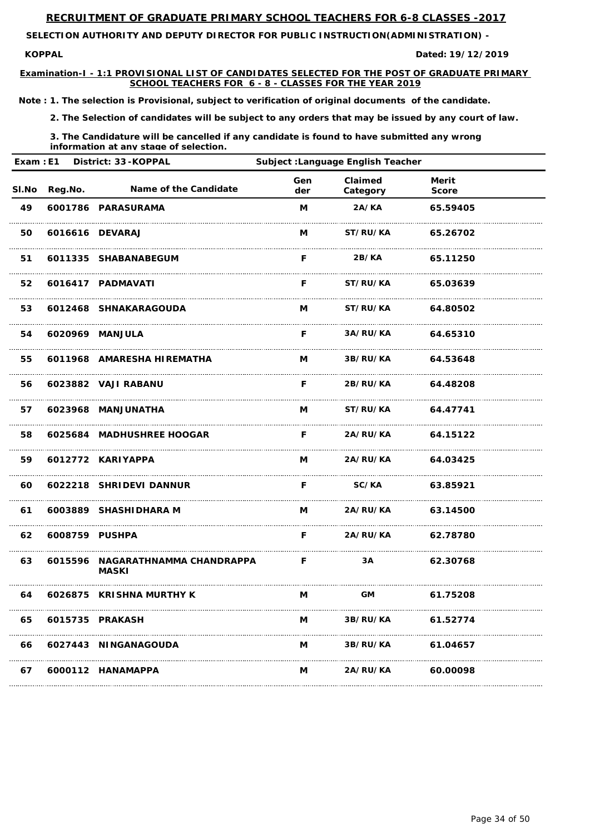**KOPPAL Dated:**

**SELECTION AUTHORITY AND DEPUTY DIRECTOR FOR PUBLIC INSTRUCTION(ADMINISTRATION) -** 

**Examination-I - 1:1 PROVISIONAL LIST OF CANDIDATES SELECTED FOR THE POST OF GRADUATE PRIMARY SCHOOL TEACHERS FOR 6 - 8 - CLASSES FOR THE YEAR 2019**

**19/12/2019**

*Note : 1. The selection is Provisional, subject to verification of original documents of the candidate.*

*2. The Selection of candidates will be subject to any orders that may be issued by any court of law.*

*3. The Candidature will be cancelled if any candidate is found to have submitted any wrong information at any stage of selection.*

| Exam: E1 | District: 33-KOPPAL<br><b>Subject : Language English Teacher</b> |                                                                |            |                            |                              |  |
|----------|------------------------------------------------------------------|----------------------------------------------------------------|------------|----------------------------|------------------------------|--|
| SI.No    | Reg.No.                                                          | Name of the Candidate                                          | Gen<br>der | Claimed<br>Category        | <b>Merit</b><br><b>Score</b> |  |
| 49       |                                                                  | 6001786 PARASURAMA                                             | M          | 2A/KA                      | 65.59405                     |  |
| 50       |                                                                  | 6016616 DEVARAJ                                                | M          | ST/RU/KA                   | 65.26702                     |  |
| 51       |                                                                  | 6011335 SHABANABEGUM                                           | F          | 2B/KA                      | 65.11250                     |  |
| 52       |                                                                  | 6016417 PADMAVATI                                              | F          | ST/RU/KA                   | 65.03639                     |  |
| 53       |                                                                  | 6012468 SHNAKARAGOUDA                                          | M          | ST/RU/KA                   | 64.80502                     |  |
| 54       |                                                                  | 6020969 MANJULA                                                | F          | 3A/RU/KA                   | 64.65310                     |  |
| 55       |                                                                  | 6011968 AMARESHA HIREMATHA                                     | M          | 3B/RU/KA                   | 64.53648                     |  |
| 56       |                                                                  | 6023882 VAJI RABANU                                            | F          | 2B/RU/KA                   | 64.48208                     |  |
| 57       |                                                                  | 6023968 MANJUNATHA                                             | M          | <b>ST/RU/KA</b>            | 64.47741                     |  |
| 58       |                                                                  | 6025684 MADHUSHREE HOOGAR                                      | F          | 2A/RU/KA                   | 64.15122                     |  |
| 59       |                                                                  | 6012772 KARIYAPPA                                              | M          | 2A/RU/KA                   | 64.03425                     |  |
|          |                                                                  | 60 6022218 SHRIDEVI DANNUR                                     |            | F SC/KA 63.85921           |                              |  |
| 61       |                                                                  | 6003889 SHASHIDHARA M                                          |            | M 2A/RU/KA 63.14500        |                              |  |
| 62       | 6008759 PUSHPA                                                   |                                                                |            | <b>F</b> 2A/RU/KA 62.78780 |                              |  |
| 63       |                                                                  | 6015596 NAGARATHNAMMA CHANDRAPPA F 3A 62.30768<br><b>MASKI</b> |            |                            |                              |  |
| 64       |                                                                  | 6026875 KRISHNA MURTHY K                                       |            | M GM 61.75208              |                              |  |
| 65       |                                                                  | 6015735 PRAKASH                                                | M          | <b>3B/RU/KA</b>            | 61.52774                     |  |

# **66 6027443 NINGANAGOUDA M 3B/RU/KA 61.04657**

**67 6000112 HANAMAPPA M 2A/RU/KA 60.00098**

Page 34 of 50

-----------------------------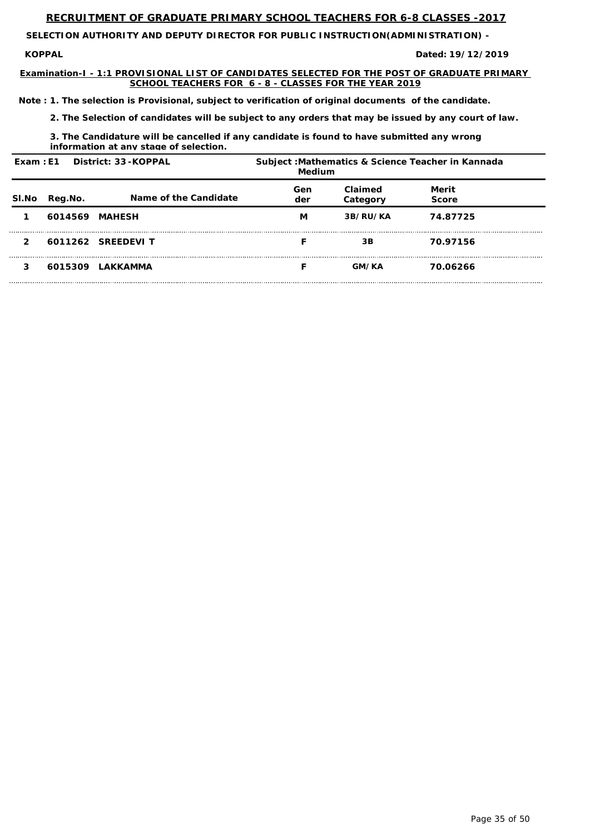**KOPPAL Dated:**

**SELECTION AUTHORITY AND DEPUTY DIRECTOR FOR PUBLIC INSTRUCTION(ADMINISTRATION) -** 

**Examination-I - 1:1 PROVISIONAL LIST OF CANDIDATES SELECTED FOR THE POST OF GRADUATE PRIMARY SCHOOL TEACHERS FOR 6 - 8 - CLASSES FOR THE YEAR 2019**

**19/12/2019**

*Note : 1. The selection is Provisional, subject to verification of original documents of the candidate.*

*2. The Selection of candidates will be subject to any orders that may be issued by any court of law.*

*3. The Candidature will be cancelled if any candidate is found to have submitted any wrong information at any stage of selection.*

|               |                | Exam: E1 District: 33-KOPPAL | <b>Medium</b> |                     | Subject: Mathematics & Science Teacher in Kannada |  |
|---------------|----------------|------------------------------|---------------|---------------------|---------------------------------------------------|--|
| SI.No         | Reg.No.        | Name of the Candidate        | Gen<br>der    | Claimed<br>Category | Merit<br><b>Score</b>                             |  |
|               | 6014569 MAHESH |                              | М             | 3B/RU/KA            | 74.87725                                          |  |
| $\mathcal{P}$ |                | 6011262 SREEDEVI T           |               | 3B                  | 70.97156                                          |  |
|               |                | 6015309 LAKKAMMA             |               | <b>GM/KA</b>        | 70.06266                                          |  |

Page 35 of 50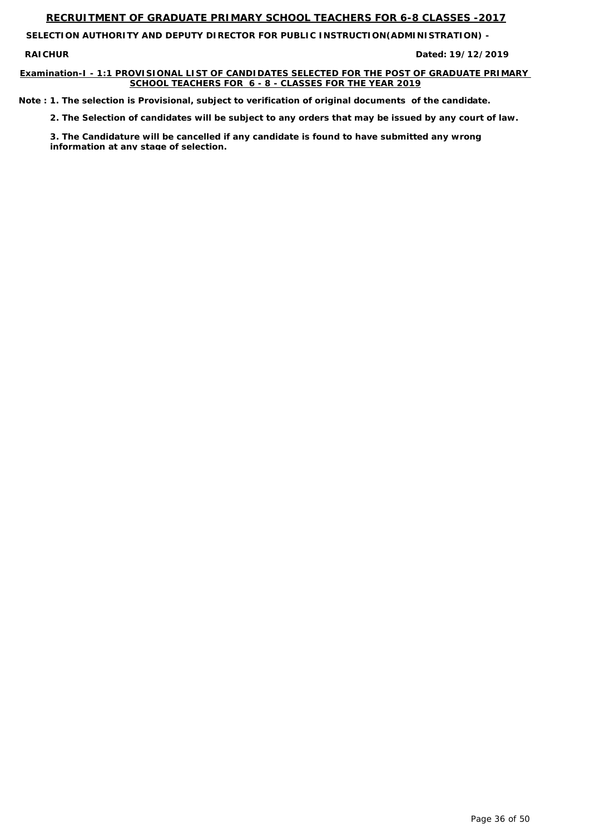**SELECTION AUTHORITY AND DEPUTY DIRECTOR FOR PUBLIC INSTRUCTION(ADMINISTRATION) -** 

**RAICHUR** 

### **Examination-I - 1:1 PROVISIONAL LIST OF CANDIDATES SELECTED FOR THE POST OF GRADUATE PRIMARY SCHOOL TEACHERS FOR 6 - 8 - CLASSES FOR THE YEAR 2019**

**19/12/2019**

*Note : 1. The selection is Provisional, subject to verification of original documents of the candidate.*

*2. The Selection of candidates will be subject to any orders that may be issued by any court of law.*

*3. The Candidature will be cancelled if any candidate is found to have submitted any wrong information at any stage of selection.*

Page 36 of 50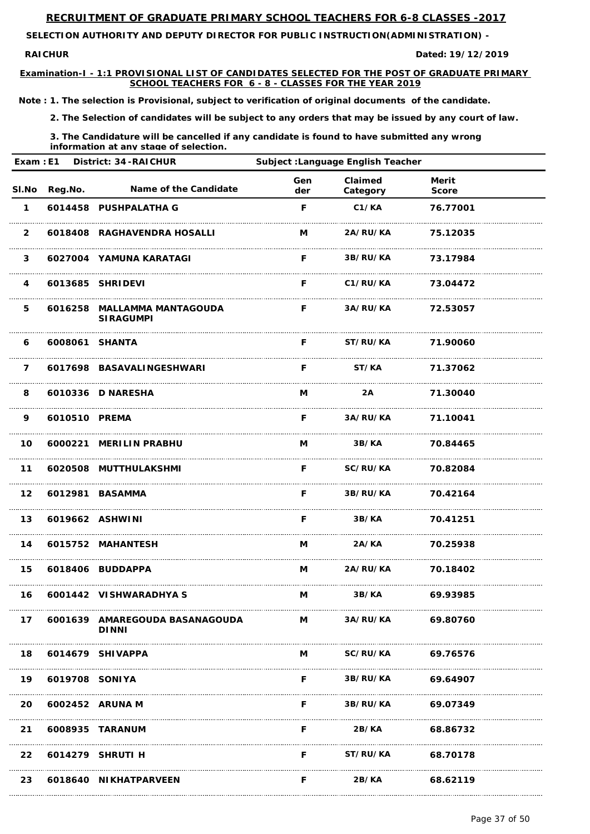**SELECTION AUTHORITY AND DEPUTY DIRECTOR FOR PUBLIC INSTRUCTION(ADMINISTRATION) -** 

**RAICHUR** 

**Examination-I - 1:1 PROVISIONAL LIST OF CANDIDATES SELECTED FOR THE POST OF GRADUATE PRIMARY SCHOOL TEACHERS FOR 6 - 8 - CLASSES FOR THE YEAR 2019**

**19/12/2019**

*Note : 1. The selection is Provisional, subject to verification of original documents of the candidate.*

*2. The Selection of candidates will be subject to any orders that may be issued by any court of law.*

| <b>District: 34-RAICHUR</b><br>Exam: E1 |                | <b>Subject : Language English Teacher</b>       |            |                     |                              |  |
|-----------------------------------------|----------------|-------------------------------------------------|------------|---------------------|------------------------------|--|
| SI.No                                   | Reg.No.        | Name of the Candidate                           | Gen<br>der | Claimed<br>Category | <b>Merit</b><br><b>Score</b> |  |
| $\mathbf 1$                             |                | 6014458 PUSHPALATHA G                           | F          | C1/KA               | 76.77001                     |  |
| $\overline{2}$                          |                | 6018408 RAGHAVENDRA HOSALLI                     | M          | 2A/RU/KA            | 75.12035                     |  |
| $\mathbf{3}$                            |                | 6027004 YAMUNA KARATAGI                         | F.         | 3B/RU/KA            | 73.17984                     |  |
| $\overline{4}$                          |                | 6013685 SHRIDEVI                                | F.         | C1/RU/KA            | 73.04472                     |  |
| 5                                       |                | 6016258 MALLAMMA MANTAGOUDA<br><b>SIRAGUMPI</b> | F.         | 3A/RU/KA            | 72.53057                     |  |
| 6                                       | 6008061 SHANTA |                                                 | F.         | ST/RU/KA            | 71.90060                     |  |
| $\overline{7}$                          |                | 6017698 BASAVALINGESHWARI                       | F          | ST/KA               | 71.37062                     |  |
| 8                                       |                | 6010336 D NARESHA                               | M          | 2A                  | 71.30040                     |  |
| 9                                       | 6010510 PREMA  |                                                 | F          | 3A/RU/KA            | 71.10041                     |  |
| 10                                      |                | 6000221 MERILIN PRABHU                          | M          | 3B/KA               | 70.84465                     |  |
| 11                                      |                | 6020508 MUTTHULAKSHMI                           | F          | SC/RU/KA            | 70.82084                     |  |
| 12 <sub>2</sub>                         |                | 6012981 BASAMMA                                 |            | F 3B/RU/KA 70.42164 |                              |  |
| 13                                      |                | 6019662 ASHWINI                                 | F.         | <b>3B/KA</b>        | 70.41251                     |  |
| 14                                      |                | 6015752 MAHANTESH                               | M          | 2A/KA               | 70.25938                     |  |
| 15                                      |                | 6018406 BUDDAPPA                                |            | M 2A/RU/KA 70.18402 |                              |  |
| 16                                      |                | 6001442 VISHWARADHYA S                          | M          | 3B/KA               | 69.93985                     |  |
| 17                                      |                | 6001639 AMAREGOUDA BASANAGOUDA                  | $M \sim$   | <b>3A/RU/KA</b>     | 69.80760                     |  |

| 18  |                | 6014679 SHIVAPPA      | М | <b>SC/RU/KA</b> | 69.76576 |
|-----|----------------|-----------------------|---|-----------------|----------|
| 19  | 6019708 SONIYA |                       | F | <b>3B/RU/KA</b> | 69.64907 |
| 20. |                | 6002452 ARUNA M       | F | 3B/RU/KA        | 69.07349 |
| 21  |                | 6008935 TARANUM       |   | 2B/KA           | 68.86732 |
| 22  |                | 6014279 SHRUTI H      | F | ST/RU/KA        | 68.70178 |
| 23  |                | 6018640 NIKHATPARVEEN |   | 2B/KA           | 68.62119 |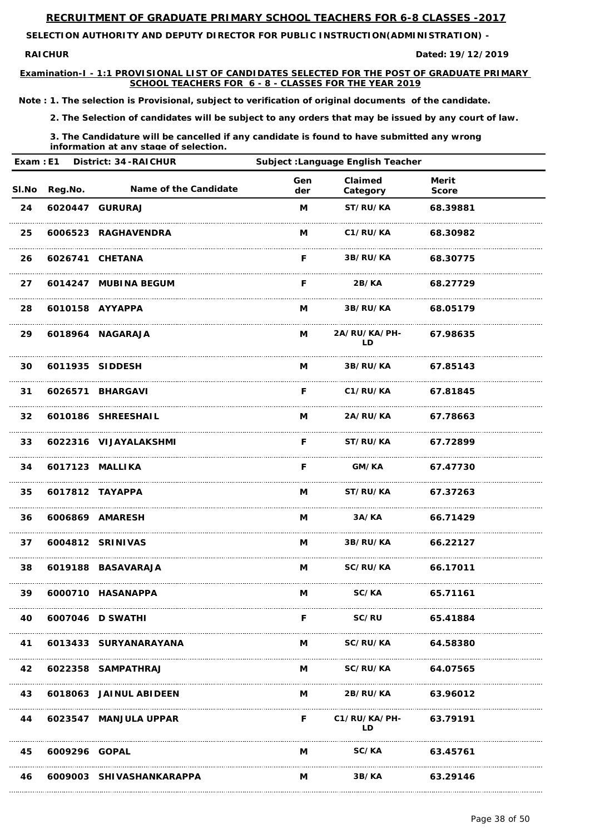**SELECTION AUTHORITY AND DEPUTY DIRECTOR FOR PUBLIC INSTRUCTION(ADMINISTRATION) -** 

**RAICHUR** 

**Examination-I - 1:1 PROVISIONAL LIST OF CANDIDATES SELECTED FOR THE POST OF GRADUATE PRIMARY SCHOOL TEACHERS FOR 6 - 8 - CLASSES FOR THE YEAR 2019**

**19/12/2019**

*Note : 1. The selection is Provisional, subject to verification of original documents of the candidate.*

*2. The Selection of candidates will be subject to any orders that may be issued by any court of law.*

| Exam: E1        |               | <b>District: 34-RAICHUR</b> | Subject : Language English Teacher |                            |                              |  |
|-----------------|---------------|-----------------------------|------------------------------------|----------------------------|------------------------------|--|
|                 | SI.No Reg.No. | Name of the Candidate       | Gen<br>der                         | <b>Claimed</b><br>Category | <b>Merit</b><br><b>Score</b> |  |
| 24              |               | 6020447 GURURAJ             | M                                  | ST/RU/KA                   | 68.39881                     |  |
| 25              |               | 6006523 RAGHAVENDRA         | M                                  | C1/RU/KA                   | 68.30982                     |  |
| 26              |               | 6026741 CHETANA             | F.                                 | 3B/RU/KA                   | 68.30775                     |  |
| 27              |               | 6014247 MUBINA BEGUM        | F                                  | 2B/KA                      | 68.27729                     |  |
| 28              |               | 6010158 AYYAPPA             | M                                  | <b>3B/RU/KA</b>            | 68.05179                     |  |
| 29              |               | 6018964 NAGARAJA            | M                                  | 2A/RU/KA/PH-<br>LD.        | 67.98635                     |  |
| 30              |               | 6011935 SIDDESH             | M                                  | <b>3B/RU/KA</b>            | 67.85143                     |  |
| 31              |               | 6026571 BHARGAVI            | F.                                 | <b>C1/RU/KA</b>            | 67.81845                     |  |
| 32 <sub>2</sub> |               | 6010186 SHREESHAIL          | M                                  | 2A/RU/KA 67.78663          |                              |  |
| 33              |               | 6022316 VIJAYALAKSHMI       | F                                  | <b>ST/RU/KA</b>            | 67.72899                     |  |
| 34              |               | 6017123 MALLIKA             | F                                  | GM/KA                      | 67.47730                     |  |
| 35              |               | 6017812 TAYAPPA             |                                    | M ST/RU/KA 67.37263        |                              |  |
| 36              |               | 6006869 AMARESH             | M                                  | 3A/KA 66.71429             |                              |  |
| 37              |               | 6004812 SRINIVAS            |                                    | M 3B/RU/KA 66.22127        |                              |  |
| 38              |               | 6019188 BASAVARAJA          |                                    | M SC/RU/KA 66.17011        |                              |  |
| 39              |               | 6000710 HASANAPPA           | M                                  | SC/KA 65.71161             |                              |  |
| 40              |               | 6007046 D SWATHI            | F.                                 | <b>SC/RU</b>               | 65.41884                     |  |

| 41 |               | 6013433 SURYANARAYANA    | M | <b>SC/RU/KA</b> | 64.58380 |
|----|---------------|--------------------------|---|-----------------|----------|
| 42 |               | 6022358 SAMPATHRAJ       | M | <b>SC/RU/KA</b> | 64.07565 |
| 43 |               | 6018063 JAINUL ABIDEEN   | М | 2B/RU/KA        | 63.96012 |
| 44 |               | 6023547 MANJULA UPPAR    | F | C1/RU/KA/PH-    | 63.79191 |
| 45 | 6009296 GOPAL |                          | М | SC/KA           | 63.45761 |
| 46 |               | 6009003 SHIVASHANKARAPPA | M | <b>3B/KA</b>    | 63.29146 |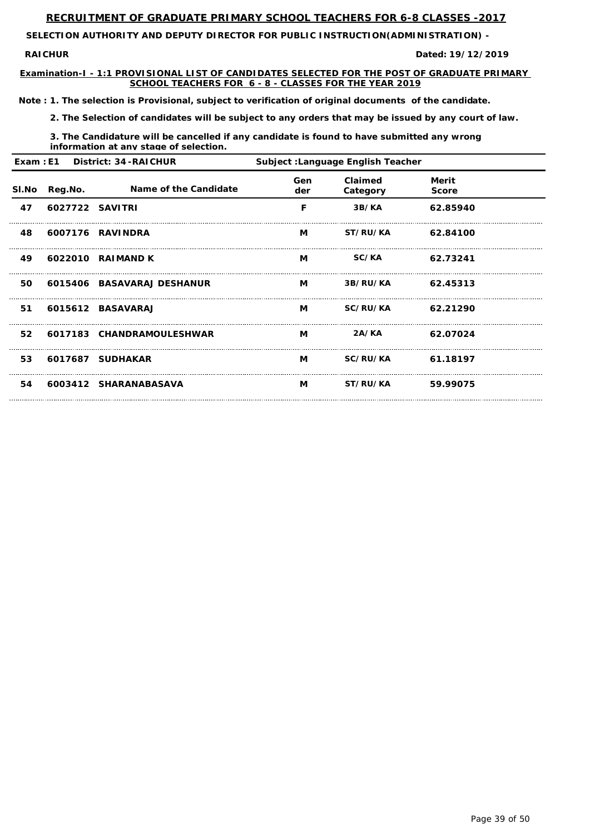**SELECTION AUTHORITY AND DEPUTY DIRECTOR FOR PUBLIC INSTRUCTION(ADMINISTRATION) -** 

**RAICHUR** 

**Examination-I - 1:1 PROVISIONAL LIST OF CANDIDATES SELECTED FOR THE POST OF GRADUATE PRIMARY SCHOOL TEACHERS FOR 6 - 8 - CLASSES FOR THE YEAR 2019**

**19/12/2019**

*Note : 1. The selection is Provisional, subject to verification of original documents of the candidate.*

*2. The Selection of candidates will be subject to any orders that may be issued by any court of law.*

*3. The Candidature will be cancelled if any candidate is found to have submitted any wrong information at any stage of selection.*

|              | Exam: E1 District: 34-RAICHUR<br><b>Subject : Language English Teacher</b> |                            |            |                            |                       |  |
|--------------|----------------------------------------------------------------------------|----------------------------|------------|----------------------------|-----------------------|--|
| <b>SI.No</b> | Reg.No.                                                                    | Name of the Candidate      | Gen<br>der | <b>Claimed</b><br>Category | Merit<br><b>Score</b> |  |
| 47           | 6027722 SAVITRI                                                            |                            | F          | 3B/KA                      | 62.85940              |  |
| 48           |                                                                            | 6007176 RAVINDRA           | M          | <b>ST/RU/KA</b>            | 62.84100              |  |
| 49           |                                                                            | 6022010 RAIMAND K          | M          | <b>SC/KA</b>               | 62.73241              |  |
| 50           |                                                                            | 6015406 BASAVARAJ DESHANUR | M          | 3B/RU/KA                   | 62.45313              |  |
| 51           |                                                                            | 6015612 BASAVARAJ          | M          | SC/RU/KA                   | 62.21290              |  |
| 52           |                                                                            | 6017183 CHANDRAMOULESHWAR  | M          | 2A/KA                      | 62.07024              |  |
| 53           |                                                                            | 6017687 SUDHAKAR           | M          | SC/RU/KA                   | 61.18197              |  |
| 54           |                                                                            | 6003412 SHARANABASAVA      | M          | <b>ST/RU/KA</b>            | 59.99075              |  |

Page 39 of 50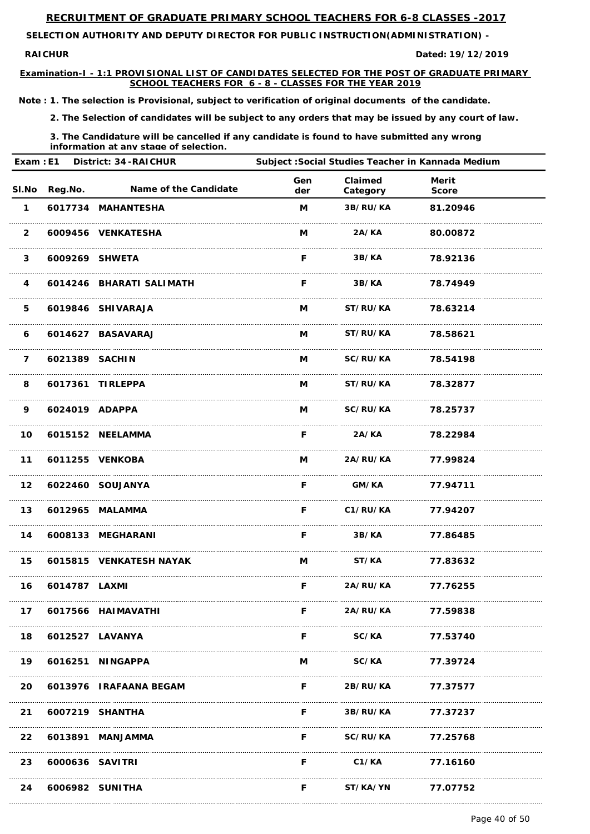**SELECTION AUTHORITY AND DEPUTY DIRECTOR FOR PUBLIC INSTRUCTION(ADMINISTRATION) -** 

**RAICHUR** 

**Examination-I - 1:1 PROVISIONAL LIST OF CANDIDATES SELECTED FOR THE POST OF GRADUATE PRIMARY SCHOOL TEACHERS FOR 6 - 8 - CLASSES FOR THE YEAR 2019**

**19/12/2019**

*Note : 1. The selection is Provisional, subject to verification of original documents of the candidate.*

*2. The Selection of candidates will be subject to any orders that may be issued by any court of law.*

*3. The Candidature will be cancelled if any candidate is found to have submitted any wrong information at any stage of selection.*

| Exam: E1        |                | <b>District: 34-RAICHUR</b>  | Subject : Social Studies Teacher in Kannada Medium |                          |                              |  |
|-----------------|----------------|------------------------------|----------------------------------------------------|--------------------------|------------------------------|--|
| SI.No           | Reg.No.        | <b>Name of the Candidate</b> | Gen<br>der                                         | Claimed<br>Category      | <b>Merit</b><br><b>Score</b> |  |
| $\mathbf 1$     |                | 6017734 MAHANTESHA           | M                                                  | 3B/RU/KA                 | 81.20946                     |  |
| $\overline{2}$  |                | 6009456 VENKATESHA           | M                                                  | 2A/KA                    | 80.00872                     |  |
| $\mathbf{3}$    |                | 6009269 SHWETA               | F.                                                 | 3B/KA                    | 78.92136                     |  |
| 4               |                | 6014246 BHARATI SALIMATH     | F.                                                 | 3B/KA                    | 78.74949                     |  |
| 5               |                | 6019846 SHIVARAJA            | M                                                  | <b>ST/RU/KA</b>          | 78.63214                     |  |
| 6               |                | 6014627 BASAVARAJ            | M                                                  | <b>ST/RU/KA</b>          | 78.58621                     |  |
| $\overline{7}$  | 6021389 SACHIN |                              | M                                                  | <b>SC/RU/KA</b>          | 78.54198                     |  |
| 8               |                | 6017361 TIRLEPPA             | M                                                  | <b>ST/RU/KA</b>          | 78.32877                     |  |
| 9               |                | 6024019 ADAPPA               | M                                                  | <b>SC/RU/KA</b>          | 78.25737                     |  |
| 10              |                | 6015152 NEELAMMA             | F                                                  | 2A/KA                    | 78.22984                     |  |
| $11$            |                | 6011255 VENKOBA              | M                                                  | 2A/RU/KA                 | 77.99824                     |  |
|                 |                | 12 6022460 SOUJANYA          | F.                                                 | <b>GM/KA</b>             | 77.94711                     |  |
| 13              |                | 6012965 MALAMMA              |                                                    | F C1/RU/KA 77.94207      |                              |  |
| 14              |                | 6008133 MEGHARANI            | <b>F</b> Providence                                |                          | 3B/KA 77.86485               |  |
|                 |                | 15 6015815 VENKATESH NAYAK   | $M \sim 1$                                         |                          | ST/KA 77.83632               |  |
| 16              | 6014787 LAXMI  |                              | F.                                                 | <b>2A/RU/KA</b> 77.76255 |                              |  |
| 17 <sub>2</sub> |                | 6017566 HAIMAVATHI           | F.                                                 | <b>2A/RU/KA</b>          | 77.59838                     |  |

| 18        | 6012527 LAVANYA    |                        |   | <b>SC/KA</b>      | 77.53740 |
|-----------|--------------------|------------------------|---|-------------------|----------|
| 19        |                    | 6016251 NINGAPPA       | M | <b>SC/KA</b>      | 77.39724 |
| <b>20</b> |                    | 6013976 IRAFAANA BEGAM | F | <b>2B/RU/KA</b>   | 77.37577 |
|           | 21 6007219 SHANTHA |                        | F | 3B/RU/KA 77.37237 |          |
|           |                    | 22 6013891 MANJAMMA    | F | <b>SC/RU/KA</b>   | 77.25768 |
| 23        | 6000636 SAVITRI    |                        | F | C1/KA             | 77.16160 |
| 24        | 6006982 SUNITHA    |                        |   | <b>ST/KA/YN</b>   | 77.07752 |

Page 40 of 50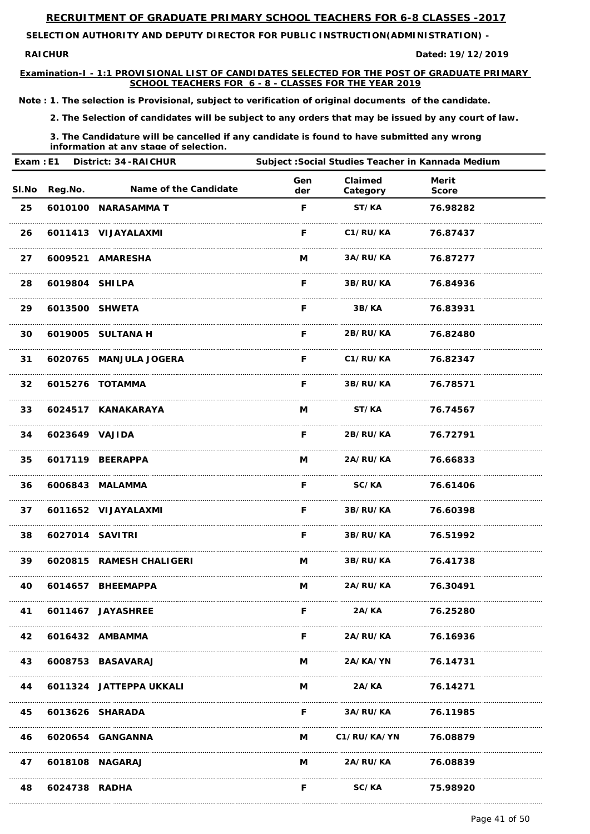**RAICHUR Dated:**

**SELECTION AUTHORITY AND DEPUTY DIRECTOR FOR PUBLIC INSTRUCTION(ADMINISTRATION) -** 

**Examination-I - 1:1 PROVISIONAL LIST OF CANDIDATES SELECTED FOR THE POST OF GRADUATE PRIMARY SCHOOL TEACHERS FOR 6 - 8 - CLASSES FOR THE YEAR 2019**

**19/12/2019**

*Note : 1. The selection is Provisional, subject to verification of original documents of the candidate.*

*2. The Selection of candidates will be subject to any orders that may be issued by any court of law.*

*3. The Candidature will be cancelled if any candidate is found to have submitted any wrong information at any stage of selection.*

|       |                 | Exam : E1 District: 34-RAICHUR | Subject : Social Studies Teacher in Kannada Medium |                     |                              |  |
|-------|-----------------|--------------------------------|----------------------------------------------------|---------------------|------------------------------|--|
| SI.No | Reg.No.         | Name of the Candidate          | Gen<br>der                                         | Claimed<br>Category | <b>Merit</b><br><b>Score</b> |  |
| 25    |                 | 6010100 NARASAMMA T            | F                                                  | ST/KA               | 76.98282                     |  |
| 26    |                 | 6011413 VIJAYALAXMI            | F.                                                 | C1/RU/KA            | 76.87437                     |  |
| 27    |                 | 6009521 AMARESHA               | M                                                  | 3A/RU/KA            | 76.87277                     |  |
| 28    | 6019804 SHILPA  |                                | F.                                                 | 3B/RU/KA            | 76.84936                     |  |
| 29    |                 | 6013500 SHWETA                 | F.                                                 | 3B/KA               | 76.83931                     |  |
| 30    |                 | 6019005 SULTANA H              | F.                                                 | <b>2B/RU/KA</b>     | 76.82480                     |  |
| 31    |                 | 6020765 MANJULA JOGERA         | F.                                                 | C1/RU/KA            | 76.82347                     |  |
| 32    |                 | 6015276 TOTAMMA                | F.                                                 | 3B/RU/KA            | 76.78571                     |  |
| 33    |                 | 6024517 KANAKARAYA             | M                                                  | ST/KA               | 76.74567                     |  |
| 34    | 6023649 VAJIDA  |                                | F.                                                 | 2B/RU/KA            | 76.72791                     |  |
| 35    |                 | 6017119 BEERAPPA               | M                                                  | 2A/RU/KA            | 76.66833                     |  |
| 36    |                 | 6006843 MALAMMA                | F.                                                 | SC/KA 76.61406      |                              |  |
| 37    |                 | 6011652 VIJAYALAXMI            |                                                    | F 3B/RU/KA 76.60398 |                              |  |
| 38    | 6027014 SAVITRI |                                |                                                    | F 3B/RU/KA 76.51992 |                              |  |
| 39    |                 | 6020815 RAMESH CHALIGERI       |                                                    | M 3B/RU/KA 76.41738 |                              |  |
| 40    |                 | 6014657 BHEEMAPPA              |                                                    | M 2A/RU/KA          | 76.30491                     |  |
| 41    |                 | 6011467 JAYASHREE              | F.                                                 | 2A/KA               | 76.25280                     |  |

| 42 |                 | 6016432 AMBAMMA         |   | <b>2A/RU/KA</b>    | 76.16936 |
|----|-----------------|-------------------------|---|--------------------|----------|
| 43 |                 | 6008753 BASAVARAJ       | M | 2A/KA/YN           | 76.14731 |
| 44 |                 | 6011324 JATTEPPA UKKALI | M | 2A/KA              | 76.14271 |
| 45 | 6013626 SHARADA |                         | F | <b>3A/RU/KA</b>    | 76.11985 |
| 46 |                 | 6020654 GANGANNA        | M | <b>C1/RU/KA/YN</b> | 76.08879 |
| 47 | 6018108 NAGARAJ |                         | M | <b>2A/RU/KA</b>    | 76.08839 |
| 48 | 6024738 RADHA   |                         |   | SC/KA              | 75.98920 |

Page 41 of 50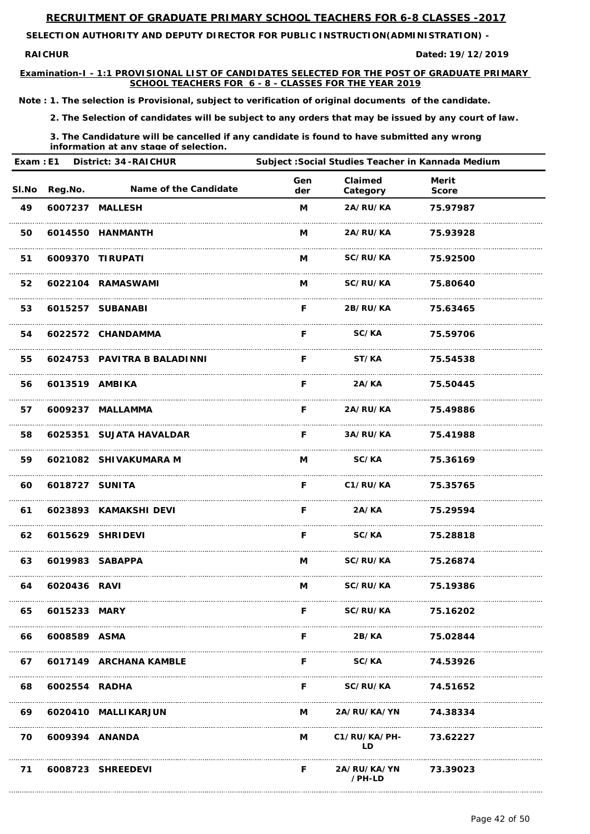**RAICHUR Dated:**

**SELECTION AUTHORITY AND DEPUTY DIRECTOR FOR PUBLIC INSTRUCTION(ADMINISTRATION) -** 

**Examination-I - 1:1 PROVISIONAL LIST OF CANDIDATES SELECTED FOR THE POST OF GRADUATE PRIMARY SCHOOL TEACHERS FOR 6 - 8 - CLASSES FOR THE YEAR 2019**

**19/12/2019**

*Note : 1. The selection is Provisional, subject to verification of original documents of the candidate.*

*2. The Selection of candidates will be subject to any orders that may be issued by any court of law.*

*3. The Candidature will be cancelled if any candidate is found to have submitted any wrong information at any stage of selection.*

| Exam: E1     |                | <b>District: 34-RAICHUR</b>  | Subject : Social Studies Teacher in Kannada Medium |                     |                              |  |
|--------------|----------------|------------------------------|----------------------------------------------------|---------------------|------------------------------|--|
| <b>SI.No</b> | <b>Reg.No.</b> | <b>Name of the Candidate</b> | Gen<br>der                                         | Claimed<br>Category | <b>Merit</b><br><b>Score</b> |  |
| 49           |                | 6007237 MALLESH              | M                                                  | 2A/RU/KA            | 75.97987                     |  |
| 50           |                | 6014550 HANMANTH             | M                                                  | <b>2A/RU/KA</b>     | 75.93928                     |  |
| 51           |                | 6009370 TIRUPATI             | M                                                  | <b>SC/RU/KA</b>     | 75.92500                     |  |
| 52           |                | 6022104 RAMASWAMI            | M                                                  | <b>SC/RU/KA</b>     | 75.80640                     |  |
| 53           |                | 6015257 SUBANABI             | F.                                                 | <b>2B/RU/KA</b>     | 75.63465                     |  |
| 54           |                | 6022572 CHANDAMMA            | F.                                                 | <b>SC/KA</b>        | 75.59706                     |  |
| 55           |                | 6024753 PAVITRA B BALADINNI  | F.                                                 | ST/KA               | 75.54538                     |  |
| 56           | 6013519 AMBIKA |                              | F.                                                 | 2A/KA               | 75.50445                     |  |
| 57           |                | 6009237 MALLAMMA             | F.                                                 | <b>2A/RU/KA</b>     | 75.49886                     |  |
| 58           |                | 6025351 SUJATA HAVALDAR      | F.                                                 | <b>3A/RU/KA</b>     | 75.41988                     |  |
| 59           |                | 6021082 SHIVAKUMARA M        | M                                                  | SC/KA               | 75.36169                     |  |
| 60           | 6018727 SUNITA |                              | F.                                                 | C1/RU/KA 75.35765   |                              |  |
| 61           |                | 6023893 KAMAKSHI DEVI        | F.                                                 |                     | 2A/KA 75.29594               |  |
| 62           |                | 6015629 SHRIDEVI             | F.                                                 |                     | SC/KA 75.28818               |  |
| 63           |                | 6019983 SABAPPA              |                                                    | M SC/RU/KA 75.26874 |                              |  |
| 64           | 6020436 RAVI   |                              |                                                    | M SC/RU/KA 75.19386 |                              |  |
| 65           | 6015233 MARY   |                              | F.                                                 | <b>SC/RU/KA</b>     | 75.16202                     |  |

| 66 | 6008589 ASMA      |                           |          | 2B/KA                          | 75.02844 |
|----|-------------------|---------------------------|----------|--------------------------------|----------|
|    |                   | 67 6017149 ARCHANA KAMBLE | F        | <b>SC/KA</b>                   | 74.53926 |
| 68 | 6002554 RADHA     |                           | F        | <b>SC/RU/KA</b>                | 74.51652 |
| 69 |                   | 6020410 MALLIKARJUN       | $M \sim$ | 2A/RU/KA/YN 74.38334           |          |
|    | 70 6009394 ANANDA |                           |          | M C1/RU/KA/PH-<br>חו           | 73.62227 |
| 71 |                   | 6008723 SHREEDEVI         | F        | 2A/RU/KA/YN 73.39023<br>/PH-LD |          |

Page 42 of 50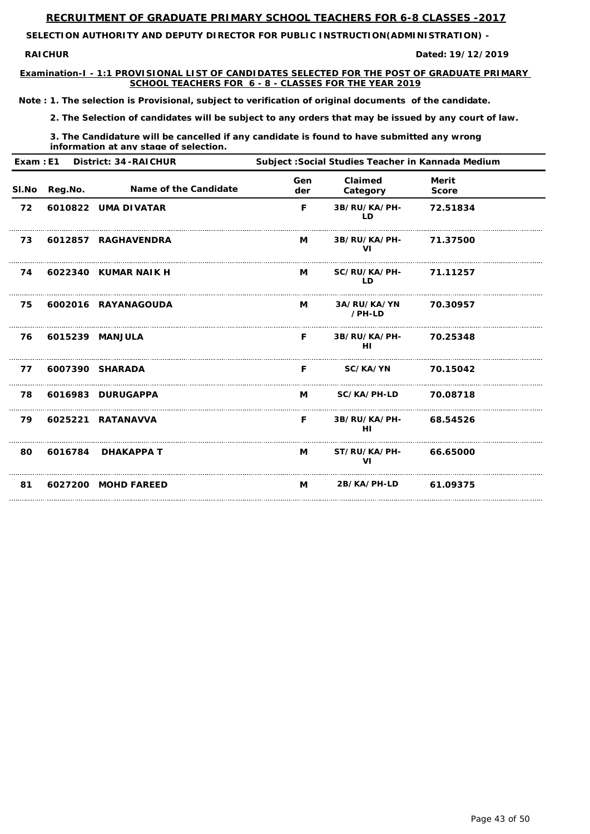**SELECTION AUTHORITY AND DEPUTY DIRECTOR FOR PUBLIC INSTRUCTION(ADMINISTRATION) -** 

**RAICHUR** 

**Examination-I - 1:1 PROVISIONAL LIST OF CANDIDATES SELECTED FOR THE POST OF GRADUATE PRIMARY SCHOOL TEACHERS FOR 6 - 8 - CLASSES FOR THE YEAR 2019**

**19/12/2019**

*Note : 1. The selection is Provisional, subject to verification of original documents of the candidate.*

*2. The Selection of candidates will be subject to any orders that may be issued by any court of law.*

*3. The Candidature will be cancelled if any candidate is found to have submitted any wrong information at any stage of selection.*

| Exam: E1 |         | <b>District: 34-RAICHUR</b>  | Subject : Social Studies Teacher in Kannada Medium |                           |                              |  |
|----------|---------|------------------------------|----------------------------------------------------|---------------------------|------------------------------|--|
| SI.No    | Reg.No. | <b>Name of the Candidate</b> | Gen<br>der                                         | Claimed<br>Category       | <b>Merit</b><br><b>Score</b> |  |
| 72       |         | 6010822 UMA DIVATAR          | F                                                  | 3B/RU/KA/PH-<br><b>LD</b> | 72.51834                     |  |
| 73       |         | 6012857 RAGHAVENDRA          | M                                                  | 3B/RU/KA/PH-<br>VI        | 71.37500                     |  |
| 74       |         | 6022340 KUMAR NAIK H         | M                                                  | SC/RU/KA/PH-<br><b>LD</b> | 71.11257                     |  |
| 75       |         | 6002016 RAYANAGOUDA          | M                                                  | 3A/RU/KA/YN<br>/PH-LD     | 70.30957                     |  |
| 76       |         | 6015239 MANJULA              | F                                                  | 3B/RU/KA/PH-<br>HI        | 70.25348                     |  |
| 77       |         | 6007390 SHARADA              | F                                                  | SC/KA/YN                  | 70.15042                     |  |
| 78       |         | 6016983 DURUGAPPA            | M                                                  | SC/KA/PH-LD               | 70.08718                     |  |
| 79       |         | 6025221 RATANAVVA            | F.                                                 | 3B/RU/KA/PH-<br>HI        | 68.54526                     |  |
| 80       | 6016784 | <b>DHAKAPPA T</b>            | M                                                  | ST/RU/KA/PH-<br>VI        | 66.65000                     |  |
| 81       |         | 6027200 MOHD FAREED          | M                                                  | 2B/KA/PH-LD               | 61.09375                     |  |
|          |         |                              |                                                    |                           |                              |  |

Page 43 of 50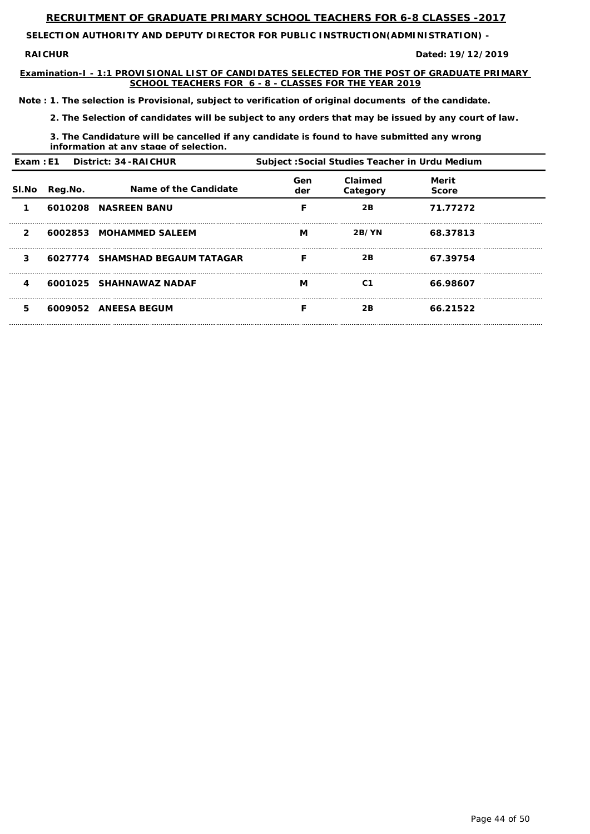**SELECTION AUTHORITY AND DEPUTY DIRECTOR FOR PUBLIC INSTRUCTION(ADMINISTRATION) -** 

**RAICHUR** 

**Examination-I - 1:1 PROVISIONAL LIST OF CANDIDATES SELECTED FOR THE POST OF GRADUATE PRIMARY SCHOOL TEACHERS FOR 6 - 8 - CLASSES FOR THE YEAR 2019**

**19/12/2019**

*Note : 1. The selection is Provisional, subject to verification of original documents of the candidate.*

*2. The Selection of candidates will be subject to any orders that may be issued by any court of law.*

*3. The Candidature will be cancelled if any candidate is found to have submitted any wrong information at any stage of selection.*

| Exam: E1 District: 34-RAICHUR |         | Subject: Social Studies Teacher in Urdu Medium |            |                     |                       |  |
|-------------------------------|---------|------------------------------------------------|------------|---------------------|-----------------------|--|
| SI.No                         | Reg.No. | Name of the Candidate                          | Gen<br>der | Claimed<br>Category | Merit<br><b>Score</b> |  |
|                               |         | 6010208 NASREEN BANU                           |            | 2B                  | 71.77272              |  |
| $\mathbf{2}$                  |         | 6002853 MOHAMMED SALEEM                        | М          | 2B/YN               | 68.37813              |  |
| 3                             |         | 6027774 SHAMSHAD BEGAUM TATAGAR                | F          | 2B                  | 67.39754              |  |
| 4                             |         | 6001025 SHAHNAWAZ NADAF                        | М          | C <sub>1</sub>      | 66.98607              |  |
| 5                             |         | 6009052 ANEESA BEGUM                           |            | 2B                  | 66.21522              |  |

Page 44 of 50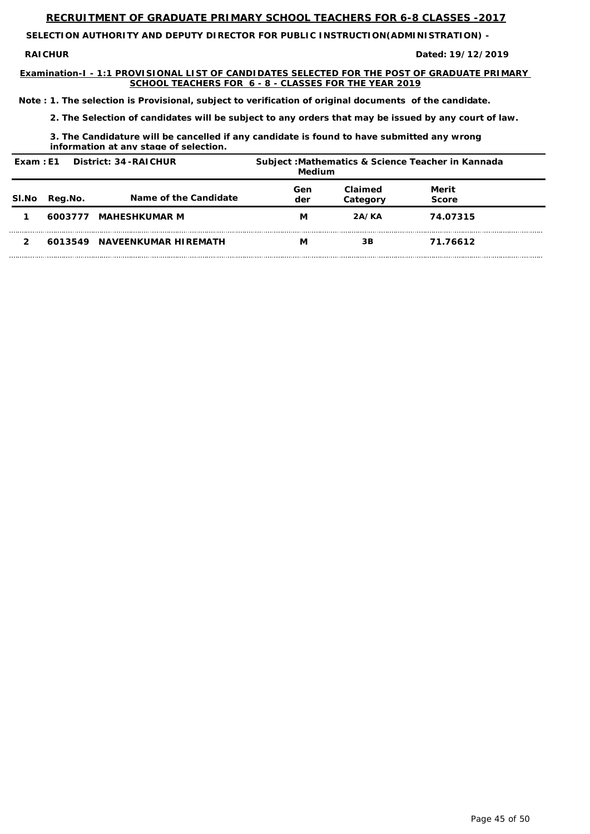**SELECTION AUTHORITY AND DEPUTY DIRECTOR FOR PUBLIC INSTRUCTION(ADMINISTRATION) -** 

**RAICHUR** 

**Examination-I - 1:1 PROVISIONAL LIST OF CANDIDATES SELECTED FOR THE POST OF GRADUATE PRIMARY SCHOOL TEACHERS FOR 6 - 8 - CLASSES FOR THE YEAR 2019**

**19/12/2019**

*Note : 1. The selection is Provisional, subject to verification of original documents of the candidate.*

*2. The Selection of candidates will be subject to any orders that may be issued by any court of law.*

*3. The Candidature will be cancelled if any candidate is found to have submitted any wrong information at any stage of selection.*

| District: 34 - RAICHUR<br>Exam: E1 |         | Subject: Mathematics & Science Teacher in Kannada<br>Medium |            |                     |                       |  |
|------------------------------------|---------|-------------------------------------------------------------|------------|---------------------|-----------------------|--|
| SI.No                              | Reg.No. | Name of the Candidate                                       | Gen<br>der | Claimed<br>Category | Merit<br><b>Score</b> |  |
|                                    | 6003777 | <b>MAHESHKUMAR M</b>                                        | M          | 2A/KA               | 74.07315              |  |
|                                    | 6013549 | <b>NAVEENKUMAR HIREMATH</b>                                 | М          | 3B                  | 71.76612              |  |

Page 45 of 50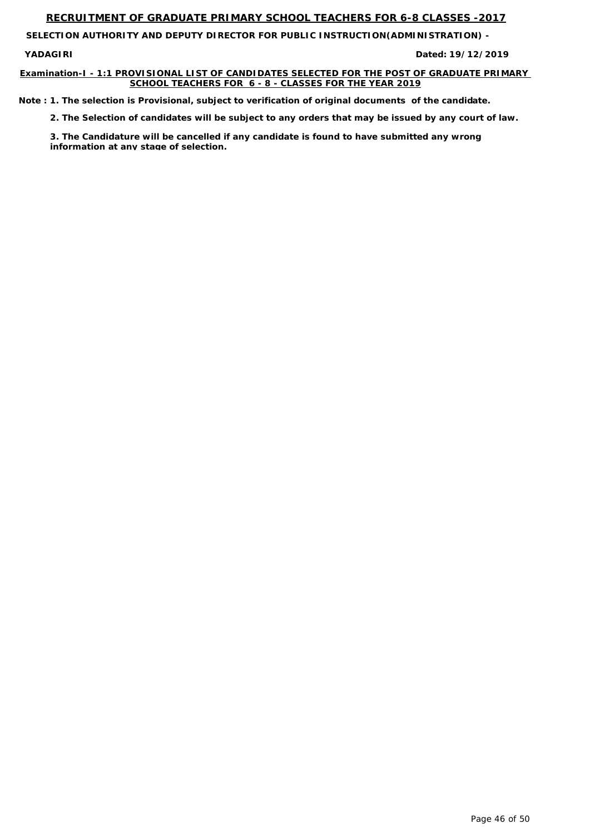**SELECTION AUTHORITY AND DEPUTY DIRECTOR FOR PUBLIC INSTRUCTION(ADMINISTRATION) -** 

**YADAGIRI** 

#### **Examination-I - 1:1 PROVISIONAL LIST OF CANDIDATES SELECTED FOR THE POST OF GRADUATE PRIMARY SCHOOL TEACHERS FOR 6 - 8 - CLASSES FOR THE YEAR 2019**

**19/12/2019**

*Note : 1. The selection is Provisional, subject to verification of original documents of the candidate.*

*2. The Selection of candidates will be subject to any orders that may be issued by any court of law.*

*3. The Candidature will be cancelled if any candidate is found to have submitted any wrong information at any stage of selection.*

Page 46 of 50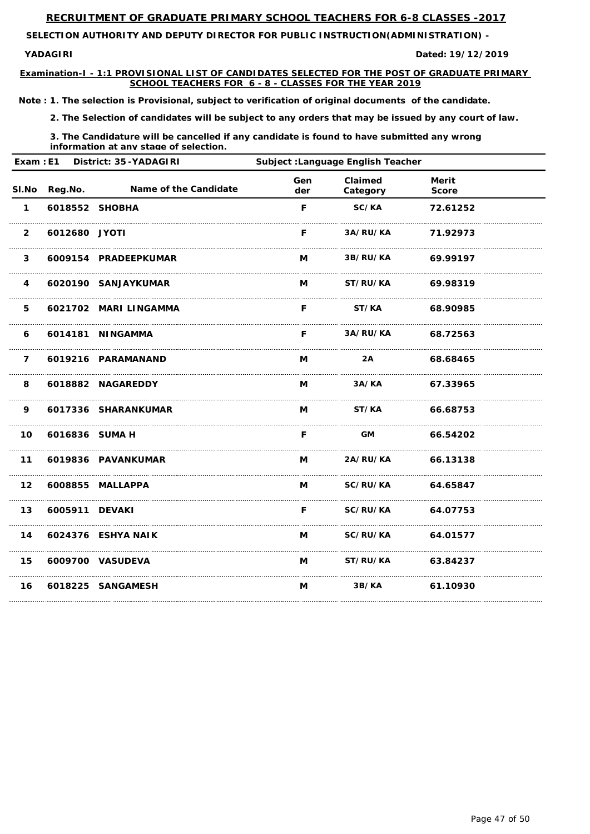**SELECTION AUTHORITY AND DEPUTY DIRECTOR FOR PUBLIC INSTRUCTION(ADMINISTRATION) -** 

**YADAGIRI** 

**Examination-I - 1:1 PROVISIONAL LIST OF CANDIDATES SELECTED FOR THE POST OF GRADUATE PRIMARY SCHOOL TEACHERS FOR 6 - 8 - CLASSES FOR THE YEAR 2019**

**19/12/2019**

*Note : 1. The selection is Provisional, subject to verification of original documents of the candidate.*

*2. The Selection of candidates will be subject to any orders that may be issued by any court of law.*

*3. The Candidature will be cancelled if any candidate is found to have submitted any wrong information at any stage of selection.*

| Exam: E1<br>District: 35-YADAGIRI |                | Subject : Language English Teacher |            |                     |                              |  |
|-----------------------------------|----------------|------------------------------------|------------|---------------------|------------------------------|--|
| SI.No                             | Reg.No.        | Name of the Candidate              | Gen<br>der | Claimed<br>Category | <b>Merit</b><br><b>Score</b> |  |
| $\mathbf 1$                       | 6018552 SHOBHA |                                    | F          | SC/KA               | 72.61252                     |  |
| $\overline{2}$                    | 6012680 JYOTI  |                                    | F          | 3A/RU/KA            | 71.92973                     |  |
| $\mathbf{3}$                      |                | 6009154 PRADEEPKUMAR               | M          | 3B/RU/KA            | 69.99197                     |  |
| 4                                 |                | 6020190 SANJAYKUMAR                | M          | ST/RU/KA            | 69.98319                     |  |
| 5                                 |                | 6021702 MARI LINGAMMA              | F          | ST/KA               | 68.90985                     |  |
| 6                                 |                | 6014181 NINGAMMA                   | F          | 3A/RU/KA            | 68.72563                     |  |
| $\overline{7}$                    |                | 6019216 PARAMANAND                 | M          | 2A                  | 68.68465                     |  |
| 8                                 |                | 6018882 NAGAREDDY                  | M          | 3A/KA               | 67.33965                     |  |
| 9                                 |                | 6017336 SHARANKUMAR                | M          | ST/KA               | 66.68753                     |  |
| 10                                | 6016836 SUMA H |                                    | F          | <b>GM</b>           | 66.54202                     |  |
| $11$                              |                | 6019836 PAVANKUMAR                 | M          | 2A/RU/KA            | 66.13138                     |  |
| 12                                |                | 6008855 MALLAPPA                   |            | M SC/RU/KA 64.65847 |                              |  |
| 13                                | 6005911 DEVAKI |                                    |            | F SC/RU/KA 64.07753 |                              |  |
| 14                                |                | 6024376 ESHYA NAIK                 |            | M SC/RU/KA 64.01577 |                              |  |
| 15                                |                | 6009700 VASUDEVA                   |            | M ST/RU/KA 63.84237 |                              |  |
| 16                                |                | 6018225 SANGAMESH                  | M          | 3B/KA               | 61.10930                     |  |

Page 47 of 50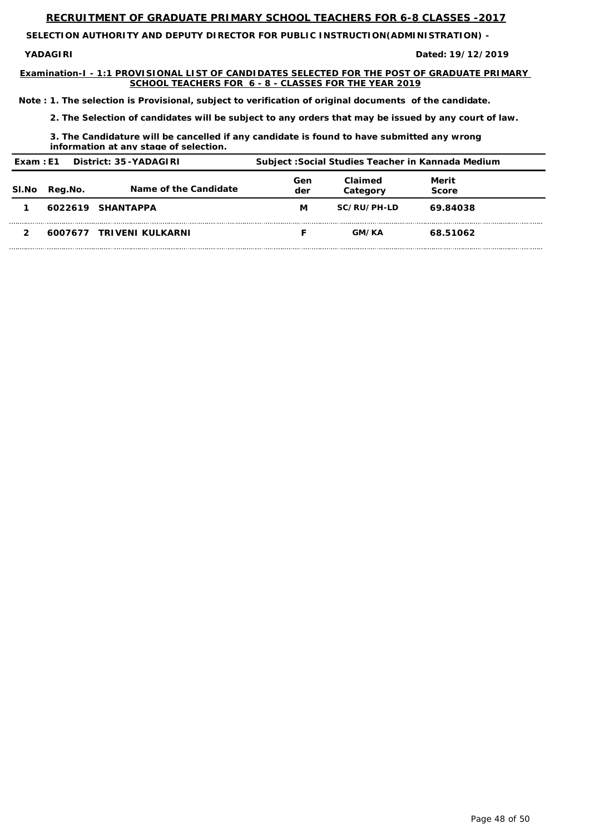**SELECTION AUTHORITY AND DEPUTY DIRECTOR FOR PUBLIC INSTRUCTION(ADMINISTRATION) -** 

**YADAGIRI** 

**Examination-I - 1:1 PROVISIONAL LIST OF CANDIDATES SELECTED FOR THE POST OF GRADUATE PRIMARY SCHOOL TEACHERS FOR 6 - 8 - CLASSES FOR THE YEAR 2019**

**19/12/2019**

*Note : 1. The selection is Provisional, subject to verification of original documents of the candidate.*

*2. The Selection of candidates will be subject to any orders that may be issued by any court of law.*

*3. The Candidature will be cancelled if any candidate is found to have submitted any wrong information at any stage of selection.*

| Exam : E1 |         | District: 35-YADAGIRI    |            |                     | Subject : Social Studies Teacher in Kannada Medium |
|-----------|---------|--------------------------|------------|---------------------|----------------------------------------------------|
| SI.No     | Reg.No. | Name of the Candidate    | Gen<br>der | Claimed<br>Category | Merit<br><b>Score</b>                              |
|           |         | 6022619 SHANTAPPA        | M          | SC/RU/PH-LD         | 69.84038                                           |
|           |         | 6007677 TRIVENI KULKARNI |            | <b>GM/KA</b>        | 68.51062                                           |

Page 48 of 50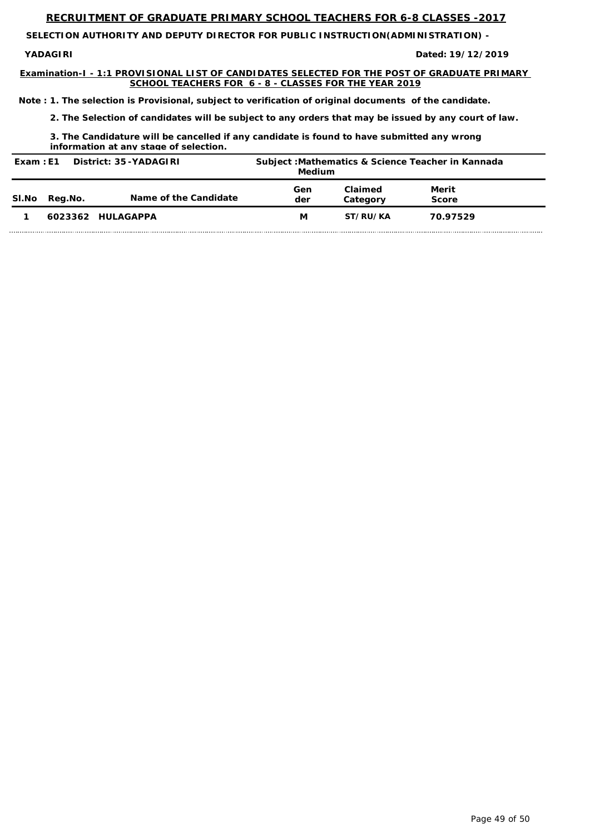**SELECTION AUTHORITY AND DEPUTY DIRECTOR FOR PUBLIC INSTRUCTION(ADMINISTRATION) -** 

**YADAGIRI** 

**Examination-I - 1:1 PROVISIONAL LIST OF CANDIDATES SELECTED FOR THE POST OF GRADUATE PRIMARY SCHOOL TEACHERS FOR 6 - 8 - CLASSES FOR THE YEAR 2019**

**19/12/2019**

*Note : 1. The selection is Provisional, subject to verification of original documents of the candidate.*

*2. The Selection of candidates will be subject to any orders that may be issued by any court of law.*

*3. The Candidature will be cancelled if any candidate is found to have submitted any wrong information at any stage of selection.*

| District: 35-YADAGIRI<br>Exam: E1 |         | Subject: Mathematics & Science Teacher in Kannada<br>Medium |            |                     |                |
|-----------------------------------|---------|-------------------------------------------------------------|------------|---------------------|----------------|
| SI.No                             | Reg.No. | Name of the Candidate                                       | Gen<br>der | Claimed<br>Category | Merit<br>Score |
|                                   |         | 6023362 HULAGAPPA                                           | M          | ST/RU/KA            | 70.97529       |

Page 49 of 50